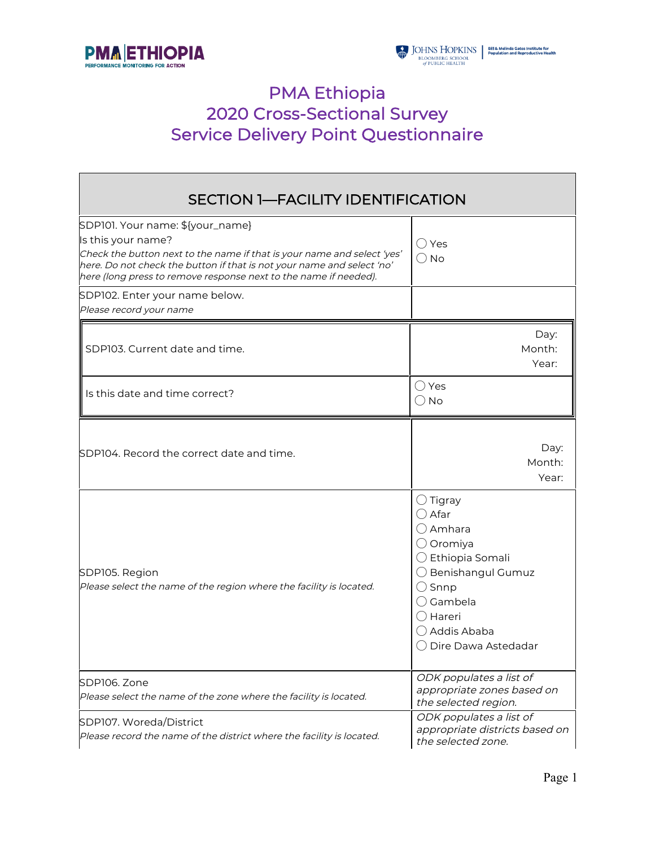



# PMA Ethiopia 2020 Cross-Sectional Survey Service Delivery Point Questionnaire

| <b>SECTION 1-FACILITY IDENTIFICATION</b>                                                                                                                                                                                                                                        |                                                                                                                                                                                                                                      |  |  |
|---------------------------------------------------------------------------------------------------------------------------------------------------------------------------------------------------------------------------------------------------------------------------------|--------------------------------------------------------------------------------------------------------------------------------------------------------------------------------------------------------------------------------------|--|--|
| SDP101. Your name: \${your_name}<br>Is this your name?<br>Check the button next to the name if that is your name and select 'yes'<br>here. Do not check the button if that is not your name and select 'no'<br>here (long press to remove response next to the name if needed). | $\bigcirc$ Yes<br>$\bigcirc$ No                                                                                                                                                                                                      |  |  |
| SDP102. Enter your name below.<br>Please record your name                                                                                                                                                                                                                       |                                                                                                                                                                                                                                      |  |  |
| SDP103. Current date and time.                                                                                                                                                                                                                                                  | Day:<br>Month:<br>Year:                                                                                                                                                                                                              |  |  |
| Is this date and time correct?                                                                                                                                                                                                                                                  | $\bigcirc$ Yes<br>$\bigcirc$ No                                                                                                                                                                                                      |  |  |
| SDP104. Record the correct date and time.                                                                                                                                                                                                                                       | Day:<br>Month:<br>Year:                                                                                                                                                                                                              |  |  |
| SDP105. Region<br>Please select the name of the region where the facility is located.                                                                                                                                                                                           | $\bigcirc$ Tigray<br>$\bigcirc$ Afar<br>$\bigcirc$ Amhara<br>$\bigcirc$ Oromiya<br>$\bigcirc$ Ethiopia Somali<br>◯ Benishangul Gumuz<br>$\bigcirc$ Snnp<br>$\bigcirc$ Gambela<br>() Hareri<br>◯ Addis Ababa<br>◯ Dire Dawa Astedadar |  |  |
| SDP106, Zone<br>Please select the name of the zone where the facility is located.                                                                                                                                                                                               | ODK populates a list of<br>appropriate zones based on<br>the selected region.                                                                                                                                                        |  |  |
| SDP107. Woreda/District<br>Please record the name of the district where the facility is located.                                                                                                                                                                                | ODK populates a list of<br>appropriate districts based on<br>the selected zone.                                                                                                                                                      |  |  |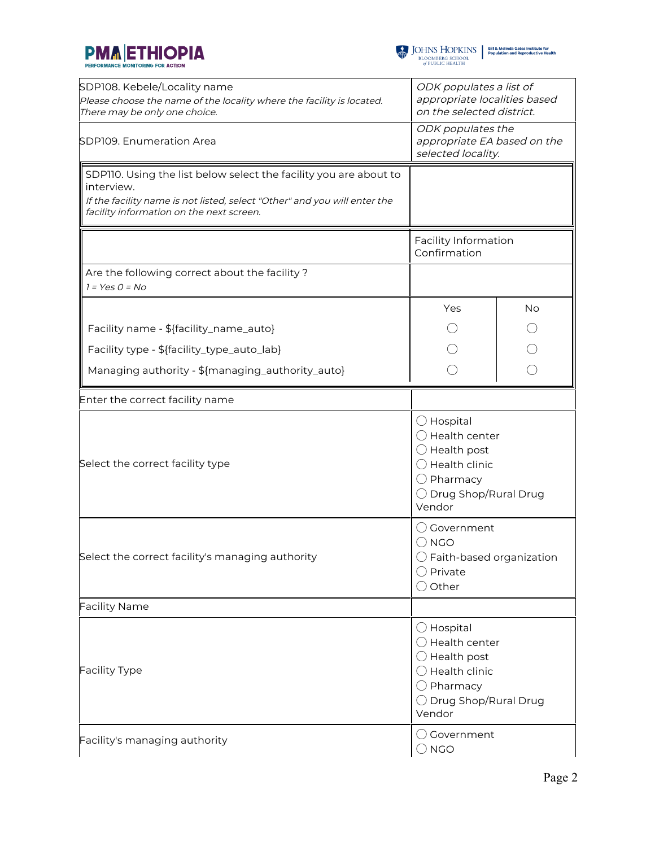



| SDP108. Kebele/Locality name<br>Please choose the name of the locality where the facility is located.<br>There may be only one choice.                                                                   | ODK populates a list of<br>appropriate localities based<br>on the selected district.                                                                                      |           |  |  |
|----------------------------------------------------------------------------------------------------------------------------------------------------------------------------------------------------------|---------------------------------------------------------------------------------------------------------------------------------------------------------------------------|-----------|--|--|
| SDP109. Enumeration Area                                                                                                                                                                                 | ODK populates the<br>appropriate EA based on the<br>selected locality.                                                                                                    |           |  |  |
| SDP110. Using the list below select the facility you are about to<br>interview.<br>If the facility name is not listed, select "Other" and you will enter the<br>facility information on the next screen. |                                                                                                                                                                           |           |  |  |
|                                                                                                                                                                                                          | Facility Information<br>Confirmation                                                                                                                                      |           |  |  |
| Are the following correct about the facility?<br>$1 = YesO = No$                                                                                                                                         |                                                                                                                                                                           |           |  |  |
|                                                                                                                                                                                                          | Yes                                                                                                                                                                       | <b>No</b> |  |  |
| Facility name - \${facility_name_auto}                                                                                                                                                                   |                                                                                                                                                                           |           |  |  |
| Facility type - \${facility_type_auto_lab}                                                                                                                                                               |                                                                                                                                                                           |           |  |  |
| Managing authority - \${managing_authority_auto}                                                                                                                                                         |                                                                                                                                                                           |           |  |  |
| Enter the correct facility name                                                                                                                                                                          |                                                                                                                                                                           |           |  |  |
| Select the correct facility type                                                                                                                                                                         | $\bigcirc$ Hospital<br>$\bigcirc$ Health center<br>$\bigcirc$ Health post<br>$\bigcirc$ Health clinic<br>$\bigcirc$ Pharmacy<br>◯ Drug Shop/Rural Drug<br>Vendor          |           |  |  |
| Select the correct facility's managing authority                                                                                                                                                         | Government<br>$\bigcirc$ NGO<br>$\bigcirc$ Faith-based organization<br>$\bigcirc$ Private<br>$\bigcirc$ Other                                                             |           |  |  |
| <b>Facility Name</b>                                                                                                                                                                                     |                                                                                                                                                                           |           |  |  |
| <b>Facility Type</b>                                                                                                                                                                                     | $\bigcirc$ Hospital<br>$\bigcirc$ Health center<br>$\bigcirc$ Health post<br>$\bigcirc$ Health clinic<br>$\bigcirc$ Pharmacy<br>$\bigcirc$ Drug Shop/Rural Drug<br>Vendor |           |  |  |
| Facility's managing authority                                                                                                                                                                            | $\bigcirc$ Government<br>$\bigcirc$ NGO                                                                                                                                   |           |  |  |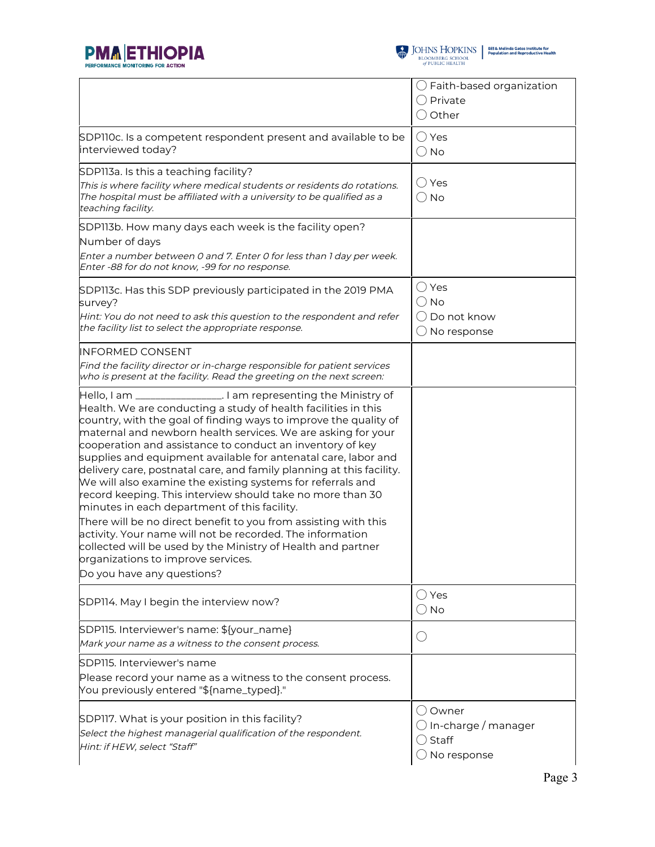



|                                                                                                                                                                                                                                                                                                                                                                                                                                                                                                                                                                                                                                                                                                                                                                                                                                                                                                                                | $\bigcirc$ Faith-based organization<br>$\bigcirc$ Private<br>$\bigcirc$ Other           |
|--------------------------------------------------------------------------------------------------------------------------------------------------------------------------------------------------------------------------------------------------------------------------------------------------------------------------------------------------------------------------------------------------------------------------------------------------------------------------------------------------------------------------------------------------------------------------------------------------------------------------------------------------------------------------------------------------------------------------------------------------------------------------------------------------------------------------------------------------------------------------------------------------------------------------------|-----------------------------------------------------------------------------------------|
| SDPIIOc. Is a competent respondent present and available to be<br>interviewed today?                                                                                                                                                                                                                                                                                                                                                                                                                                                                                                                                                                                                                                                                                                                                                                                                                                           | $\bigcirc$ Yes<br>$\bigcirc$ No                                                         |
| SDP113a. Is this a teaching facility?<br>This is where facility where medical students or residents do rotations.<br>The hospital must be affiliated with a university to be qualified as a<br>teaching facility.                                                                                                                                                                                                                                                                                                                                                                                                                                                                                                                                                                                                                                                                                                              | ◯ Yes<br>$\bigcirc$ No                                                                  |
| SDP113b. How many days each week is the facility open?<br>Number of days<br>Enter a number between 0 and 7. Enter 0 for less than 1 day per week.<br>Enter -88 for do not know, -99 for no response.                                                                                                                                                                                                                                                                                                                                                                                                                                                                                                                                                                                                                                                                                                                           |                                                                                         |
| SDP113c. Has this SDP previously participated in the 2019 PMA<br>survey?<br>Hint: You do not need to ask this question to the respondent and refer<br>the facility list to select the appropriate response.                                                                                                                                                                                                                                                                                                                                                                                                                                                                                                                                                                                                                                                                                                                    | $\bigcirc$ Yes<br>$\bigcirc$ No<br>◯ Do not know<br>$\bigcirc$ No response              |
| <b>INFORMED CONSENT</b><br>Find the facility director or in-charge responsible for patient services<br>who is present at the facility. Read the greeting on the next screen:                                                                                                                                                                                                                                                                                                                                                                                                                                                                                                                                                                                                                                                                                                                                                   |                                                                                         |
| Hello, I am _________________. I am representing the Ministry of<br>Health. We are conducting a study of health facilities in this<br>country, with the goal of finding ways to improve the quality of<br>maternal and newborn health services. We are asking for your<br>cooperation and assistance to conduct an inventory of key<br>supplies and equipment available for antenatal care, labor and<br>delivery care, postnatal care, and family planning at this facility.<br>We will also examine the existing systems for referrals and<br>record keeping. This interview should take no more than 30<br>minutes in each department of this facility.<br>There will be no direct benefit to you from assisting with this<br>activity. Your name will not be recorded. The information<br>collected will be used by the Ministry of Health and partner<br>organizations to improve services.<br>Do you have any questions? |                                                                                         |
| SDP114. May I begin the interview now?                                                                                                                                                                                                                                                                                                                                                                                                                                                                                                                                                                                                                                                                                                                                                                                                                                                                                         | $\bigcirc$ Yes<br>$\bigcirc$ No                                                         |
| SDP115. Interviewer's name: \${your_name}<br>Mark your name as a witness to the consent process.                                                                                                                                                                                                                                                                                                                                                                                                                                                                                                                                                                                                                                                                                                                                                                                                                               | O                                                                                       |
| SDP115. Interviewer's name<br>Please record your name as a witness to the consent process.<br>You previously entered "\${name_typed}."                                                                                                                                                                                                                                                                                                                                                                                                                                                                                                                                                                                                                                                                                                                                                                                         |                                                                                         |
| SDP117. What is your position in this facility?<br>Select the highest managerial qualification of the respondent.<br>Hint: if HEW, select "Staff"                                                                                                                                                                                                                                                                                                                                                                                                                                                                                                                                                                                                                                                                                                                                                                              | ○ Owner<br>$\bigcirc$ In-charge / manager<br>$\bigcirc$ Staff<br>$\bigcirc$ No response |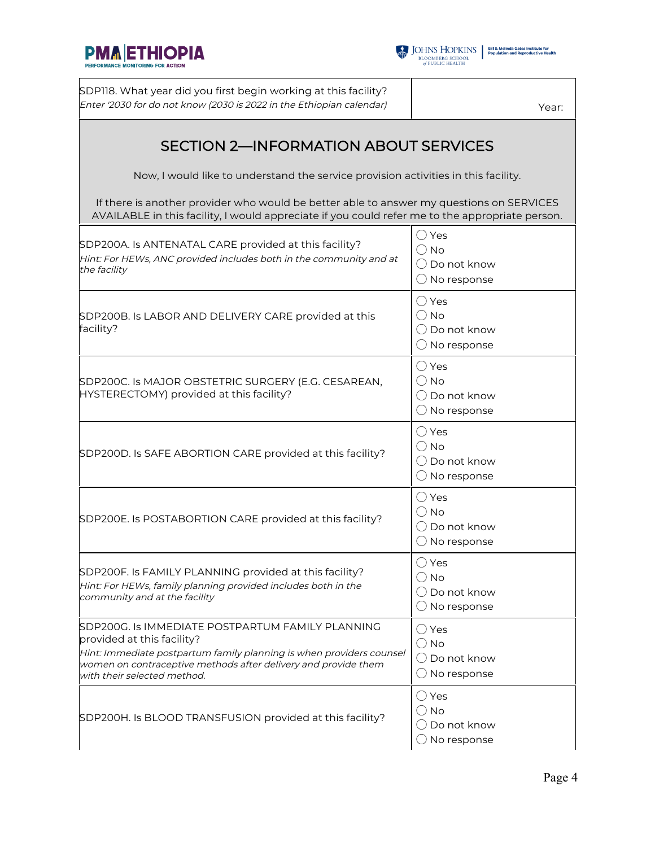



SDP118. What year did you first begin working at this facility? Enter '2030 for do not know (2030 is 2022 in the Ethiopian calendar)  $\begin{array}{c|c} \text{[} & \text{[} & \text{[} & \text{[} & \text{[] } \text{[] } \text{[] } \text{[] } \text{[] } \text{[] } \text{[] } \text{[] } \text{[] } \text{[] } \text{[] } \text{[] } \text{[] } \text{[] } \text{[] } \text{[] } \text{[] } \text{[] } \text{[] } \text{[$ 

## SECTION 2—INFORMATION ABOUT SERVICES

Now, I would like to understand the service provision activities in this facility.

If there is another provider who would be better able to answer my questions on SERVICES AVAILABLE in this facility, I would appreciate if you could refer me to the appropriate person.

| SDP200A. Is ANTENATAL CARE provided at this facility?<br>Hint: For HEWs, ANC provided includes both in the community and at<br>the facility                                                                                                             | $\bigcirc$ Yes<br>$\bigcirc$ No<br>$\bigcirc$ Do not know<br>$\bigcirc$ No response |
|---------------------------------------------------------------------------------------------------------------------------------------------------------------------------------------------------------------------------------------------------------|-------------------------------------------------------------------------------------|
| SDP200B. Is LABOR AND DELIVERY CARE provided at this<br>facility?                                                                                                                                                                                       | $\bigcirc$ Yes<br>$\bigcirc$ No<br>$\bigcirc$ Do not know<br>$\bigcirc$ No response |
| SDP200C. Is MAJOR OBSTETRIC SURGERY (E.G. CESAREAN,<br>HYSTERECTOMY) provided at this facility?                                                                                                                                                         | $\bigcirc$ Yes<br>$\bigcirc$ No<br>$\bigcirc$ Do not know<br>$\bigcirc$ No response |
| SDP200D. Is SAFE ABORTION CARE provided at this facility?                                                                                                                                                                                               | $\bigcirc$ Yes<br>$\bigcirc$ No<br>$\bigcirc$ Do not know<br>$\bigcirc$ No response |
| SDP200E. Is POSTABORTION CARE provided at this facility?                                                                                                                                                                                                | $\bigcirc$ Yes<br>$\bigcirc$ No<br>$\bigcirc$ Do not know<br>$\bigcirc$ No response |
| SDP200F. Is FAMILY PLANNING provided at this facility?<br>Hint: For HEWs, family planning provided includes both in the<br>community and at the facility                                                                                                | () Yes<br>$\bigcirc$ No<br>$\bigcirc$ Do not know<br>$\bigcirc$ No response         |
| SDP200G. Is IMMEDIATE POSTPARTUM FAMILY PLANNING<br>provided at this facility?<br>Hint: Immediate postpartum family planning is when providers counsel<br>women on contraceptive methods after delivery and provide them<br>with their selected method. | $\bigcirc$ Yes<br>$\bigcirc$ No<br>$\bigcap$ Do not know<br>$\bigcirc$ No response  |
| SDP200H. Is BLOOD TRANSFUSION provided at this facility?                                                                                                                                                                                                | $\bigcirc$ Yes<br>$\bigcirc$ No<br>( ) Do not know<br>No response                   |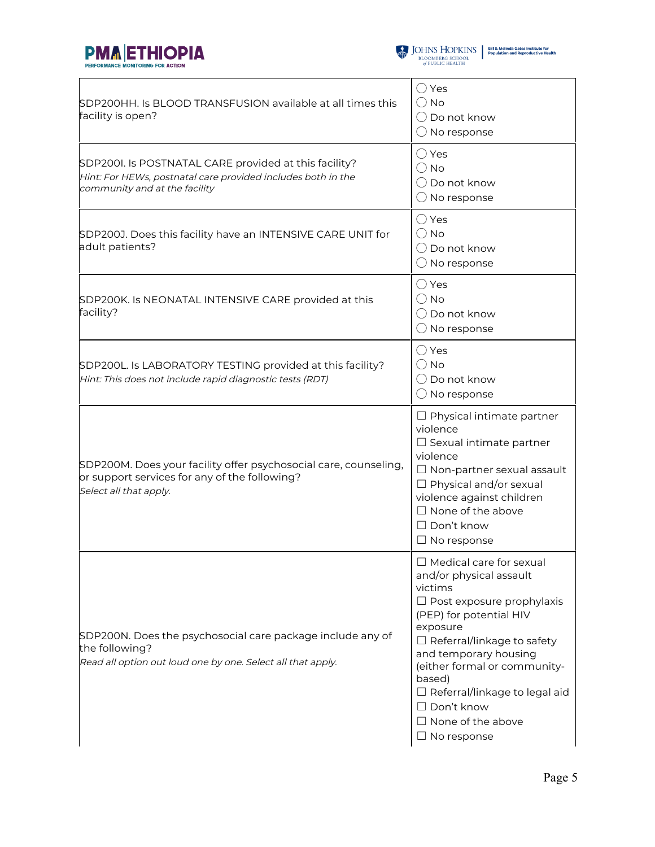



| SDP200HH. Is BLOOD TRANSFUSION available at all times this<br>facility is open?                                                                        | $\bigcirc$ Yes<br>$\bigcirc$ No<br>( ) Do not know<br>$\bigcirc$ No response                                                                                                                                                                                                                                                                                           |
|--------------------------------------------------------------------------------------------------------------------------------------------------------|------------------------------------------------------------------------------------------------------------------------------------------------------------------------------------------------------------------------------------------------------------------------------------------------------------------------------------------------------------------------|
| SDP2001. Is POSTNATAL CARE provided at this facility?<br>Hint: For HEWs, postnatal care provided includes both in the<br>community and at the facility | ◯ Yes<br>() No<br>( ) Do not know<br>$\bigcirc$ No response                                                                                                                                                                                                                                                                                                            |
| SDP200J. Does this facility have an INTENSIVE CARE UNIT for<br>adult patients?                                                                         | $\bigcirc$ Yes<br>() No<br>$\bigcirc$ Do not know<br>$\bigcirc$ No response                                                                                                                                                                                                                                                                                            |
| SDP200K. Is NEONATAL INTENSIVE CARE provided at this<br>facility?                                                                                      | $\bigcirc$ Yes<br>$\bigcirc$ No<br>$\bigcirc$ Do not know<br>$\bigcirc$ No response                                                                                                                                                                                                                                                                                    |
| SDP200L. Is LABORATORY TESTING provided at this facility?<br>Hint: This does not include rapid diagnostic tests (RDT)                                  | $\bigcirc$ Yes<br>$\bigcirc$ No<br>( ) Do not know<br>$\bigcirc$ No response                                                                                                                                                                                                                                                                                           |
| SDP200M. Does your facility offer psychosocial care, counseling,<br>or support services for any of the following?<br>Select all that apply.            | $\Box$ Physical intimate partner<br>violence<br>$\Box$ Sexual intimate partner<br>violence<br>$\Box$ Non-partner sexual assault<br>$\Box$ Physical and/or sexual<br>violence against children<br>$\Box$ None of the above<br>$\Box$ Don't know<br>$\Box$ No response                                                                                                   |
| SDP200N. Does the psychosocial care package include any of<br>the following?<br>Read all option out loud one by one. Select all that apply.            | $\Box$ Medical care for sexual<br>and/or physical assault<br>victims<br>$\Box$ Post exposure prophylaxis<br>(PEP) for potential HIV<br>exposure<br>$\Box$ Referral/linkage to safety<br>and temporary housing<br>(either formal or community-<br>based)<br>$\Box$ Referral/linkage to legal aid<br>$\Box$ Don't know<br>$\Box$ None of the above<br>$\Box$ No response |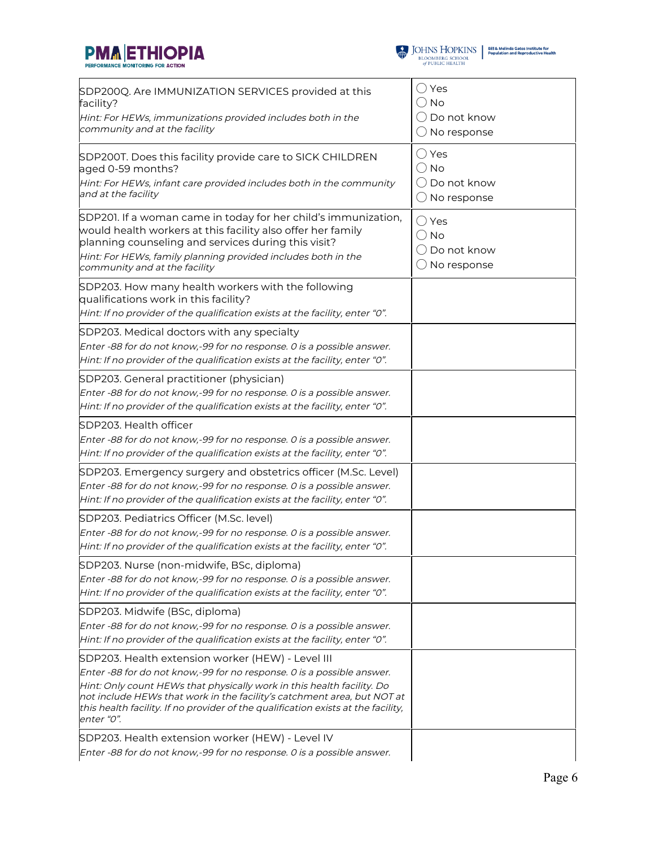



| SDP200Q. Are IMMUNIZATION SERVICES provided at this<br>facility?                                                                                                                                                                                                                       | ( ) Yes<br>() No                                                         |
|----------------------------------------------------------------------------------------------------------------------------------------------------------------------------------------------------------------------------------------------------------------------------------------|--------------------------------------------------------------------------|
| Hint: For HEWs, immunizations provided includes both in the<br>community and at the facility                                                                                                                                                                                           | ( ) Do not know<br>$\bigcirc$ No response                                |
| SDP200T. Does this facility provide care to SICK CHILDREN<br>aged 0-59 months?                                                                                                                                                                                                         | () Yes<br>$\bigcirc$ No                                                  |
| Hint: For HEWs, infant care provided includes both in the community<br>and at the facility                                                                                                                                                                                             | ( ) Do not know<br>$\bigcirc$ No response                                |
| SDP201. If a woman came in today for her child's immunization,<br>would health workers at this facility also offer her family<br>planning counseling and services during this visit?<br>Hint: For HEWs, family planning provided includes both in the<br>community and at the facility | $\bigcirc$ Yes<br>$\bigcirc$ No<br>$\bigcirc$ Do not know<br>No response |
| SDP203. How many health workers with the following<br>qualifications work in this facility?<br>Hint: If no provider of the qualification exists at the facility, enter "0".                                                                                                            |                                                                          |
| SDP203. Medical doctors with any specialty<br>Enter -88 for do not know,-99 for no response. 0 is a possible answer.<br>Hint: If no provider of the qualification exists at the facility, enter "0".                                                                                   |                                                                          |
| SDP203. General practitioner (physician)<br>Enter -88 for do not know,-99 for no response. 0 is a possible answer.<br>Hint: If no provider of the qualification exists at the facility, enter "0".                                                                                     |                                                                          |
| SDP203. Health officer<br>Enter -88 for do not know,-99 for no response. 0 is a possible answer.<br>Hint: If no provider of the qualification exists at the facility, enter "0".                                                                                                       |                                                                          |
| SDP203. Emergency surgery and obstetrics officer (M.Sc. Level)<br>Enter -88 for do not know,-99 for no response. 0 is a possible answer.<br>Hint: If no provider of the qualification exists at the facility, enter "0".                                                               |                                                                          |
| SDP203. Pediatrics Officer (M.Sc. level)<br>Enter -88 for do not know,-99 for no response. 0 is a possible answer.<br>Hint: If no provider of the qualification exists at the facility, enter "0".                                                                                     |                                                                          |
| SDP203. Nurse (non-midwife, BSc, diploma)<br>Enter -88 for do not know,-99 for no response. O is a possible answer.<br>Hint: If no provider of the qualification exists at the facility, enter "0".                                                                                    |                                                                          |
| SDP203. Midwife (BSc, diploma)<br>Enter -88 for do not know,-99 for no response. O is a possible answer.<br>Hint: If no provider of the qualification exists at the facility, enter "0".                                                                                               |                                                                          |
| SDP203. Health extension worker (HEW) - Level III<br>Enter -88 for do not know,-99 for no response. O is a possible answer.                                                                                                                                                            |                                                                          |
| Hint: Only count HEWs that physically work in this health facility. Do<br>not include HEWs that work in the facility's catchment area, but NOT at<br>this health facility. If no provider of the qualification exists at the facility,<br>enter "0".                                   |                                                                          |
| SDP203. Health extension worker (HEW) - Level IV<br>Enter -88 for do not know,-99 for no response. 0 is a possible answer.                                                                                                                                                             |                                                                          |
|                                                                                                                                                                                                                                                                                        |                                                                          |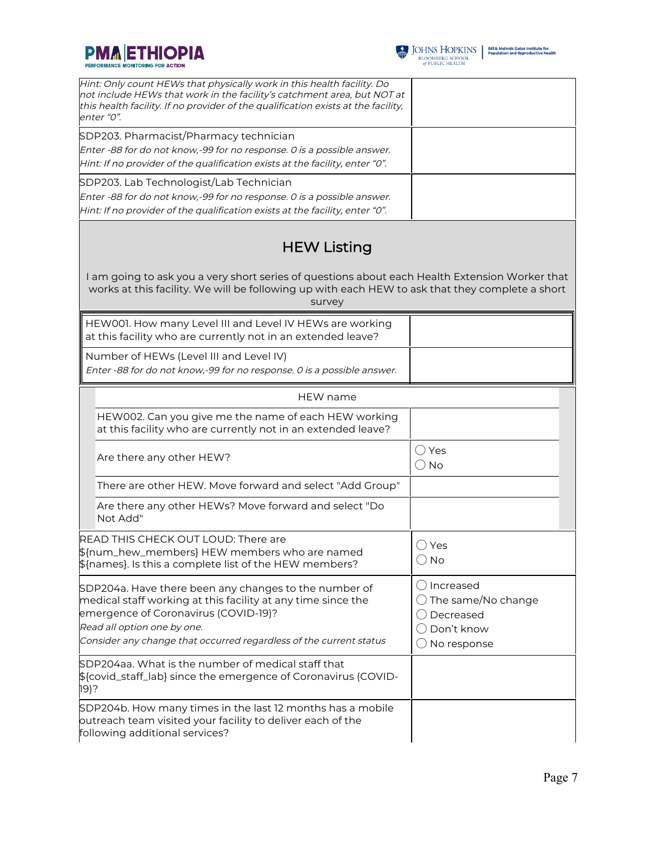



| Hint: Only count HEWs that physically work in this health facility. Do<br>not include HEWs that work in the facility's catchment area, but NOT at<br>this health facility. If no provider of the qualification exists at the facility,<br>enter "0".               |                                                                                                                 |
|--------------------------------------------------------------------------------------------------------------------------------------------------------------------------------------------------------------------------------------------------------------------|-----------------------------------------------------------------------------------------------------------------|
| SDP203. Pharmacist/Pharmacy technician<br>Enter -88 for do not know,-99 for no response. 0 is a possible answer.<br>Hint: If no provider of the qualification exists at the facility, enter "0".                                                                   |                                                                                                                 |
| SDP203. Lab Technologist/Lab Technician<br>Enter -88 for do not know,-99 for no response. 0 is a possible answer.<br>Hint: If no provider of the qualification exists at the facility, enter "0".                                                                  |                                                                                                                 |
| <b>HEW Listing</b>                                                                                                                                                                                                                                                 |                                                                                                                 |
| I am going to ask you a very short series of questions about each Health Extension Worker that<br>works at this facility. We will be following up with each HEW to ask that they complete a short<br>survey                                                        |                                                                                                                 |
| HEW001. How many Level III and Level IV HEWs are working<br>at this facility who are currently not in an extended leave?                                                                                                                                           |                                                                                                                 |
| Number of HEWs (Level III and Level IV)<br>Enter -88 for do not know,-99 for no response. 0 is a possible answer.                                                                                                                                                  |                                                                                                                 |
| <b>HEW</b> name                                                                                                                                                                                                                                                    |                                                                                                                 |
| HEW002. Can you give me the name of each HEW working<br>at this facility who are currently not in an extended leave?                                                                                                                                               |                                                                                                                 |
| Are there any other HEW?                                                                                                                                                                                                                                           | $\bigcirc$ Yes<br>$\bigcirc$ No                                                                                 |
| There are other HEW. Move forward and select "Add Group"                                                                                                                                                                                                           |                                                                                                                 |
| Are there any other HEWs? Move forward and select "Do<br>Not Add"                                                                                                                                                                                                  |                                                                                                                 |
| READ THIS CHECK OUT LOUD: There are<br>\${num_hew_members} HEW members who are named<br>$$$ {names}. Is this a complete list of the HEW members?                                                                                                                   | ( )Yes<br>$\bigcirc$ No                                                                                         |
| SDP204a. Have there been any changes to the number of<br>medical staff working at this facility at any time since the<br>emergence of Coronavirus (COVID-19)?<br>Read all option one by one.<br>Consider any change that occurred regardless of the current status | () Increased<br>$\bigcirc$ The same/No change<br>◯ Decreased<br>$\bigcirc$ Don't know<br>$\bigcirc$ No response |
| SDP204aa. What is the number of medical staff that<br>\${covid_staff_lab} since the emergence of Coronavirus (COVID-<br>19)?                                                                                                                                       |                                                                                                                 |
| SDP204b. How many times in the last 12 months has a mobile<br>outreach team visited your facility to deliver each of the<br>following additional services?                                                                                                         |                                                                                                                 |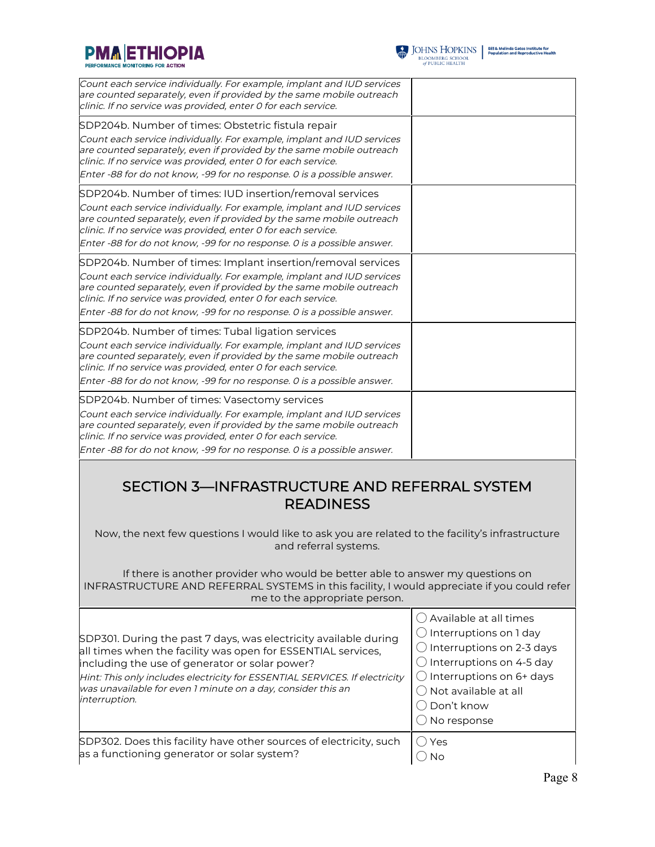



 $\begin{tabular}{l|c|c|c} \hline \textbf{J} & \textbf{JOHNS} & \textbf{HOPKINS} & \textbf{Bilä Melinda Gates instituta for}\\ \hline \textbf{BLOOMBERG SCHOOL} & \textbf{Population and Reproductive Health} \\ \hline \textit{of PUBLIC HEALTH} & \end{tabular}$ 

| Count each service individually. For example, implant and IUD services<br>are counted separately, even if provided by the same mobile outreach<br>clinic. If no service was provided, enter 0 for each service.                                                                                                                                                                                                  |                                                                                                                                                                                                                                                      |  |  |
|------------------------------------------------------------------------------------------------------------------------------------------------------------------------------------------------------------------------------------------------------------------------------------------------------------------------------------------------------------------------------------------------------------------|------------------------------------------------------------------------------------------------------------------------------------------------------------------------------------------------------------------------------------------------------|--|--|
| SDP204b. Number of times: Obstetric fistula repair                                                                                                                                                                                                                                                                                                                                                               |                                                                                                                                                                                                                                                      |  |  |
| Count each service individually. For example, implant and IUD services<br>are counted separately, even if provided by the same mobile outreach<br>clinic. If no service was provided, enter 0 for each service.                                                                                                                                                                                                  |                                                                                                                                                                                                                                                      |  |  |
| Enter -88 for do not know, -99 for no response. O is a possible answer.                                                                                                                                                                                                                                                                                                                                          |                                                                                                                                                                                                                                                      |  |  |
| SDP204b. Number of times: IUD insertion/removal services                                                                                                                                                                                                                                                                                                                                                         |                                                                                                                                                                                                                                                      |  |  |
| Count each service individually. For example, implant and IUD services<br>are counted separately, even if provided by the same mobile outreach<br>clinic. If no service was provided, enter 0 for each service.                                                                                                                                                                                                  |                                                                                                                                                                                                                                                      |  |  |
| Enter -88 for do not know, -99 for no response. 0 is a possible answer.                                                                                                                                                                                                                                                                                                                                          |                                                                                                                                                                                                                                                      |  |  |
| SDP204b. Number of times: Implant insertion/removal services<br>Count each service individually. For example, implant and IUD services<br>are counted separately, even if provided by the same mobile outreach<br>clinic. If no service was provided, enter 0 for each service.<br>Enter -88 for do not know, -99 for no response. O is a possible answer.                                                       |                                                                                                                                                                                                                                                      |  |  |
|                                                                                                                                                                                                                                                                                                                                                                                                                  |                                                                                                                                                                                                                                                      |  |  |
| SDP204b. Number of times: Tubal ligation services<br>Count each service individually. For example, implant and IUD services<br>are counted separately, even if provided by the same mobile outreach<br>clinic. If no service was provided, enter 0 for each service.<br>Enter -88 for do not know, -99 for no response. O is a possible answer.                                                                  |                                                                                                                                                                                                                                                      |  |  |
| SDP204b. Number of times: Vasectomy services                                                                                                                                                                                                                                                                                                                                                                     |                                                                                                                                                                                                                                                      |  |  |
| Count each service individually. For example, implant and IUD services<br>are counted separately, even if provided by the same mobile outreach<br>clinic. If no service was provided, enter 0 for each service.                                                                                                                                                                                                  |                                                                                                                                                                                                                                                      |  |  |
| Enter -88 for do not know, -99 for no response. O is a possible answer.                                                                                                                                                                                                                                                                                                                                          |                                                                                                                                                                                                                                                      |  |  |
| SECTION 3-INFRASTRUCTURE AND REFERRAL SYSTEM<br><b>READINESS</b><br>Now, the next few questions I would like to ask you are related to the facility's infrastructure<br>and referral systems.<br>If there is another provider who would be better able to answer my questions on<br>INFRASTRUCTURE AND REFERRAL SYSTEMS in this facility, I would appreciate if you could refer<br>me to the appropriate person. |                                                                                                                                                                                                                                                      |  |  |
| SDP301. During the past 7 days, was electricity available during<br>all times when the facility was open for ESSENTIAL services,<br>including the use of generator or solar power?<br>Hint: This only includes electricity for ESSENTIAL SERVICES. If electricity<br>was unavailable for even 1 minute on a day, consider this an<br>interruption.                                                               | () Available at all times<br>$\bigcirc$ Interruptions on 1 day<br>$\bigcirc$ Interruptions on 2-3 days<br>$\bigcirc$ Interruptions on 4-5 day<br>$\bigcirc$ Interruptions on 6+ days<br>$\bigcirc$ Not available at all<br>Don't know<br>No response |  |  |

SDP302. Does this facility have other sources of electricity, such as a functioning generator or solar system? ◯ Yes  $\bigcirc$  No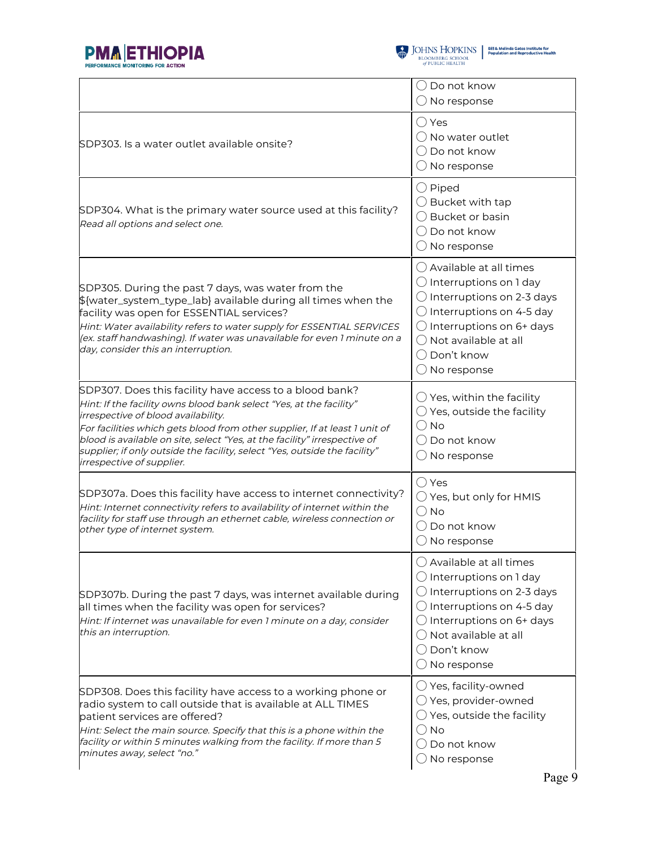



|                                                                                                                                                                                                                                                                                                                                                                                                                                             | ( ) Do not know<br>$\bigcirc$ No response                                                                                                                                                                                                                                         |  |
|---------------------------------------------------------------------------------------------------------------------------------------------------------------------------------------------------------------------------------------------------------------------------------------------------------------------------------------------------------------------------------------------------------------------------------------------|-----------------------------------------------------------------------------------------------------------------------------------------------------------------------------------------------------------------------------------------------------------------------------------|--|
| SDP303. Is a water outlet available onsite?                                                                                                                                                                                                                                                                                                                                                                                                 | () Yes<br>$\bigcap$ No water outlet<br>( ) Do not know<br>$\bigcirc$ No response                                                                                                                                                                                                  |  |
| SDP304. What is the primary water source used at this facility?<br>Read all options and select one.                                                                                                                                                                                                                                                                                                                                         | $\bigcirc$ Piped<br>$\bigcirc$ Bucket with tap<br>◯ Bucket or basin<br>$\bigcirc$ Do not know<br>$\bigcirc$ No response                                                                                                                                                           |  |
| SDP305. During the past 7 days, was water from the<br>\${water_system_type_lab} available during all times when the<br>facility was open for ESSENTIAL services?<br>Hint: Water availability refers to water supply for ESSENTIAL SERVICES<br>(ex. staff handwashing). If water was unavailable for even 1 minute on a<br>day, consider this an interruption.                                                                               | $\bigcirc$ Available at all times<br>$\bigcirc$ Interruptions on 1 day<br>$\bigcirc$ Interruptions on 2-3 days<br>$\bigcirc$ Interruptions on 4-5 day<br>$\bigcirc$ Interruptions on 6+ days<br>$\bigcap$ Not available at all<br>( ) Don't know<br>$\bigcirc$ No response        |  |
| SDP307. Does this facility have access to a blood bank?<br>Hint: If the facility owns blood bank select "Yes, at the facility"<br>irrespective of blood availability.<br>For facilities which gets blood from other supplier, If at least 1 unit of<br>blood is available on site, select "Yes, at the facility" irrespective of<br>supplier; if only outside the facility, select "Yes, outside the facility"<br>irrespective of supplier. | $\bigcirc$ Yes, within the facility<br>$\bigcirc$ Yes, outside the facility<br>() No<br>( ) Do not know<br>$\bigcirc$ No response                                                                                                                                                 |  |
| SDP307a. Does this facility have access to internet connectivity?<br>Hint: Internet connectivity refers to availability of internet within the<br>facility for staff use through an ethernet cable, wireless connection or<br>other type of internet system.                                                                                                                                                                                | $\bigcirc$ Yes<br>$\bigcirc$ Yes, but only for HMIS<br>() No<br>$\bigcirc$ Do not know<br>$\bigcirc$ No response                                                                                                                                                                  |  |
| SDP307b. During the past 7 days, was internet available during<br>all times when the facility was open for services?<br>Hint: If internet was unavailable for even 1 minute on a day, consider<br>this an interruption.                                                                                                                                                                                                                     | $\bigcirc$ Available at all times<br>$\bigcirc$ Interruptions on 1 day<br>$\bigcirc$ Interruptions on 2-3 days<br>$\bigcirc$ Interruptions on 4-5 day<br>$\bigcirc$ Interruptions on 6+ days<br>$\bigcap$ Not available at all<br>$\bigcirc$ Don't know<br>$\bigcirc$ No response |  |
| SDP308. Does this facility have access to a working phone or<br>radio system to call outside that is available at ALL TIMES<br>patient services are offered?<br>Hint: Select the main source. Specify that this is a phone within the<br>facility or within 5 minutes walking from the facility. If more than 5<br>minutes away, select "no."                                                                                               | $\bigcirc$ Yes, facility-owned<br>$\bigcirc$ Yes, provider-owned<br>$\bigcirc$ Yes, outside the facility<br>( ) No<br>Do not know<br>No response                                                                                                                                  |  |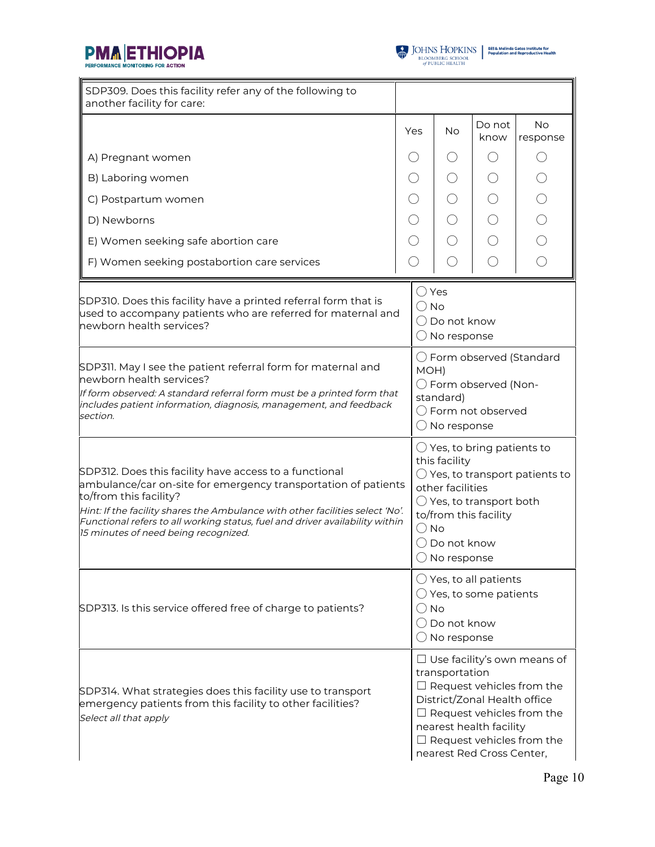



| SDP309. Does this facility refer any of the following to<br>another facility for care:                                                                                                                                                                                                                                                                      |                                                                                                                                                                                                                                                          |           |                |                       |
|-------------------------------------------------------------------------------------------------------------------------------------------------------------------------------------------------------------------------------------------------------------------------------------------------------------------------------------------------------------|----------------------------------------------------------------------------------------------------------------------------------------------------------------------------------------------------------------------------------------------------------|-----------|----------------|-----------------------|
|                                                                                                                                                                                                                                                                                                                                                             | Yes                                                                                                                                                                                                                                                      | <b>No</b> | Do not<br>know | <b>No</b><br>response |
| A) Pregnant women                                                                                                                                                                                                                                                                                                                                           | $( \ )$                                                                                                                                                                                                                                                  | ( )       | $($ )          | $( \ )$               |
| B) Laboring women                                                                                                                                                                                                                                                                                                                                           |                                                                                                                                                                                                                                                          | ( )       |                |                       |
| C) Postpartum women                                                                                                                                                                                                                                                                                                                                         |                                                                                                                                                                                                                                                          |           |                |                       |
| D) Newborns                                                                                                                                                                                                                                                                                                                                                 |                                                                                                                                                                                                                                                          |           |                | $\bigcirc$            |
| E) Women seeking safe abortion care                                                                                                                                                                                                                                                                                                                         |                                                                                                                                                                                                                                                          |           |                | $\bigcirc$            |
| F) Women seeking postabortion care services                                                                                                                                                                                                                                                                                                                 |                                                                                                                                                                                                                                                          |           |                | $\bigcirc$            |
| SDP310. Does this facility have a printed referral form that is<br>used to accompany patients who are referred for maternal and<br>newborn health services?                                                                                                                                                                                                 | $\bigcirc$ Yes<br>$\bigcirc$ No<br>$\bigcirc$ Do not know<br>$\bigcirc$ No response                                                                                                                                                                      |           |                |                       |
| SDP311. May I see the patient referral form for maternal and<br>newborn health services?<br>If form observed: A standard referral form must be a printed form that<br>includes patient information, diagnosis, management, and feedback<br>section.                                                                                                         | $\bigcirc$ Form observed (Standard<br>MOH)<br>◯ Form observed (Non-<br>standard)<br>$\bigcirc$ Form not observed<br>$\bigcirc$ No response                                                                                                               |           |                |                       |
| SDP312. Does this facility have access to a functional<br>ambulance/car on-site for emergency transportation of patients<br>to/from this facility?<br>Hint: If the facility shares the Ambulance with other facilities select 'No'.<br>Functional refers to all working status, fuel and driver availability within<br>15 minutes of need being recognized. | $\bigcirc$ Yes, to bring patients to<br>this facility<br>$\bigcirc$ Yes, to transport patients to<br>other facilities<br>$\bigcirc$ Yes, to transport both<br>to/from this facility<br>$\bigcirc$ No<br>$\bigcirc$ Do not know<br>$\bigcirc$ No response |           |                |                       |
| SDP313. Is this service offered free of charge to patients?                                                                                                                                                                                                                                                                                                 | $\bigcirc$ Yes, to all patients<br>$\bigcirc$ Yes, to some patients<br>$\bigcirc$ No<br>$\bigcirc$ Do not know<br>$\bigcirc$ No response                                                                                                                 |           |                |                       |
| SDP314. What strategies does this facility use to transport<br>emergency patients from this facility to other facilities?<br>Select all that apply                                                                                                                                                                                                          | $\Box$ Use facility's own means of<br>transportation<br>$\Box$ Request vehicles from the<br>District/Zonal Health office<br>$\Box$ Request vehicles from the<br>nearest health facility<br>$\Box$ Request vehicles from the<br>nearest Red Cross Center, |           |                |                       |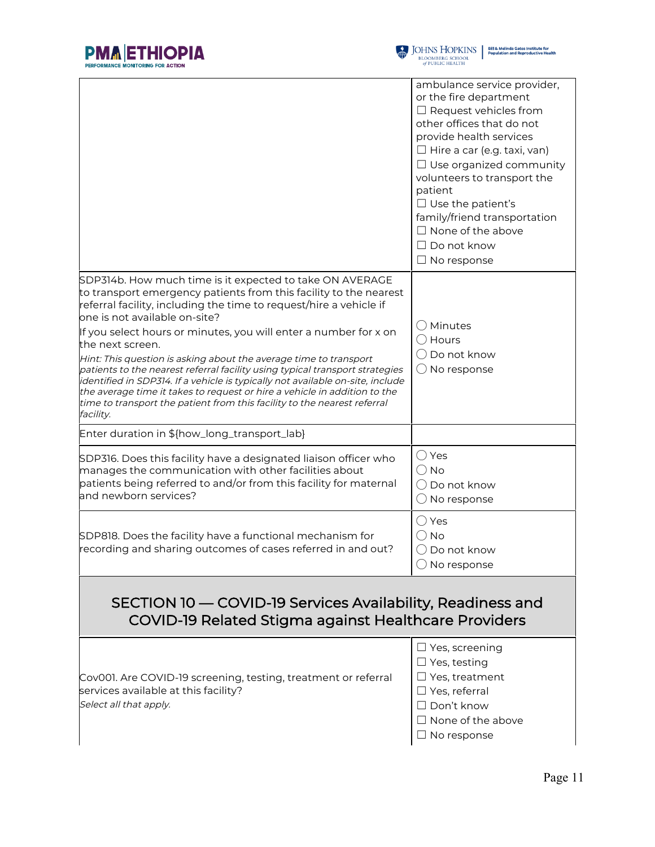

|                                                                                                                                                                                                                                                                                                                                                                                                                                                                                                                                                                                                                                                                                                                                           | ambulance service provider,<br>or the fire department<br>$\Box$ Request vehicles from<br>other offices that do not<br>provide health services<br>$\Box$ Hire a car (e.g. taxi, van)<br>$\Box$ Use organized community<br>volunteers to transport the<br>patient<br>$\Box$ Use the patient's<br>family/friend transportation<br>$\Box$ None of the above<br>$\Box$ Do not know<br>$\Box$ No response |  |
|-------------------------------------------------------------------------------------------------------------------------------------------------------------------------------------------------------------------------------------------------------------------------------------------------------------------------------------------------------------------------------------------------------------------------------------------------------------------------------------------------------------------------------------------------------------------------------------------------------------------------------------------------------------------------------------------------------------------------------------------|-----------------------------------------------------------------------------------------------------------------------------------------------------------------------------------------------------------------------------------------------------------------------------------------------------------------------------------------------------------------------------------------------------|--|
| SDP314b. How much time is it expected to take ON AVERAGE<br>to transport emergency patients from this facility to the nearest<br>referral facility, including the time to request/hire a vehicle if<br>one is not available on-site?<br>If you select hours or minutes, you will enter a number for x on<br>the next screen.<br>Hint: This question is asking about the average time to transport<br>patients to the nearest referral facility using typical transport strategies<br>identified in SDP314. If a vehicle is typically not available on-site, include<br>the average time it takes to request or hire a vehicle in addition to the<br>time to transport the patient from this facility to the nearest referral<br>facility. | $\bigcirc$ Minutes<br>$\bigcirc$ Hours<br>$\bigcirc$ Do not know<br>$\bigcirc$ No response                                                                                                                                                                                                                                                                                                          |  |
| Enter duration in \${how_long_transport_lab}                                                                                                                                                                                                                                                                                                                                                                                                                                                                                                                                                                                                                                                                                              |                                                                                                                                                                                                                                                                                                                                                                                                     |  |
| SDP316. Does this facility have a designated liaison officer who<br>manages the communication with other facilities about<br>patients being referred to and/or from this facility for maternal<br>and newborn services?                                                                                                                                                                                                                                                                                                                                                                                                                                                                                                                   | $\bigcirc$ Yes<br>$\bigcirc$ No<br>$\bigcirc$ Do not know<br>$\bigcirc$ No response                                                                                                                                                                                                                                                                                                                 |  |
| SDP818. Does the facility have a functional mechanism for<br>recording and sharing outcomes of cases referred in and out?                                                                                                                                                                                                                                                                                                                                                                                                                                                                                                                                                                                                                 | $\bigcirc$ Yes<br>$\bigcirc$ No<br>$\bigcirc$ Do not know<br>$\bigcirc$ No response                                                                                                                                                                                                                                                                                                                 |  |
| SECTION 10 — COVID-19 Services Availability, Readiness and<br>COVID-19 Related Stigma against Healthcare Providers                                                                                                                                                                                                                                                                                                                                                                                                                                                                                                                                                                                                                        |                                                                                                                                                                                                                                                                                                                                                                                                     |  |
| Cov001. Are COVID-19 screening, testing, treatment or referral<br>services available at this facility?<br>Select all that apply.                                                                                                                                                                                                                                                                                                                                                                                                                                                                                                                                                                                                          | $\Box$ Yes, screening<br>$\Box$ Yes, testing<br>$\Box$ Yes, treatment<br>$\Box$ Yes, referral<br>$\Box$ Don't know                                                                                                                                                                                                                                                                                  |  |

- ☐ Don't know
- ☐ None of the above
- ☐ No response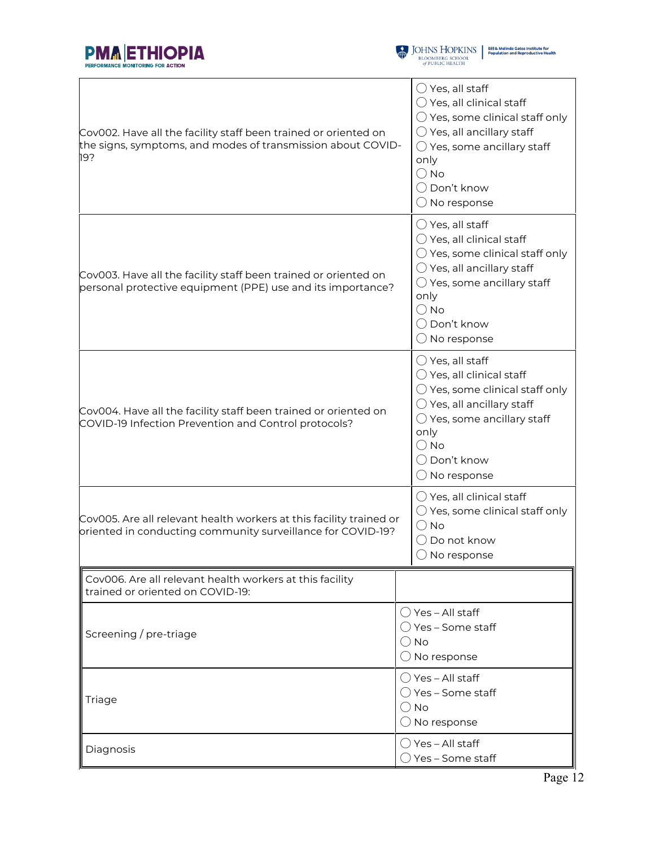



| Cov002. Have all the facility staff been trained or oriented on<br>the signs, symptoms, and modes of transmission about COVID-<br>19? | $\bigcirc$ Yes, all staff<br>$\bigcirc$ Yes, all clinical staff<br>$\bigcirc$ Yes, some clinical staff only<br>$\bigcirc$ Yes, all ancillary staff<br>$\bigcirc$ Yes, some ancillary staff<br>only<br>$\bigcirc$ No<br>◯ Don't know<br>$\bigcirc$ No response |  |  |
|---------------------------------------------------------------------------------------------------------------------------------------|---------------------------------------------------------------------------------------------------------------------------------------------------------------------------------------------------------------------------------------------------------------|--|--|
| Cov003. Have all the facility staff been trained or oriented on<br>personal protective equipment (PPE) use and its importance?        | $\bigcirc$ Yes, all staff<br>$\bigcirc$ Yes, all clinical staff<br>$\bigcirc$ Yes, some clinical staff only<br>$\bigcirc$ Yes, all ancillary staff<br>$\bigcirc$ Yes, some ancillary staff<br>only<br>$\bigcirc$ No<br>◯ Don't know<br>$\bigcirc$ No response |  |  |
| Cov004. Have all the facility staff been trained or oriented on<br>COVID-19 Infection Prevention and Control protocols?               | $\bigcirc$ Yes, all staff<br>$\bigcirc$ Yes, all clinical staff<br>$\bigcirc$ Yes, some clinical staff only<br>$\bigcirc$ Yes, all ancillary staff<br>$\bigcirc$ Yes, some ancillary staff<br>only<br>$\bigcirc$ No<br>◯ Don't know<br>$\bigcirc$ No response |  |  |
| Cov005. Are all relevant health workers at this facility trained or<br>oriented in conducting community surveillance for COVID-19?    | $\bigcirc$ Yes, all clinical staff<br>$\bigcirc$ Yes, some clinical staff only<br>$\bigcirc$ No<br>$\bigcirc$ Do not know<br>$\bigcirc$ No response                                                                                                           |  |  |
| Cov006. Are all relevant health workers at this facility<br>trained or oriented on COVID-19:                                          |                                                                                                                                                                                                                                                               |  |  |
| Screening / pre-triage                                                                                                                | () Yes – All staff<br>◯ Yes – Some staff<br>() No<br>$\bigcirc$ No response                                                                                                                                                                                   |  |  |
| Triage                                                                                                                                | ◯ Yes – All staff<br>$\bigcirc$ Yes – Some staff<br>() No<br>$\bigcirc$ No response                                                                                                                                                                           |  |  |
| Diagnosis                                                                                                                             | $\bigcirc$ Yes – All staff<br>$\bigcirc$ Yes – Some staff                                                                                                                                                                                                     |  |  |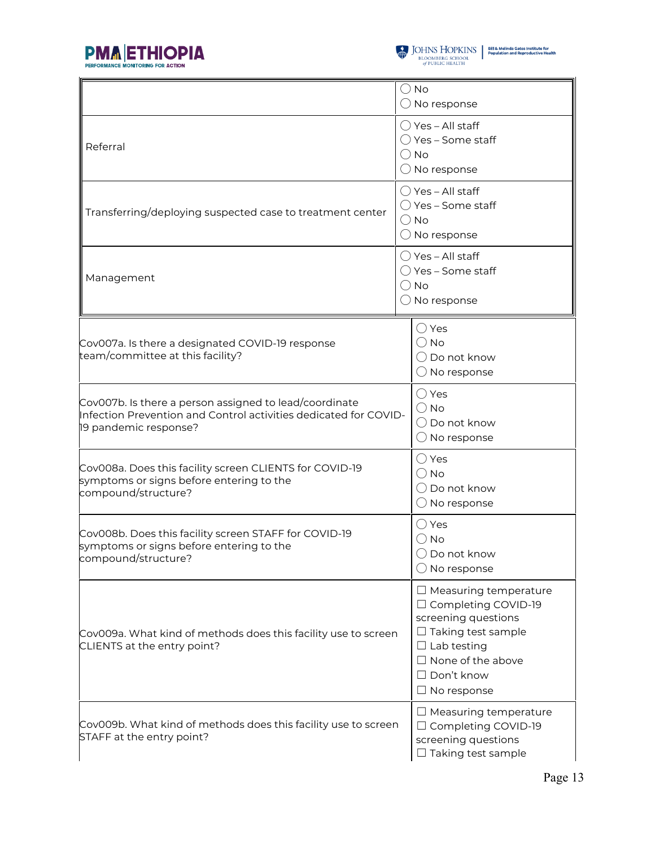



|                                                                                                                                                     | $\bigcirc$ No<br>$\bigcirc$ No response                                                                                                                                                                |  |  |  |
|-----------------------------------------------------------------------------------------------------------------------------------------------------|--------------------------------------------------------------------------------------------------------------------------------------------------------------------------------------------------------|--|--|--|
| Referral                                                                                                                                            | ◯ Yes - All staff<br>() Yes – Some staff<br>$\bigcirc$ No<br>$\bigcirc$ No response                                                                                                                    |  |  |  |
| Transferring/deploying suspected case to treatment center                                                                                           | $\bigcirc$ Yes - All staff<br>() Yes – Some staff<br>$\bigcirc$ No<br>$\bigcirc$ No response                                                                                                           |  |  |  |
| Management                                                                                                                                          | $\bigcirc$ Yes - All staff<br>$\bigcirc$ Yes – Some staff<br>$\bigcirc$ No<br>$\bigcirc$ No response                                                                                                   |  |  |  |
| Cov007a. Is there a designated COVID-19 response<br>team/committee at this facility?                                                                | $\bigcirc$ Yes<br>$\bigcirc$ No<br>$\bigcirc$ Do not know<br>$\bigcirc$ No response                                                                                                                    |  |  |  |
| Cov007b. Is there a person assigned to lead/coordinate<br>Infection Prevention and Control activities dedicated for COVID-<br>19 pandemic response? | $\bigcirc$ Yes<br>$\bigcirc$ No<br>$\bigcirc$ Do not know<br>$\bigcirc$ No response                                                                                                                    |  |  |  |
| Cov008a. Does this facility screen CLIENTS for COVID-19<br>symptoms or signs before entering to the<br>compound/structure?                          | $\bigcirc$ Yes<br>$\bigcirc$ No<br>◯ Do not know<br>$\bigcirc$ No response                                                                                                                             |  |  |  |
| Cov008b. Does this facility screen STAFF for COVID-19<br>symptoms or signs before entering to the<br>compound/structure?                            | $\bigcirc$ Yes<br>$\bigcirc$ No<br>$\bigcirc$ Do not know<br>$\bigcirc$ No response                                                                                                                    |  |  |  |
| Cov009a. What kind of methods does this facility use to screen<br>CLIENTS at the entry point?                                                       | $\Box$ Measuring temperature<br>□ Completing COVID-19<br>screening questions<br>$\Box$ Taking test sample<br>$\Box$ Lab testing<br>$\Box$ None of the above<br>$\Box$ Don't know<br>$\Box$ No response |  |  |  |
| Cov009b. What kind of methods does this facility use to screen<br>STAFF at the entry point?                                                         | $\Box$ Measuring temperature<br>□ Completing COVID-19<br>screening questions<br>Taking test sample                                                                                                     |  |  |  |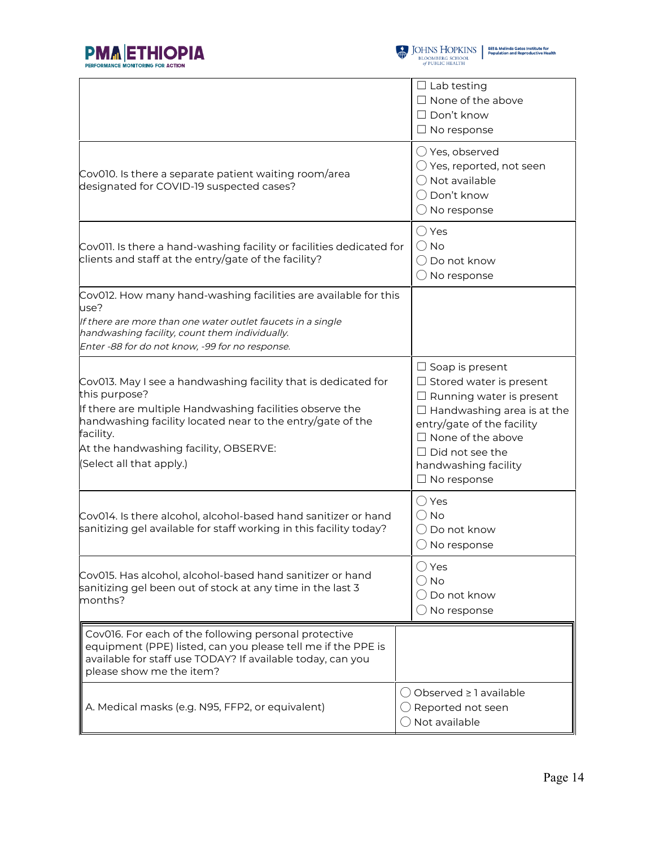



|                                                                                                                                                                                                                                                                                             | $\Box$ Lab testing<br>$\Box$ None of the above<br>$\Box$ Don't know<br>$\Box$ No response                                                                                                                                                                          |
|---------------------------------------------------------------------------------------------------------------------------------------------------------------------------------------------------------------------------------------------------------------------------------------------|--------------------------------------------------------------------------------------------------------------------------------------------------------------------------------------------------------------------------------------------------------------------|
| Cov010. Is there a separate patient waiting room/area<br>designated for COVID-19 suspected cases?                                                                                                                                                                                           | $\bigcirc$ Yes, observed<br>$\bigcirc$ Yes, reported, not seen<br>$\bigcirc$ Not available<br>◯ Don't know<br>$\bigcirc$ No response                                                                                                                               |
| Cov011. Is there a hand-washing facility or facilities dedicated for<br>clients and staff at the entry/gate of the facility?                                                                                                                                                                | $\bigcirc$ Yes<br>$()$ No<br>Do not know<br>$\bigcirc$ No response                                                                                                                                                                                                 |
| Cov012. How many hand-washing facilities are available for this<br>use?<br>If there are more than one water outlet faucets in a single<br>handwashing facility, count them individually.<br>Enter -88 for do not know, -99 for no response.                                                 |                                                                                                                                                                                                                                                                    |
| Cov013. May I see a handwashing facility that is dedicated for<br>this purpose?<br>If there are multiple Handwashing facilities observe the<br>handwashing facility located near to the entry/gate of the<br>facility.<br>At the handwashing facility, OBSERVE:<br>(Select all that apply.) | $\Box$ Soap is present<br>$\Box$ Stored water is present<br>$\Box$ Running water is present<br>$\Box$ Handwashing area is at the<br>entry/gate of the facility<br>$\Box$ None of the above<br>$\Box$ Did not see the<br>handwashing facility<br>$\Box$ No response |
| Cov014. Is there alcohol, alcohol-based hand sanitizer or hand<br>sanitizing gel available for staff working in this facility today?                                                                                                                                                        | ◯ Yes<br>() No<br>Do not know<br>$\bigcirc$ No response                                                                                                                                                                                                            |
| Cov015. Has alcohol, alcohol-based hand sanitizer or hand<br>sanitizing gel been out of stock at any time in the last 3<br>months?                                                                                                                                                          | $\bigcirc$ Yes<br>No<br>$\bigcirc$ Do not know<br>$\bigcirc$ No response                                                                                                                                                                                           |
| Cov016. For each of the following personal protective<br>equipment (PPE) listed, can you please tell me if the PPE is<br>available for staff use TODAY? If available today, can you<br>please show me the item?                                                                             |                                                                                                                                                                                                                                                                    |
| A. Medical masks (e.g. N95, FFP2, or equivalent)                                                                                                                                                                                                                                            | Observed $\geq$ 1 available<br>$($ )<br>Reported not seen<br>Not available                                                                                                                                                                                         |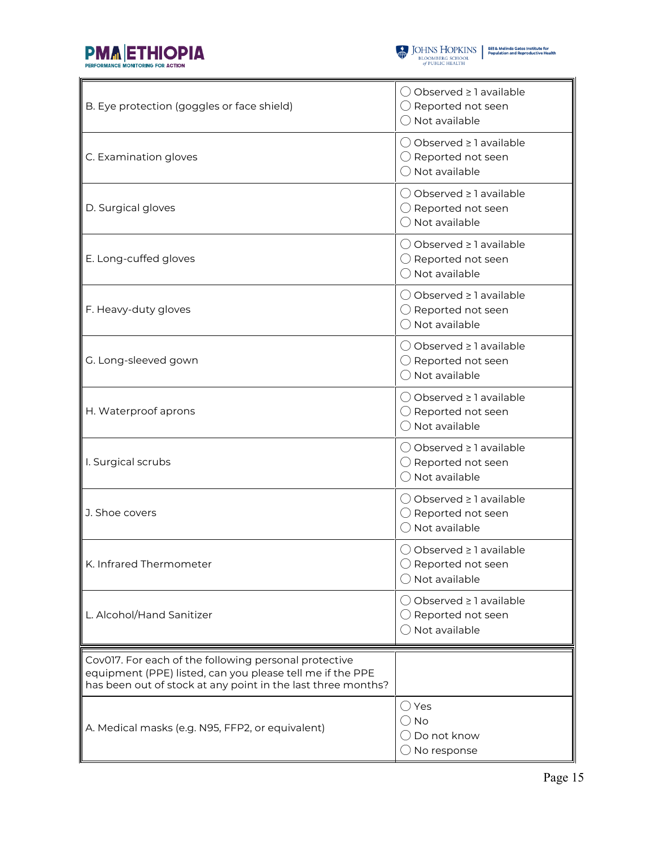



| B. Eye protection (goggles or face shield)                                                                                                                                         | () Observed ≥ 1 available<br>$\bigcirc$ Reported not seen<br>$\bigcirc$ Not available             |
|------------------------------------------------------------------------------------------------------------------------------------------------------------------------------------|---------------------------------------------------------------------------------------------------|
| C. Examination gloves                                                                                                                                                              | ◯ Observed ≥ 1 available<br>$\bigcirc$ Reported not seen<br>$\bigcirc$ Not available              |
| D. Surgical gloves                                                                                                                                                                 | ◯ Observed ≥ 1 available<br>$\bigcirc$ Reported not seen<br>$\bigcirc$ Not available              |
| E. Long-cuffed gloves                                                                                                                                                              | ◯ Observed ≥ 1 available<br>$\bigcirc$ Reported not seen<br>$\bigcirc$ Not available              |
| F. Heavy-duty gloves                                                                                                                                                               | $\bigcirc$ Observed $\geq$ 1 available<br>$\bigcirc$ Reported not seen<br>$\bigcap$ Not available |
| G. Long-sleeved gown                                                                                                                                                               | ◯ Observed ≥ 1 available<br>$\bigcirc$ Reported not seen<br>$\bigcap$ Not available               |
| H. Waterproof aprons                                                                                                                                                               | ◯ Observed ≥ 1 available<br>$\bigcirc$ Reported not seen<br>$\bigcirc$ Not available              |
| I. Surgical scrubs                                                                                                                                                                 | () Observed ≥ 1 available<br>$\bigcirc$ Reported not seen<br>$\bigcirc$ Not available             |
| J. Shoe covers                                                                                                                                                                     | () Observed ≥ 1 available<br>$\bigcirc$ Reported not seen<br>$\bigcirc$ Not available             |
| K. Infrared Thermometer                                                                                                                                                            | ○ Observed ≥ 1 available<br>$\bigcirc$ Reported not seen<br>$\bigcirc$ Not available              |
| L. Alcohol/Hand Sanitizer                                                                                                                                                          | ◯ Observed ≥ 1 available<br>$\bigcirc$ Reported not seen<br>$\bigcirc$ Not available              |
| Cov017. For each of the following personal protective<br>equipment (PPE) listed, can you please tell me if the PPE<br>has been out of stock at any point in the last three months? |                                                                                                   |
| A. Medical masks (e.g. N95, FFP2, or equivalent)                                                                                                                                   | $\bigcirc$ Yes<br>() No<br>$\bigcirc$ Do not know<br>$\bigcirc$ No response                       |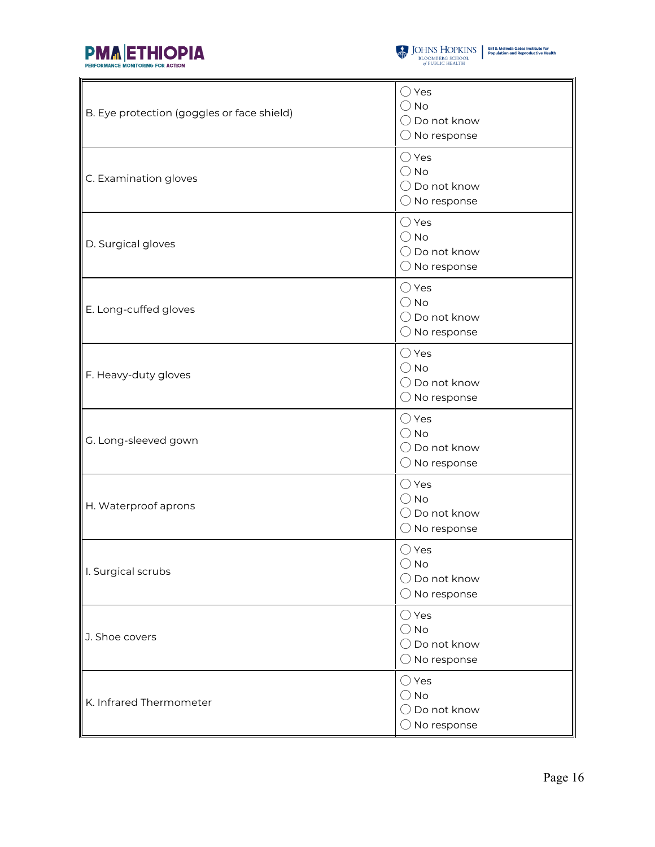



| B. Eye protection (goggles or face shield) | $\bigcirc$ Yes<br>$\bigcirc$ No<br>$\bigcirc$ Do not know<br>$\bigcirc$ No response |
|--------------------------------------------|-------------------------------------------------------------------------------------|
| C. Examination gloves                      | $\bigcirc$ Yes<br>$\bigcirc$ No<br>$\bigcirc$ Do not know<br>$\bigcirc$ No response |
| D. Surgical gloves                         | $\bigcirc$ Yes<br>$\bigcirc$ No<br>$\bigcirc$ Do not know<br>$\bigcirc$ No response |
| E. Long-cuffed gloves                      | $\bigcirc$ Yes<br>$\bigcirc$ No<br>$\bigcirc$ Do not know<br>$\bigcirc$ No response |
| F. Heavy-duty gloves                       | $\bigcirc$ Yes<br>$\bigcirc$ No<br>$\bigcirc$ Do not know<br>$\bigcirc$ No response |
| G. Long-sleeved gown                       | $\bigcirc$ Yes<br>$\bigcirc$ No<br>$\bigcirc$ Do not know<br>$\bigcirc$ No response |
| H. Waterproof aprons                       | $\bigcirc$ Yes<br>$\bigcirc$ No<br>$\bigcirc$ Do not know<br>$\bigcirc$ No response |
| I. Surgical scrubs                         | $\bigcirc$ Yes<br>$\bigcirc$ No<br>$\bigcirc$ Do not know<br>$\bigcirc$ No response |
| J. Shoe covers                             | $\bigcirc$ Yes<br>$\bigcirc$ No<br>$\bigcirc$ Do not know<br>$\bigcirc$ No response |
| K. Infrared Thermometer                    | $\bigcirc$ Yes<br>$\bigcirc$ No<br>$\bigcirc$ Do not know<br>$\bigcirc$ No response |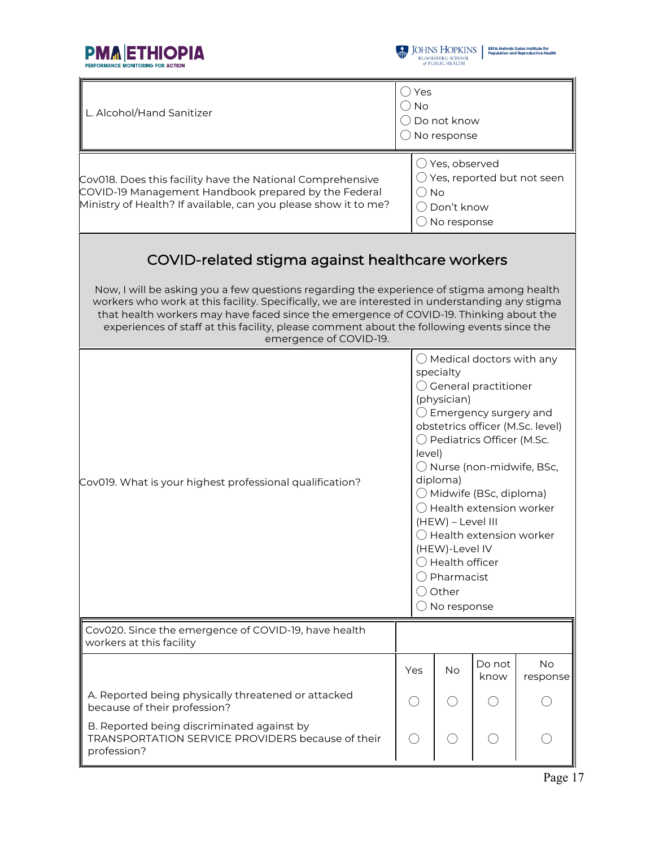



| L. Alcohol/Hand Sanitizer                                                                                                                                                                                                                                                                                                                                                                                                                                        | $\bigcirc$ Yes<br>$\bigcirc$ No<br>$\bigcirc$ Do not know<br>$\bigcirc$ No response                                                                                                                                                                                                                                                                                                                                                                                                               |           |                |                       |
|------------------------------------------------------------------------------------------------------------------------------------------------------------------------------------------------------------------------------------------------------------------------------------------------------------------------------------------------------------------------------------------------------------------------------------------------------------------|---------------------------------------------------------------------------------------------------------------------------------------------------------------------------------------------------------------------------------------------------------------------------------------------------------------------------------------------------------------------------------------------------------------------------------------------------------------------------------------------------|-----------|----------------|-----------------------|
| Cov018. Does this facility have the National Comprehensive<br>COVID-19 Management Handbook prepared by the Federal<br>Ministry of Health? If available, can you please show it to me?                                                                                                                                                                                                                                                                            | $\bigcirc$ Yes, observed<br>$\bigcirc$ Yes, reported but not seen<br>$\bigcirc$ No<br>◯ Don't know<br>$\bigcirc$ No response                                                                                                                                                                                                                                                                                                                                                                      |           |                |                       |
| COVID-related stigma against healthcare workers<br>Now, I will be asking you a few questions regarding the experience of stigma among health<br>workers who work at this facility. Specifically, we are interested in understanding any stigma<br>that health workers may have faced since the emergence of COVID-19. Thinking about the<br>experiences of staff at this facility, please comment about the following events since the<br>emergence of COVID-19. |                                                                                                                                                                                                                                                                                                                                                                                                                                                                                                   |           |                |                       |
| Cov019. What is your highest professional qualification?                                                                                                                                                                                                                                                                                                                                                                                                         | $\bigcirc$ Medical doctors with any<br>specialty<br>$\bigcirc$ General practitioner<br>(physician)<br>$\bigcirc$ Emergency surgery and<br>obstetrics officer (M.Sc. level)<br>◯ Pediatrics Officer (M.Sc.<br>level)<br>$\bigcirc$ Nurse (non-midwife, BSc,<br>diploma)<br>$\bigcirc$ Midwife (BSc, diploma)<br>◯ Health extension worker<br>(HEW) - Level III<br>$\bigcirc$ Health extension worker<br>(HEW)-Level IV<br>Health officer<br>Pharmacist<br>Other<br>$($ )<br>$\bigcirc$ No response |           |                |                       |
| Cov020. Since the emergence of COVID-19, have health<br>workers at this facility                                                                                                                                                                                                                                                                                                                                                                                 |                                                                                                                                                                                                                                                                                                                                                                                                                                                                                                   |           |                |                       |
|                                                                                                                                                                                                                                                                                                                                                                                                                                                                  | Yes                                                                                                                                                                                                                                                                                                                                                                                                                                                                                               | <b>No</b> | Do not<br>know | <b>No</b><br>response |
| A. Reported being physically threatened or attacked<br>because of their profession?                                                                                                                                                                                                                                                                                                                                                                              | $($ )                                                                                                                                                                                                                                                                                                                                                                                                                                                                                             |           |                |                       |
| B. Reported being discriminated against by<br>TRANSPORTATION SERVICE PROVIDERS because of their<br>profession?                                                                                                                                                                                                                                                                                                                                                   | $($ )                                                                                                                                                                                                                                                                                                                                                                                                                                                                                             | $($ )     | $( \ )$        |                       |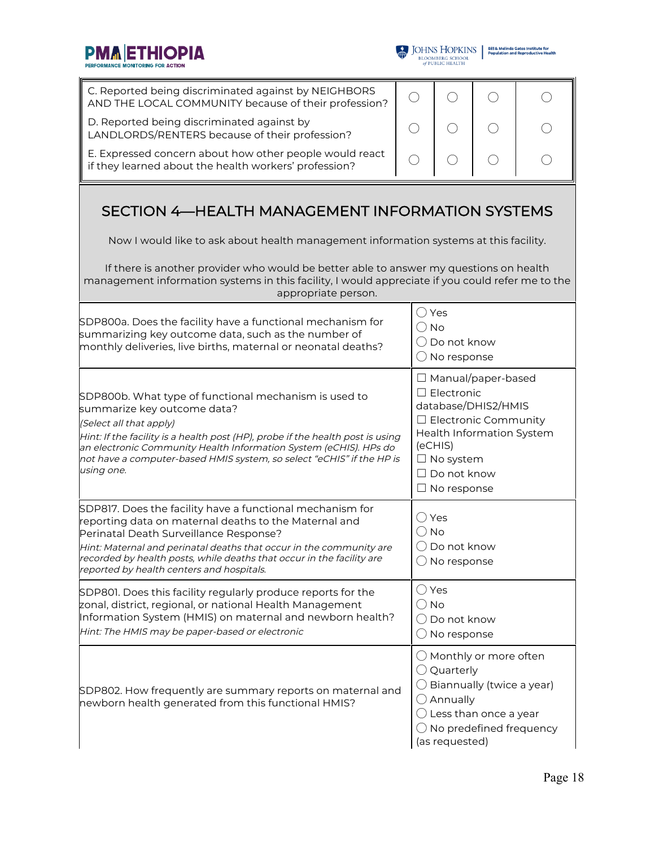PMA ETHIOPIA



| C. Reported being discriminated against by NEIGHBORS<br>AND THE LOCAL COMMUNITY because of their profession?                                                                                                                                                                                                                                                  | $( \ )$ | ( )                                                                                                                                                                                                          |        |  |  |  |  |  |
|---------------------------------------------------------------------------------------------------------------------------------------------------------------------------------------------------------------------------------------------------------------------------------------------------------------------------------------------------------------|---------|--------------------------------------------------------------------------------------------------------------------------------------------------------------------------------------------------------------|--------|--|--|--|--|--|
| D. Reported being discriminated against by<br>LANDLORDS/RENTERS because of their profession?                                                                                                                                                                                                                                                                  |         |                                                                                                                                                                                                              |        |  |  |  |  |  |
| E. Expressed concern about how other people would react<br>if they learned about the health workers' profession?                                                                                                                                                                                                                                              | $( \ )$ | ( )                                                                                                                                                                                                          | $(\ )$ |  |  |  |  |  |
| SECTION 4-HEALTH MANAGEMENT INFORMATION SYSTEMS                                                                                                                                                                                                                                                                                                               |         |                                                                                                                                                                                                              |        |  |  |  |  |  |
| Now I would like to ask about health management information systems at this facility.                                                                                                                                                                                                                                                                         |         |                                                                                                                                                                                                              |        |  |  |  |  |  |
| If there is another provider who would be better able to answer my questions on health<br>management information systems in this facility, I would appreciate if you could refer me to the<br>appropriate person.                                                                                                                                             |         |                                                                                                                                                                                                              |        |  |  |  |  |  |
| SDP800a. Does the facility have a functional mechanism for<br>summarizing key outcome data, such as the number of<br>monthly deliveries, live births, maternal or neonatal deaths?                                                                                                                                                                            |         | $\bigcirc$ Yes<br>$\bigcirc$ No<br>() Do not know<br>$\bigcirc$ No response                                                                                                                                  |        |  |  |  |  |  |
| SDP800b. What type of functional mechanism is used to<br>summarize key outcome data?<br>(Select all that apply)<br>Hint: If the facility is a health post (HP), probe if the health post is using<br>an electronic Community Health Information System (eCHIS). HPs do<br>not have a computer-based HMIS system, so select "eCHIS" if the HP is<br>using one. |         | $\Box$ Manual/paper-based<br>$\Box$ Electronic<br>database/DHIS2/HMIS<br>$\Box$ Electronic Community<br>Health Information System<br>(eCHIS)<br>$\Box$ No system<br>$\Box$ Do not know<br>$\Box$ No response |        |  |  |  |  |  |
| SDP817. Does the facility have a functional mechanism for<br>reporting data on maternal deaths to the Maternal and<br>Perinatal Death Surveillance Response?<br>Hint: Maternal and perinatal deaths that occur in the community are<br>recorded by health posts, while deaths that occur in the facility are<br>reported by health centers and hospitals.     |         | ○ Yes<br>$\bigcirc$ No<br>() Do not know<br>$\bigcirc$ No response                                                                                                                                           |        |  |  |  |  |  |
| SDP801. Does this facility regularly produce reports for the<br>zonal, district, regional, or national Health Management<br>Information System (HMIS) on maternal and newborn health?<br>Hint: The HMIS may be paper-based or electronic                                                                                                                      |         | $\bigcirc$ Yes<br>$\bigcirc$ No<br>$\bigcirc$ Do not know<br>$\bigcirc$ No response                                                                                                                          |        |  |  |  |  |  |
| SDP802. How frequently are summary reports on maternal and<br>newborn health generated from this functional HMIS?                                                                                                                                                                                                                                             |         | $\bigcirc$ Monthly or more often<br>$\bigcirc$ Quarterly<br>Biannually (twice a year)<br>$\bigcirc$ Annually<br>Less than once a year<br>$\bigcirc$ No predefined frequency<br>(as requested)                |        |  |  |  |  |  |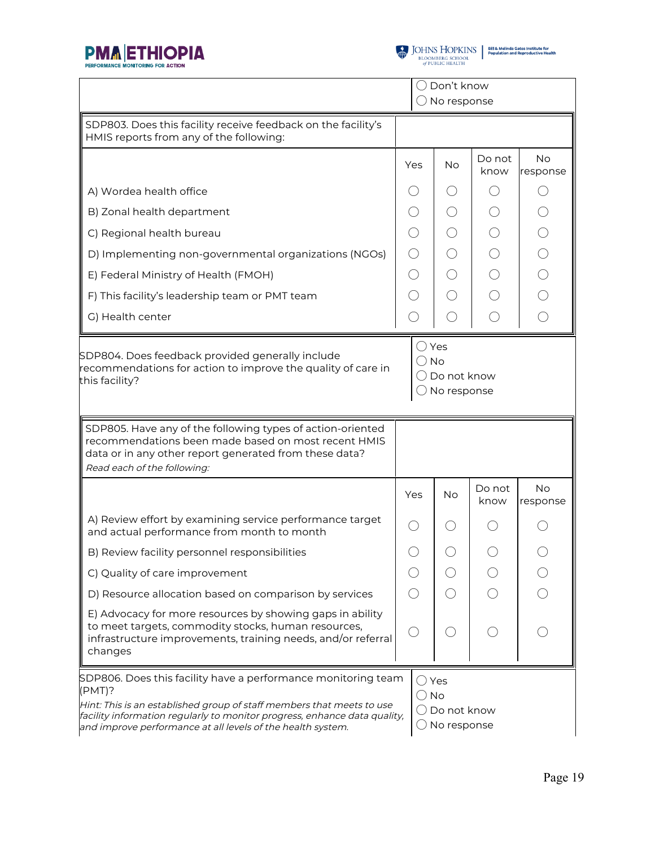

 $\begin{tabular}{l|c|c|c} \hline \textbf{J} & \textbf{JOHNS} & \textbf{HOPKINS} & \textbf{Bilä Melinda Gates instituta for}\\ \hline \textbf{BLOOMBERG SCHOOL} & \textbf{Population and Reproductive Health} \\ \hline \textit{of PUBLIC HEALTH} & \end{tabular}$ 

|                                                                                                                                                                                                            | ( ) Don't know<br>No response                                     |            |                |                                                   |
|------------------------------------------------------------------------------------------------------------------------------------------------------------------------------------------------------------|-------------------------------------------------------------------|------------|----------------|---------------------------------------------------|
| SDP803. Does this facility receive feedback on the facility's<br>HMIS reports from any of the following:                                                                                                   |                                                                   |            |                |                                                   |
|                                                                                                                                                                                                            | Yes                                                               | No         | Do not<br>know | <b>No</b><br>response                             |
| A) Wordea health office                                                                                                                                                                                    |                                                                   | ( )        |                |                                                   |
| B) Zonal health department                                                                                                                                                                                 | $($ )                                                             | $\bigcirc$ |                | $\bigcirc$                                        |
| C) Regional health bureau                                                                                                                                                                                  |                                                                   | $\bigcirc$ |                |                                                   |
| D) Implementing non-governmental organizations (NGOs)                                                                                                                                                      | ( )                                                               | ◯          |                | $\begin{array}{c}\n0 \\ 0 \\ 0 \\ 0\n\end{array}$ |
| E) Federal Ministry of Health (FMOH)                                                                                                                                                                       | $(\ )$                                                            | $\bigcirc$ |                |                                                   |
| F) This facility's leadership team or PMT team                                                                                                                                                             |                                                                   | ◯          |                |                                                   |
| G) Health center                                                                                                                                                                                           |                                                                   | ∩          | ◯              |                                                   |
| SDP804. Does feedback provided generally include<br>recommendations for action to improve the quality of care in<br>this facility?                                                                         | $\bigcirc$ Yes<br>$\bigcirc$ No<br>( ) Do not know<br>No response |            |                |                                                   |
|                                                                                                                                                                                                            |                                                                   |            |                |                                                   |
| SDP805. Have any of the following types of action-oriented<br>recommendations been made based on most recent HMIS<br>data or in any other report generated from these data?<br>Read each of the following: |                                                                   |            |                |                                                   |
|                                                                                                                                                                                                            | Yes                                                               | <b>No</b>  | Do not<br>know | <b>No</b><br>response                             |
| A) Review effort by examining service performance target<br>and actual performance from month to month                                                                                                     |                                                                   | $($ )      |                |                                                   |
| B) Review facility personnel responsibilities                                                                                                                                                              |                                                                   |            |                |                                                   |
| C) Quality of care improvement                                                                                                                                                                             |                                                                   |            |                |                                                   |
| D) Resource allocation based on comparison by services                                                                                                                                                     |                                                                   |            |                |                                                   |
| E) Advocacy for more resources by showing gaps in ability<br>to meet targets, commodity stocks, human resources,<br>infrastructure improvements, training needs, and/or referral<br>changes                |                                                                   |            |                |                                                   |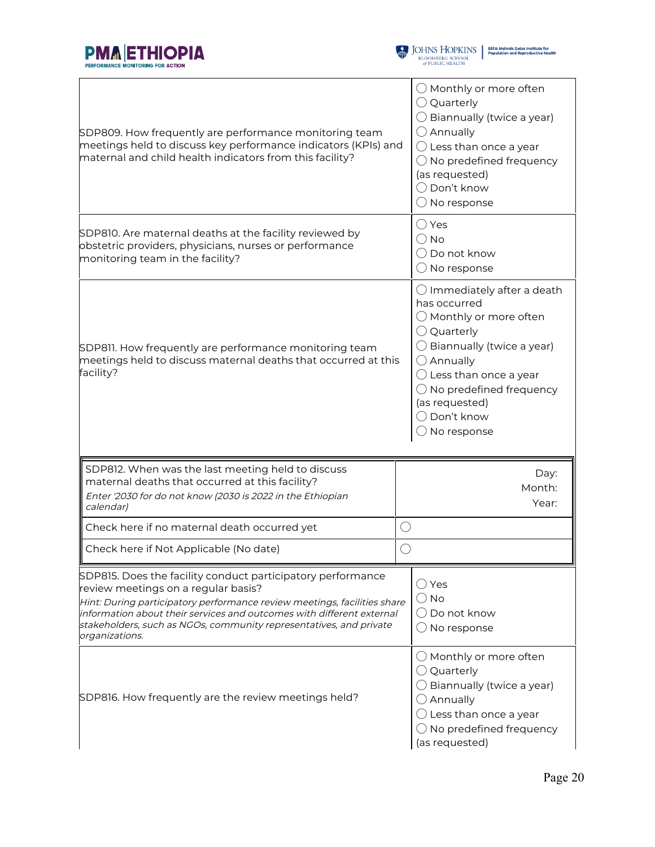



| SDP809. How frequently are performance monitoring team<br>meetings held to discuss key performance indicators (KPIs) and<br>maternal and child health indicators from this facility?                                                                                                                                                            | $\bigcirc$ Monthly or more often<br>$\bigcirc$ Quarterly<br>$\bigcirc$ Biannually (twice a year)<br>$\bigcirc$ Annually<br>$\bigcirc$ Less than once a year<br>$\bigcirc$ No predefined frequency<br>(as requested)<br>$\bigcirc$ Don't know<br>$\bigcirc$ No response                                                |
|-------------------------------------------------------------------------------------------------------------------------------------------------------------------------------------------------------------------------------------------------------------------------------------------------------------------------------------------------|-----------------------------------------------------------------------------------------------------------------------------------------------------------------------------------------------------------------------------------------------------------------------------------------------------------------------|
| SDP810. Are maternal deaths at the facility reviewed by<br>obstetric providers, physicians, nurses or performance<br>monitoring team in the facility?                                                                                                                                                                                           | $\bigcirc$ Yes<br>() No<br>$\bigcirc$ Do not know<br>$\bigcirc$ No response                                                                                                                                                                                                                                           |
| SDP811. How frequently are performance monitoring team<br>meetings held to discuss maternal deaths that occurred at this<br>facility?                                                                                                                                                                                                           | $\bigcirc$ Immediately after a death<br>has occurred<br>$\bigcirc$ Monthly or more often<br>$\bigcirc$ Quarterly<br>$\bigcirc$ Biannually (twice a year)<br>$\bigcirc$ Annually<br>$\bigcirc$ Less than once a year<br>$\bigcirc$ No predefined frequency<br>(as requested)<br>◯ Don't know<br>$\bigcirc$ No response |
| SDP812. When was the last meeting held to discuss<br>maternal deaths that occurred at this facility?<br>Enter '2030 for do not know (2030 is 2022 in the Ethiopian<br>calendar)                                                                                                                                                                 | Day:<br>Month:<br>Year:                                                                                                                                                                                                                                                                                               |
| Check here if no maternal death occurred yet                                                                                                                                                                                                                                                                                                    | ◯                                                                                                                                                                                                                                                                                                                     |
| Check here if Not Applicable (No date)                                                                                                                                                                                                                                                                                                          |                                                                                                                                                                                                                                                                                                                       |
| SDP815. Does the facility conduct participatory performance<br>review meetings on a regular basis?<br>Hint: During participatory performance review meetings, facilities share<br>information about their services and outcomes with different external<br>stakeholders, such as NGOs, community representatives, and private<br>organizations. | $\bigcirc$ Yes<br>$()$ No<br>$\bigcirc$ Do not know<br>No response                                                                                                                                                                                                                                                    |
| SDP816. How frequently are the review meetings held?                                                                                                                                                                                                                                                                                            | $\bigcirc$ Monthly or more often<br>$\bigcirc$ Quarterly<br>$\bigcirc$ Biannually (twice a year)<br>$\bigcirc$ Annually<br>$\bigcirc$ Less than once a year<br>$\bigcirc$ No predefined frequency<br>(as requested)                                                                                                   |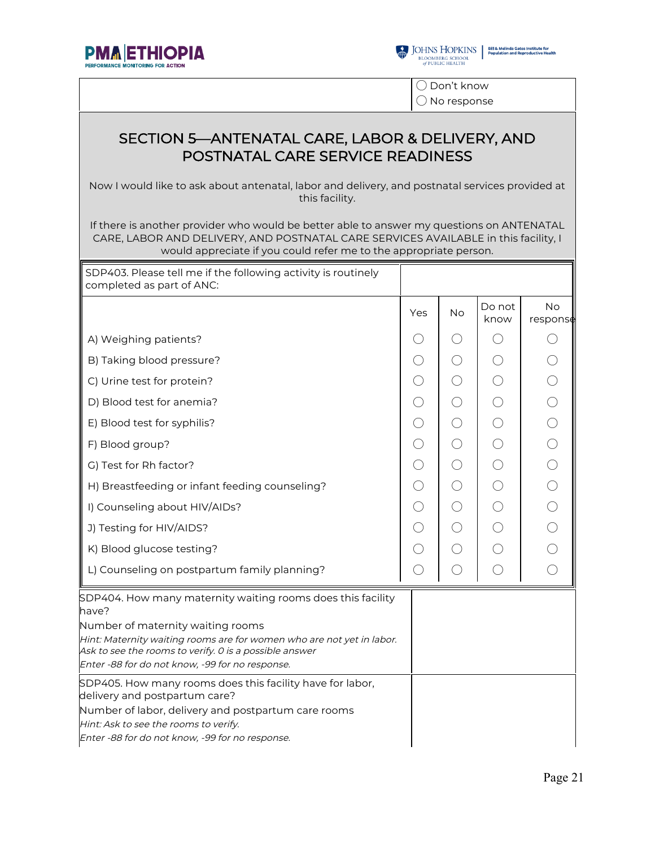



◯ Don't know ◯ No response

#### SECTION 5—ANTENATAL CARE, LABOR & DELIVERY, AND POSTNATAL CARE SERVICE READINESS

Now I would like to ask about antenatal, labor and delivery, and postnatal services provided at this facility.

If there is another provider who would be better able to answer my questions on ANTENATAL CARE, LABOR AND DELIVERY, AND POSTNATAL CARE SERVICES AVAILABLE in this facility, I would appreciate if you could refer me to the appropriate person.

| SDP403. Please tell me if the following activity is routinely<br>completed as part of ANC:                                                                                                                                                                                                      |            |                                             |                |                       |
|-------------------------------------------------------------------------------------------------------------------------------------------------------------------------------------------------------------------------------------------------------------------------------------------------|------------|---------------------------------------------|----------------|-----------------------|
|                                                                                                                                                                                                                                                                                                 | Yes        | No                                          | Do not<br>know | <b>No</b><br>respons# |
| A) Weighing patients?                                                                                                                                                                                                                                                                           | $( \ )$    | $($ )                                       | ( )            |                       |
| B) Taking blood pressure?                                                                                                                                                                                                                                                                       | $\bigcirc$ | ○                                           |                |                       |
| C) Urine test for protein?                                                                                                                                                                                                                                                                      | ◯          | $\bigcirc$                                  |                |                       |
| D) Blood test for anemia?                                                                                                                                                                                                                                                                       | ◯          | $(\ )$                                      | $( \ )$        |                       |
| E) Blood test for syphilis?                                                                                                                                                                                                                                                                     | $\bigcirc$ | $\bigcirc$                                  | ○              |                       |
| F) Blood group?                                                                                                                                                                                                                                                                                 | ◯          | $\left(\ \right)$                           | ()             |                       |
| G) Test for Rh factor?                                                                                                                                                                                                                                                                          | $\bigcirc$ | $\left(\ \right)$                           |                |                       |
| H) Breastfeeding or infant feeding counseling?                                                                                                                                                                                                                                                  | ○          | ( )                                         | ∩              |                       |
| I) Counseling about HIV/AIDs?                                                                                                                                                                                                                                                                   | ◯          | ○                                           | $(\ )$         |                       |
| J) Testing for HIV/AIDS?                                                                                                                                                                                                                                                                        | ○          | $\left(\ \right)$                           |                |                       |
| K) Blood glucose testing?                                                                                                                                                                                                                                                                       | ○          | $(\ )$                                      |                |                       |
| L) Counseling on postpartum family planning?                                                                                                                                                                                                                                                    | ◯          | $\left(\begin{array}{c} \end{array}\right)$ |                |                       |
| SDP404. How many maternity waiting rooms does this facility<br>have?<br>Number of maternity waiting rooms<br>Hint: Maternity waiting rooms are for women who are not yet in labor.<br>Ask to see the rooms to verify. O is a possible answer<br>Enter -88 for do not know, -99 for no response. |            |                                             |                |                       |
| SDP405. How many rooms does this facility have for labor,<br>delivery and postpartum care?<br>Number of labor, delivery and postpartum care rooms<br>Hint: Ask to see the rooms to verify.<br>Enter -88 for do not know, -99 for no response.                                                   |            |                                             |                |                       |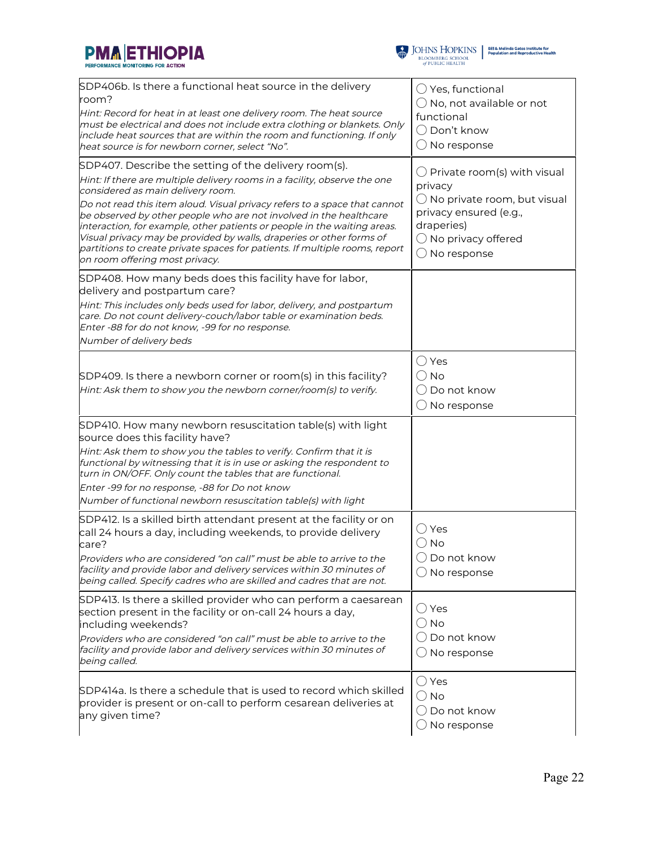



| SDP406b. Is there a functional heat source in the delivery<br>room?<br>Hint: Record for heat in at least one delivery room. The heat source<br>must be electrical and does not include extra clothing or blankets. Only<br>include heat sources that are within the room and functioning. If only<br>heat source is for newborn corner, select "No".                                                                                                                                                                                                                                            | $\bigcirc$ Yes, functional<br>$\bigcirc$ No, not available or not<br>functional<br>$\bigcirc$ Don't know<br>$\bigcirc$ No response                                                  |
|-------------------------------------------------------------------------------------------------------------------------------------------------------------------------------------------------------------------------------------------------------------------------------------------------------------------------------------------------------------------------------------------------------------------------------------------------------------------------------------------------------------------------------------------------------------------------------------------------|-------------------------------------------------------------------------------------------------------------------------------------------------------------------------------------|
| SDP407. Describe the setting of the delivery room(s).<br>Hint: If there are multiple delivery rooms in a facility, observe the one<br>considered as main delivery room.<br>Do not read this item aloud. Visual privacy refers to a space that cannot<br>be observed by other people who are not involved in the healthcare<br>interaction, for example, other patients or people in the waiting areas.<br>Visual privacy may be provided by walls, draperies or other forms of<br>partitions to create private spaces for patients. If multiple rooms, report<br>on room offering most privacy. | $\bigcirc$ Private room(s) with visual<br>privacy<br>$\bigcirc$ No private room, but visual<br>privacy ensured (e.g.,<br>draperies)<br>$\bigcirc$ No privacy offered<br>No response |
| SDP408. How many beds does this facility have for labor,<br>delivery and postpartum care?<br>Hint: This includes only beds used for labor, delivery, and postpartum<br>care. Do not count delivery-couch/labor table or examination beds.<br>Enter -88 for do not know, -99 for no response.<br>Number of delivery beds                                                                                                                                                                                                                                                                         |                                                                                                                                                                                     |
| $SDP409$ . Is there a newborn corner or room(s) in this facility?<br>Hint: Ask them to show you the newborn corner/room(s) to verify.                                                                                                                                                                                                                                                                                                                                                                                                                                                           | $\bigcirc$ Yes<br>() No<br>$\bigcirc$ Do not know<br>$\bigcirc$ No response                                                                                                         |
| SDP410. How many newborn resuscitation table(s) with light<br>source does this facility have?<br>Hint: Ask them to show you the tables to verify. Confirm that it is<br>functional by witnessing that it is in use or asking the respondent to<br>turn in ON/OFF. Only count the tables that are functional.<br>Enter -99 for no response, -88 for Do not know<br>Number of functional newborn resuscitation table(s) with light                                                                                                                                                                |                                                                                                                                                                                     |
| SDP412. Is a skilled birth attendant present at the facility or on<br>call 24 hours a day, including weekends, to provide delivery<br>care?<br>Providers who are considered "on call" must be able to arrive to the<br>facility and provide labor and delivery services within 30 minutes of<br>being called. Specify cadres who are skilled and cadres that are not.                                                                                                                                                                                                                           | ○ Yes<br>$\bigcirc$ No<br>$\bigcirc$ Do not know<br>$\bigcirc$ No response                                                                                                          |
| SDP413. Is there a skilled provider who can perform a caesarean<br>section present in the facility or on-call 24 hours a day,<br>including weekends?<br>Providers who are considered "on call" must be able to arrive to the<br>facility and provide labor and delivery services within 30 minutes of<br>being called.                                                                                                                                                                                                                                                                          | $\bigcirc$ Yes<br>$\bigcirc$ No<br>() Do not know<br>$\bigcirc$ No response                                                                                                         |
| SDP414a. Is there a schedule that is used to record which skilled<br>provider is present or on-call to perform cesarean deliveries at<br>any given time?                                                                                                                                                                                                                                                                                                                                                                                                                                        | $\bigcirc$ Yes<br>$\bigcirc$ No<br>() Do not know<br>$\bigcirc$ No response                                                                                                         |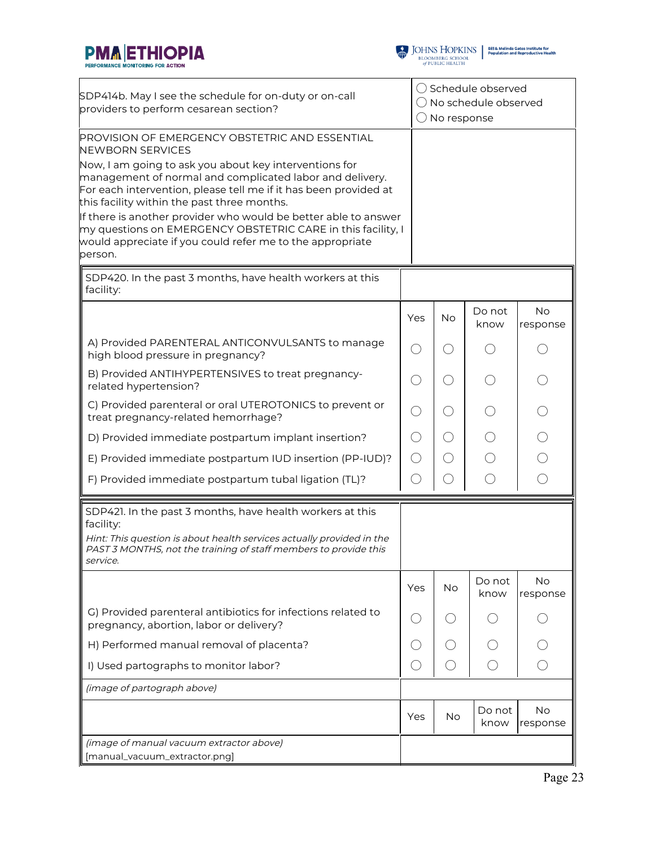



| SDP414b. May I see the schedule for on-duty or on-call<br>providers to perform cesarean section?                                                                                                                                                                                                                                                                                                                                                 |                   | ◯ Schedule observed<br>$\bigcap$ No schedule observed<br>$\bigcirc$ No response |                |                       |  |
|--------------------------------------------------------------------------------------------------------------------------------------------------------------------------------------------------------------------------------------------------------------------------------------------------------------------------------------------------------------------------------------------------------------------------------------------------|-------------------|---------------------------------------------------------------------------------|----------------|-----------------------|--|
| PROVISION OF EMERGENCY OBSTETRIC AND ESSENTIAL<br><b>NEWBORN SERVICES</b>                                                                                                                                                                                                                                                                                                                                                                        |                   |                                                                                 |                |                       |  |
| Now, I am going to ask you about key interventions for<br>management of normal and complicated labor and delivery.<br>For each intervention, please tell me if it has been provided at<br>this facility within the past three months.<br>If there is another provider who would be better able to answer<br>my questions on EMERGENCY OBSTETRIC CARE in this facility, I<br>would appreciate if you could refer me to the appropriate<br>person. |                   |                                                                                 |                |                       |  |
| SDP420. In the past 3 months, have health workers at this<br>facility:                                                                                                                                                                                                                                                                                                                                                                           |                   |                                                                                 |                |                       |  |
|                                                                                                                                                                                                                                                                                                                                                                                                                                                  | Yes               | <b>No</b>                                                                       | Do not<br>know | <b>No</b><br>response |  |
| A) Provided PARENTERAL ANTICONVULSANTS to manage<br>high blood pressure in pregnancy?                                                                                                                                                                                                                                                                                                                                                            | $( \ )$           | ( )                                                                             |                |                       |  |
| B) Provided ANTIHYPERTENSIVES to treat pregnancy-<br>related hypertension?                                                                                                                                                                                                                                                                                                                                                                       | ()                | $\bigcirc$                                                                      |                |                       |  |
| C) Provided parenteral or oral UTEROTONICS to prevent or<br>treat pregnancy-related hemorrhage?                                                                                                                                                                                                                                                                                                                                                  | $( \ )$           | $\bigcirc$                                                                      |                |                       |  |
| D) Provided immediate postpartum implant insertion?                                                                                                                                                                                                                                                                                                                                                                                              | $\left(\ \right)$ | $\bigcirc$                                                                      |                |                       |  |
| E) Provided immediate postpartum IUD insertion (PP-IUD)?                                                                                                                                                                                                                                                                                                                                                                                         | ◯                 | O                                                                               |                |                       |  |
| F) Provided immediate postpartum tubal ligation (TL)?                                                                                                                                                                                                                                                                                                                                                                                            | $(\ )$            | O                                                                               | $(\ )$         | ⌒                     |  |
| SDP421. In the past 3 months, have health workers at this                                                                                                                                                                                                                                                                                                                                                                                        |                   |                                                                                 |                |                       |  |
| facility:<br>Hint: This question is about health services actually provided in the<br>PAST 3 MONTHS, not the training of staff members to provide this<br>service.                                                                                                                                                                                                                                                                               |                   |                                                                                 |                |                       |  |
|                                                                                                                                                                                                                                                                                                                                                                                                                                                  | Yes               | No                                                                              | Do not<br>know | No<br>response        |  |
| G) Provided parenteral antibiotics for infections related to<br>pregnancy, abortion, labor or delivery?                                                                                                                                                                                                                                                                                                                                          |                   |                                                                                 |                |                       |  |
| H) Performed manual removal of placenta?                                                                                                                                                                                                                                                                                                                                                                                                         |                   |                                                                                 |                |                       |  |
| I) Used partographs to monitor labor?                                                                                                                                                                                                                                                                                                                                                                                                            | ( )               |                                                                                 |                |                       |  |
| (image of partograph above)                                                                                                                                                                                                                                                                                                                                                                                                                      |                   |                                                                                 |                |                       |  |
|                                                                                                                                                                                                                                                                                                                                                                                                                                                  | Yes               | No                                                                              | Do not<br>know | No<br>response        |  |
| (image of manual vacuum extractor above)<br>[manual_vacuum_extractor.png]                                                                                                                                                                                                                                                                                                                                                                        |                   |                                                                                 |                |                       |  |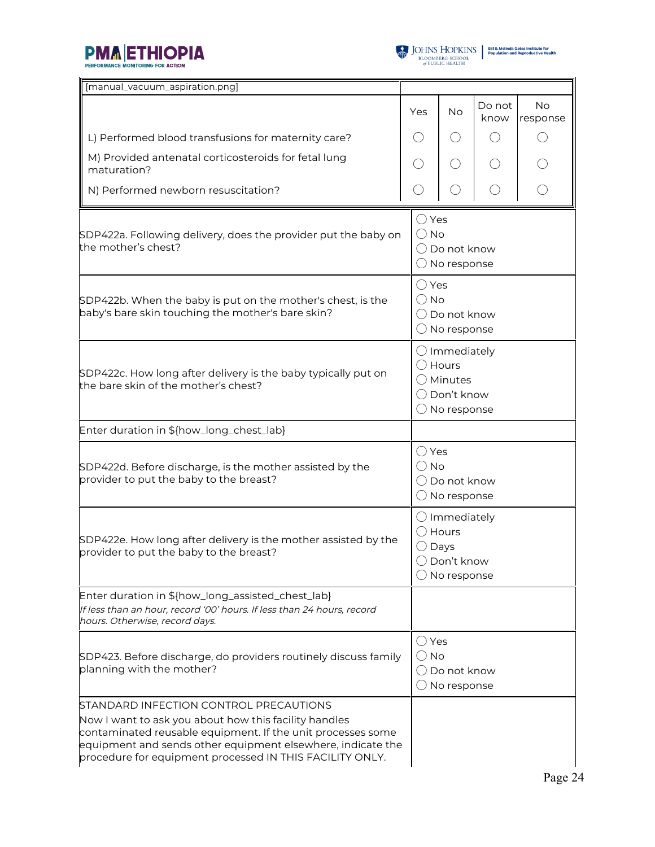



| [manual_vacuum_aspiration.png]                                                                                                                                                                                                                                                            |                                 |                                                                                                                     |                |                       |  |
|-------------------------------------------------------------------------------------------------------------------------------------------------------------------------------------------------------------------------------------------------------------------------------------------|---------------------------------|---------------------------------------------------------------------------------------------------------------------|----------------|-----------------------|--|
|                                                                                                                                                                                                                                                                                           | Yes                             | No                                                                                                                  | Do not<br>know | <b>No</b><br>response |  |
| L) Performed blood transfusions for maternity care?                                                                                                                                                                                                                                       |                                 | $($ )                                                                                                               |                |                       |  |
| M) Provided antenatal corticosteroids for fetal lung<br>maturation?                                                                                                                                                                                                                       |                                 | $\left(\begin{array}{c} \end{array}\right)$                                                                         |                |                       |  |
| N) Performed newborn resuscitation?                                                                                                                                                                                                                                                       |                                 |                                                                                                                     |                |                       |  |
| SDP422a. Following delivery, does the provider put the baby on<br>the mother's chest?                                                                                                                                                                                                     | $\bigcirc$ Yes<br>$\bigcirc$ No | $\bigcirc$ Do not know<br>$\bigcirc$ No response                                                                    |                |                       |  |
| SDP422b. When the baby is put on the mother's chest, is the<br>baby's bare skin touching the mother's bare skin?                                                                                                                                                                          |                                 | $\bigcirc$ Yes<br>$\bigcirc$ No<br>$\bigcirc$ Do not know<br>$\bigcirc$ No response                                 |                |                       |  |
| SDP422c. How long after delivery is the baby typically put on<br>the bare skin of the mother's chest?                                                                                                                                                                                     |                                 | $\bigcirc$ Immediately<br>$\bigcirc$ Hours<br>$\bigcirc$ Minutes<br>$\bigcirc$ Don't know<br>$\bigcirc$ No response |                |                       |  |
| Enter duration in \${how_long_chest_lab}                                                                                                                                                                                                                                                  |                                 |                                                                                                                     |                |                       |  |
| SDP422d. Before discharge, is the mother assisted by the<br>provider to put the baby to the breast?                                                                                                                                                                                       | $\bigcirc$ Yes<br>$\bigcirc$ No | $\bigcirc$ Do not know<br>No response                                                                               |                |                       |  |
| SDP422e. How long after delivery is the mother assisted by the<br>provider to put the baby to the breast?                                                                                                                                                                                 |                                 | $\bigcirc$ Immediately<br>Hours<br>Days<br>$\bigcirc$ Don't know<br>$\bigcirc$ No response                          |                |                       |  |
| Enter duration in \${how_long_assisted_chest_lab}<br>If less than an hour, record '00' hours. If less than 24 hours, record<br>hours. Otherwise, record days.                                                                                                                             |                                 |                                                                                                                     |                |                       |  |
| SDP423. Before discharge, do providers routinely discuss family<br>planning with the mother?                                                                                                                                                                                              | ○ Yes<br>No                     | Do not know<br>No response                                                                                          |                |                       |  |
| STANDARD INFECTION CONTROL PRECAUTIONS<br>Now I want to ask you about how this facility handles<br>contaminated reusable equipment. If the unit processes some<br>equipment and sends other equipment elsewhere, indicate the<br>procedure for equipment processed IN THIS FACILITY ONLY. |                                 |                                                                                                                     |                |                       |  |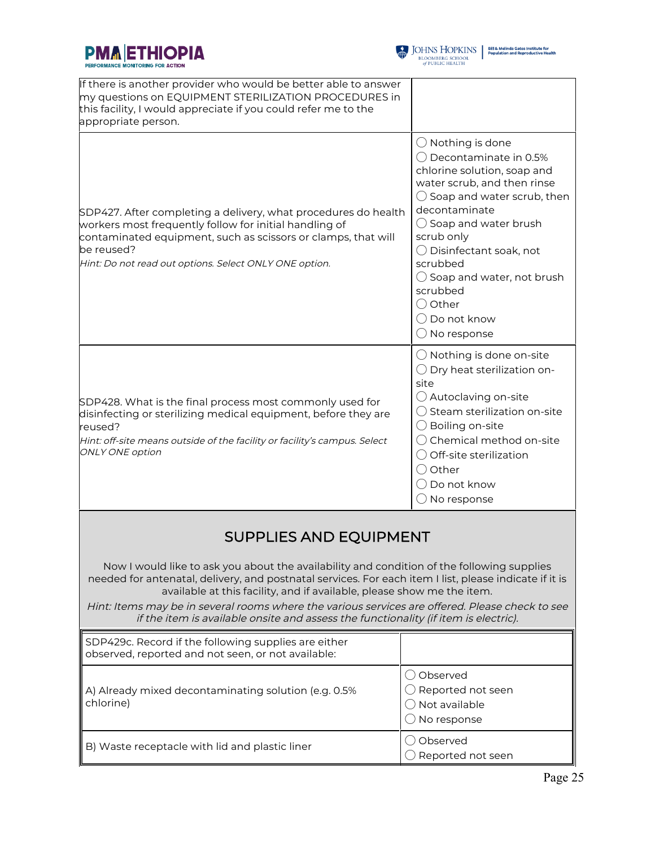



| If there is another provider who would be better able to answer<br>my questions on EQUIPMENT STERILIZATION PROCEDURES in<br>this facility, I would appreciate if you could refer me to the<br>appropriate person.                                                 |                                                                                                                                                                                                                                                                                                                                                                                                             |
|-------------------------------------------------------------------------------------------------------------------------------------------------------------------------------------------------------------------------------------------------------------------|-------------------------------------------------------------------------------------------------------------------------------------------------------------------------------------------------------------------------------------------------------------------------------------------------------------------------------------------------------------------------------------------------------------|
| SDP427. After completing a delivery, what procedures do health<br>workers most frequently follow for initial handling of<br>contaminated equipment, such as scissors or clamps, that will<br>be reused?<br>Hint: Do not read out options. Select ONLY ONE option. | $\bigcirc$ Nothing is done<br>◯ Decontaminate in 0.5%<br>chlorine solution, soap and<br>water scrub, and then rinse<br>$\bigcirc$ Soap and water scrub, then<br>decontaminate<br>$\bigcirc$ Soap and water brush<br>scrub only<br>$\bigcirc$ Disinfectant soak, not<br>scrubbed<br>$\bigcirc$ Soap and water, not brush<br>scrubbed<br>$\bigcirc$ Other<br>$\bigcirc$ Do not know<br>$\bigcirc$ No response |
| SDP428. What is the final process most commonly used for<br>disinfecting or sterilizing medical equipment, before they are<br>reused?<br>Hint: off-site means outside of the facility or facility's campus. Select<br><b>ONLY ONE option</b>                      | $\bigcirc$ Nothing is done on-site<br>$\bigcirc$ Dry heat sterilization on-<br>site<br>$\bigcirc$ Autoclaving on-site<br>Steam sterilization on-site<br>$\bigcirc$ Boiling on-site<br>$\bigcirc$ Chemical method on-site<br>$\bigcirc$ Off-site sterilization<br>$\bigcirc$ Other<br>( ) Do not know<br>$\bigcirc$ No response                                                                              |

## SUPPLIES AND EQUIPMENT

Now I would like to ask you about the availability and condition of the following supplies needed for antenatal, delivery, and postnatal services. For each item I list, please indicate if it is available at this facility, and if available, please show me the item.

Hint: Items may be in several rooms where the various services are offered. Please check to see if the item is available onsite and assess the functionality (if item is electric).

| SDP429c. Record if the following supplies are either<br>observed, reported and not seen, or not available: |                                                                                               |
|------------------------------------------------------------------------------------------------------------|-----------------------------------------------------------------------------------------------|
| A) Already mixed decontaminating solution (e.g. 0.5%<br>chlorine)                                          | Observed<br>$\bigcirc$ Reported not seen<br>$\bigcirc$ Not available<br>$\supset$ No response |
| B) Waste receptacle with lid and plastic liner                                                             | Observed<br>Reported not seen                                                                 |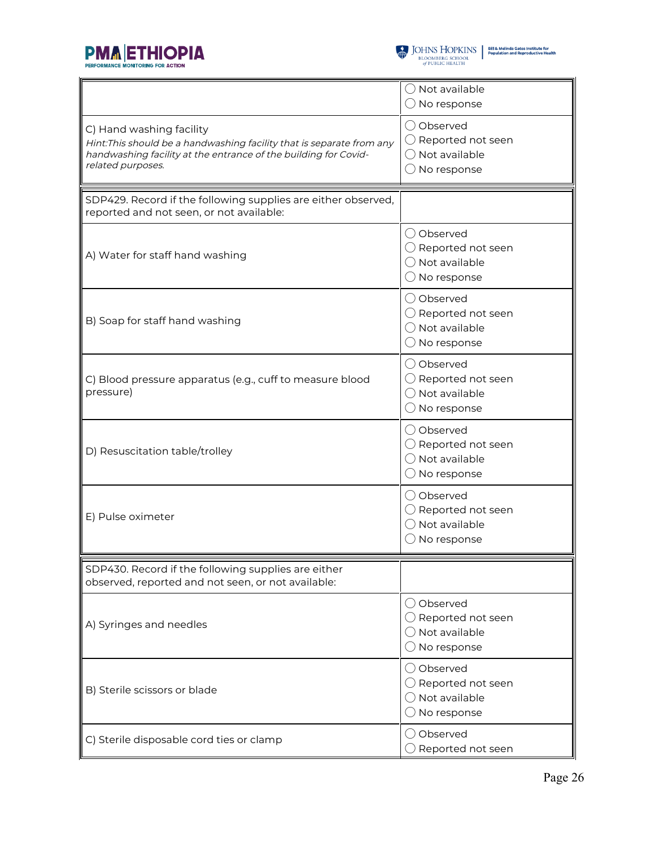



|                                                                                                                                                                                           | $\bigcirc$ Not available<br>$\bigcirc$ No response                                                |
|-------------------------------------------------------------------------------------------------------------------------------------------------------------------------------------------|---------------------------------------------------------------------------------------------------|
| C) Hand washing facility<br>Hint: This should be a handwashing facility that is separate from any<br>handwashing facility at the entrance of the building for Covid-<br>related purposes. | ◯ Observed<br>$\bigcirc$ Reported not seen<br>$\bigcirc$ Not available<br>$\bigcirc$ No response  |
| SDP429. Record if the following supplies are either observed,<br>reported and not seen, or not available:                                                                                 |                                                                                                   |
| A) Water for staff hand washing                                                                                                                                                           | () Observed<br>$\bigcirc$ Reported not seen<br>$\bigcirc$ Not available<br>$\bigcirc$ No response |
| B) Soap for staff hand washing                                                                                                                                                            | ◯ Observed<br>$\bigcirc$ Reported not seen<br>◯ Not available<br>$\bigcirc$ No response           |
| C) Blood pressure apparatus (e.g., cuff to measure blood<br>pressure)                                                                                                                     | ◯ Observed<br>$\bigcirc$ Reported not seen<br>$\bigcirc$ Not available<br>$\bigcirc$ No response  |
| D) Resuscitation table/trolley                                                                                                                                                            | ◯ Observed<br>$\bigcirc$ Reported not seen<br>$\bigcirc$ Not available<br>$\bigcirc$ No response  |
| E) Pulse oximeter                                                                                                                                                                         | () Observed<br>$\bigcirc$ Reported not seen<br>$\bigcirc$ Not available<br>$\bigcirc$ No response |
| SDP430. Record if the following supplies are either<br>observed, reported and not seen, or not available:                                                                                 |                                                                                                   |
| A) Syringes and needles                                                                                                                                                                   | () Observed<br>$\bigcirc$ Reported not seen<br>$\bigcirc$ Not available<br>$\bigcirc$ No response |
| B) Sterile scissors or blade                                                                                                                                                              | O Observed<br>$\bigcirc$ Reported not seen<br>$\bigcirc$ Not available<br>$\bigcirc$ No response  |
| C) Sterile disposable cord ties or clamp                                                                                                                                                  | () Observed<br>$\bigcirc$ Reported not seen                                                       |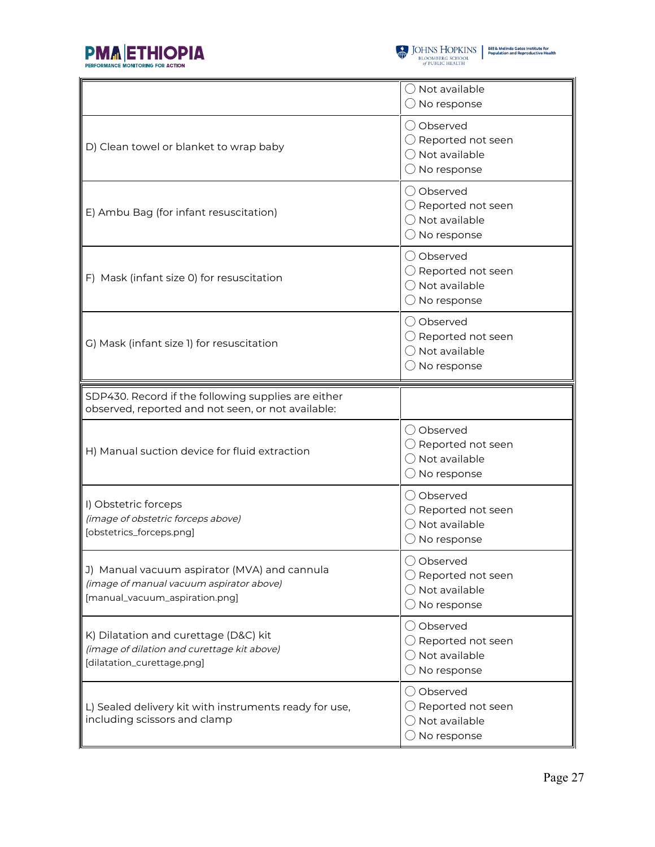



|                                                                                                                            | ◯ Not available<br>$\bigcirc$ No response                                                         |
|----------------------------------------------------------------------------------------------------------------------------|---------------------------------------------------------------------------------------------------|
| D) Clean towel or blanket to wrap baby                                                                                     | ◯ Observed<br>$\bigcirc$ Reported not seen<br>$\bigcirc$ Not available<br>$\bigcirc$ No response  |
| E) Ambu Bag (for infant resuscitation)                                                                                     | O Observed<br>$\bigcirc$ Reported not seen<br>◯ Not available<br>$\bigcirc$ No response           |
| F) Mask (infant size 0) for resuscitation                                                                                  | () Observed<br>$\bigcirc$ Reported not seen<br>$\bigcirc$ Not available<br>$\bigcirc$ No response |
| G) Mask (infant size 1) for resuscitation                                                                                  | () Observed<br>$\bigcirc$ Reported not seen<br>$\bigcirc$ Not available<br>$\bigcirc$ No response |
| SDP430. Record if the following supplies are either<br>observed, reported and not seen, or not available:                  |                                                                                                   |
|                                                                                                                            | () Observed                                                                                       |
| H) Manual suction device for fluid extraction                                                                              | $\bigcirc$ Reported not seen<br>$\bigcirc$ Not available<br>$\bigcirc$ No response                |
| I) Obstetric forceps<br>(image of obstetric forceps above)<br>[obstetrics_forceps.png]                                     | () Observed<br>$\bigcirc$ Reported not seen<br>◯ Not available<br>$\bigcirc$ No response          |
| J) Manual vacuum aspirator (MVA) and cannula<br>(image of manual vacuum aspirator above)<br>[manual_vacuum_aspiration.png] | ◯ Observed<br>$\bigcirc$ Reported not seen<br>◯ Not available<br>$\bigcirc$ No response           |
| K) Dilatation and curettage (D&C) kit<br>(image of dilation and curettage kit above)<br>[dilatation_curettage.png]         | ◯ Observed<br>$\bigcirc$ Reported not seen<br>$\bigcirc$ Not available<br>$\bigcirc$ No response  |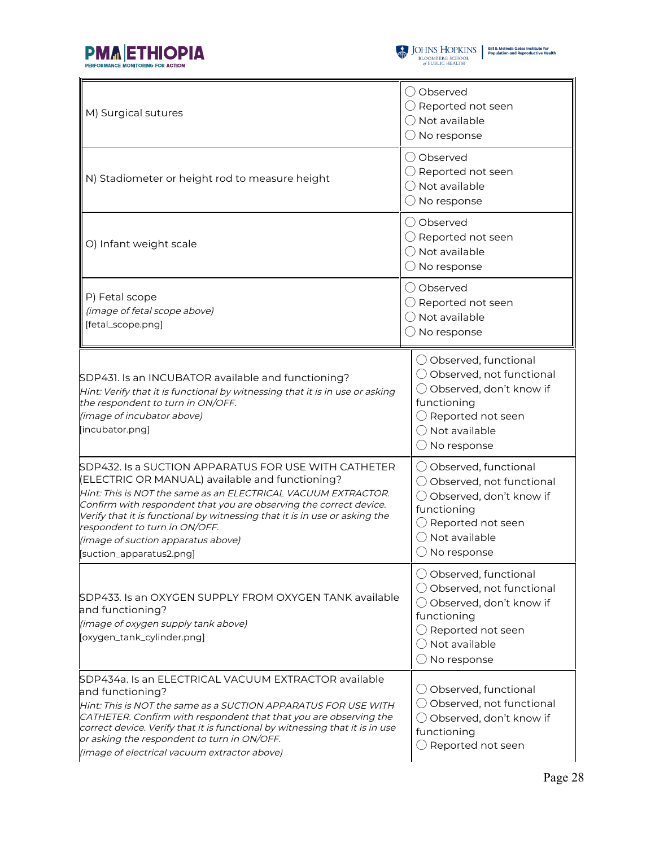



| M) Surgical sutures                                                                                                                                                                                                                                                                                                                                                                                                             | () Observed<br>$\bigcirc$ Reported not seen<br>$\bigcirc$ Not available<br>$\bigcirc$ No response                                                                                                        |  |  |
|---------------------------------------------------------------------------------------------------------------------------------------------------------------------------------------------------------------------------------------------------------------------------------------------------------------------------------------------------------------------------------------------------------------------------------|----------------------------------------------------------------------------------------------------------------------------------------------------------------------------------------------------------|--|--|
| N) Stadiometer or height rod to measure height                                                                                                                                                                                                                                                                                                                                                                                  | () Observed<br>$\bigcirc$ Reported not seen<br>Not available<br>No response                                                                                                                              |  |  |
| O) Infant weight scale                                                                                                                                                                                                                                                                                                                                                                                                          | () Observed<br>$\bigcirc$ Reported not seen<br>$\bigcirc$ Not available<br>$\bigcirc$ No response                                                                                                        |  |  |
| P) Fetal scope<br>(image of fetal scope above)<br>[fetal_scope.png]                                                                                                                                                                                                                                                                                                                                                             | ◯ Observed<br>$\bigcirc$ Reported not seen<br>$\bigcirc$ Not available<br>$\bigcirc$ No response                                                                                                         |  |  |
| SDP431. Is an INCUBATOR available and functioning?<br>Hint: Verify that it is functional by witnessing that it is in use or asking<br>the respondent to turn in ON/OFF.<br>(image of incubator above)<br>[incubator.png]                                                                                                                                                                                                        | ◯ Observed, functional<br>$\bigcirc$ Observed, not functional<br>$\bigcirc$ Observed, don't know if<br>functioning<br>$\bigcirc$ Reported not seen<br>$\bigcirc$ Not available<br>$\bigcirc$ No response |  |  |
| SDP432. Is a SUCTION APPARATUS FOR USE WITH CATHETER<br>(ELECTRIC OR MANUAL) available and functioning?<br>Hint: This is NOT the same as an ELECTRICAL VACUUM EXTRACTOR.<br>Confirm with respondent that you are observing the correct device.<br>Verify that it is functional by witnessing that it is in use or asking the<br>respondent to turn in ON/OFF.<br>(image of suction apparatus above)<br>[suction_apparatus2.png] | ◯ Observed, functional<br>$\bigcirc$ Observed, not functional<br>$\bigcirc$ Observed, don't know if<br>functioning<br>Reported not seen<br>Not available<br>$($ )<br>No response                         |  |  |
| SDP433. Is an OXYGEN SUPPLY FROM OXYGEN TANK available<br>and functioning?<br>(image of oxygen supply tank above)<br>[oxygen_tank_cylinder.png]                                                                                                                                                                                                                                                                                 | $\bigcirc$ Observed, functional<br>$\bigcirc$ Observed, not functional<br>◯ Observed, don't know if<br>functioning<br>$\bigcirc$ Reported not seen<br>$\bigcirc$ Not available<br>$\bigcirc$ No response |  |  |
| SDP434a. Is an ELECTRICAL VACUUM EXTRACTOR available<br>and functioning?<br>Hint: This is NOT the same as a SUCTION APPARATUS FOR USE WITH<br>CATHETER. Confirm with respondent that that you are observing the<br>correct device. Verify that it is functional by witnessing that it is in use<br>or asking the respondent to turn in ON/OFF.<br>(image of electrical vacuum extractor above)                                  | ◯ Observed, functional<br>◯ Observed, not functional<br>◯ Observed, don't know if<br>functioning<br>$\bigcirc$ Reported not seen                                                                         |  |  |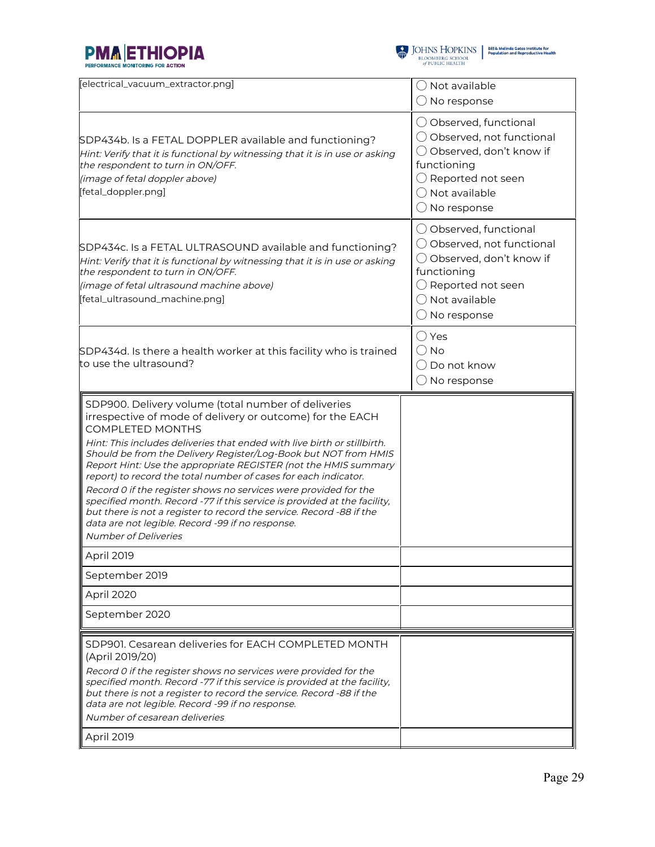



| [electrical_vacuum_extractor.png]                                                                                                                                                                                                                                                                                                                                                                                                                                                                                                                                                                                                                                                                                                           | $\bigcirc$ Not available<br>$\bigcirc$ No response                                                                                                                                    |
|---------------------------------------------------------------------------------------------------------------------------------------------------------------------------------------------------------------------------------------------------------------------------------------------------------------------------------------------------------------------------------------------------------------------------------------------------------------------------------------------------------------------------------------------------------------------------------------------------------------------------------------------------------------------------------------------------------------------------------------------|---------------------------------------------------------------------------------------------------------------------------------------------------------------------------------------|
| SDP434b. Is a FETAL DOPPLER available and functioning?<br>Hint: Verify that it is functional by witnessing that it is in use or asking<br>the respondent to turn in ON/OFF.<br>(image of fetal doppler above)<br>[fetal_doppler.png]                                                                                                                                                                                                                                                                                                                                                                                                                                                                                                        | ◯ Observed, functional<br>◯ Observed, not functional<br>◯ Observed, don't know if<br>functioning<br>$\bigcirc$ Reported not seen<br>$\bigcap$ Not available<br>$\bigcirc$ No response |
| SDP434c. Is a FETAL ULTRASOUND available and functioning?<br>Hint: Verify that it is functional by witnessing that it is in use or asking<br>the respondent to turn in ON/OFF.<br>(image of fetal ultrasound machine above)<br>[fetal_ultrasound_machine.png]                                                                                                                                                                                                                                                                                                                                                                                                                                                                               | ◯ Observed, functional<br>◯ Observed, not functional<br>◯ Observed, don't know if<br>functioning<br>$\bigcirc$ Reported not seen<br>$\bigcap$ Not available<br>$\bigcirc$ No response |
| SDP434d. Is there a health worker at this facility who is trained<br>to use the ultrasound?                                                                                                                                                                                                                                                                                                                                                                                                                                                                                                                                                                                                                                                 | ◯ Yes<br>$()$ No<br>() Do not know<br>$\bigcirc$ No response                                                                                                                          |
| SDP900. Delivery volume (total number of deliveries<br>irrespective of mode of delivery or outcome) for the EACH<br><b>COMPLETED MONTHS</b><br>Hint: This includes deliveries that ended with live birth or stillbirth.<br>Should be from the Delivery Register/Log-Book but NOT from HMIS<br>Report Hint: Use the appropriate REGISTER (not the HMIS summary<br>report) to record the total number of cases for each indicator.<br>Record 0 if the register shows no services were provided for the<br>specified month. Record -77 if this service is provided at the facility,<br>but there is not a register to record the service. Record -88 if the<br>data are not legible. Record -99 if no response.<br><b>Number of Deliveries</b> |                                                                                                                                                                                       |
| April 2019                                                                                                                                                                                                                                                                                                                                                                                                                                                                                                                                                                                                                                                                                                                                  |                                                                                                                                                                                       |
| September 2019                                                                                                                                                                                                                                                                                                                                                                                                                                                                                                                                                                                                                                                                                                                              |                                                                                                                                                                                       |
| April 2020<br>September 2020                                                                                                                                                                                                                                                                                                                                                                                                                                                                                                                                                                                                                                                                                                                |                                                                                                                                                                                       |
|                                                                                                                                                                                                                                                                                                                                                                                                                                                                                                                                                                                                                                                                                                                                             |                                                                                                                                                                                       |
| SDP901. Cesarean deliveries for EACH COMPLETED MONTH<br>(April 2019/20)<br>Record 0 if the register shows no services were provided for the<br>specified month. Record -77 if this service is provided at the facility,<br>but there is not a register to record the service. Record -88 if the<br>data are not legible. Record -99 if no response.<br>Number of cesarean deliveries                                                                                                                                                                                                                                                                                                                                                        |                                                                                                                                                                                       |
| April 2019                                                                                                                                                                                                                                                                                                                                                                                                                                                                                                                                                                                                                                                                                                                                  |                                                                                                                                                                                       |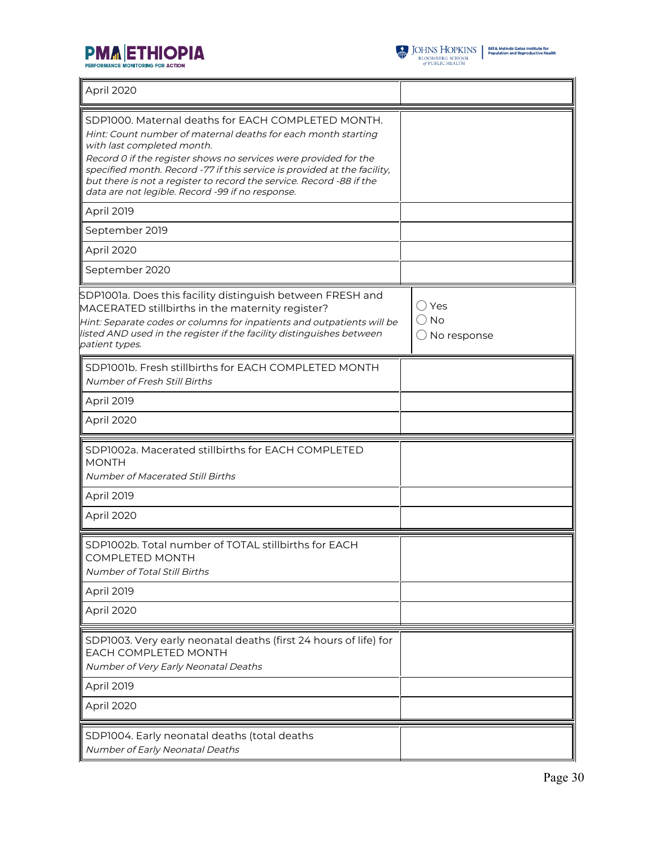



| April 2020                                                                                                                                                                                                                                                                                                                                                                                                                    |                                                           |
|-------------------------------------------------------------------------------------------------------------------------------------------------------------------------------------------------------------------------------------------------------------------------------------------------------------------------------------------------------------------------------------------------------------------------------|-----------------------------------------------------------|
| SDP1000. Maternal deaths for EACH COMPLETED MONTH.<br>Hint: Count number of maternal deaths for each month starting<br>with last completed month.<br>Record 0 if the register shows no services were provided for the<br>specified month. Record -77 if this service is provided at the facility,<br>but there is not a register to record the service. Record -88 if the<br>data are not legible. Record -99 if no response. |                                                           |
| April 2019                                                                                                                                                                                                                                                                                                                                                                                                                    |                                                           |
| September 2019                                                                                                                                                                                                                                                                                                                                                                                                                |                                                           |
| April 2020                                                                                                                                                                                                                                                                                                                                                                                                                    |                                                           |
| September 2020                                                                                                                                                                                                                                                                                                                                                                                                                |                                                           |
| SDP1001a. Does this facility distinguish between FRESH and<br>MACERATED stillbirths in the maternity register?<br>Hint: Separate codes or columns for inpatients and outpatients will be<br>listed AND used in the register if the facility distinguishes between<br>patient types.                                                                                                                                           | $\bigcirc$ Yes<br>$\bigcirc$ No<br>$\bigcirc$ No response |
| SDP1001b. Fresh stillbirths for EACH COMPLETED MONTH<br>Number of Fresh Still Births                                                                                                                                                                                                                                                                                                                                          |                                                           |
| April 2019                                                                                                                                                                                                                                                                                                                                                                                                                    |                                                           |
| April 2020                                                                                                                                                                                                                                                                                                                                                                                                                    |                                                           |
| SDP1002a. Macerated stillbirths for EACH COMPLETED<br><b>MONTH</b><br>Number of Macerated Still Births<br><b>April 2019</b>                                                                                                                                                                                                                                                                                                   |                                                           |
| April 2020                                                                                                                                                                                                                                                                                                                                                                                                                    |                                                           |
| SDP1002b. Total number of TOTAL stillbirths for EACH<br>COMPLETED MONTH<br>Number of Total Still Births                                                                                                                                                                                                                                                                                                                       |                                                           |
| April 2019                                                                                                                                                                                                                                                                                                                                                                                                                    |                                                           |
| April 2020                                                                                                                                                                                                                                                                                                                                                                                                                    |                                                           |
| SDP1003. Very early neonatal deaths (first 24 hours of life) for<br>EACH COMPLETED MONTH<br>Number of Very Early Neonatal Deaths<br><b>April 2019</b>                                                                                                                                                                                                                                                                         |                                                           |
| April 2020                                                                                                                                                                                                                                                                                                                                                                                                                    |                                                           |
| SDP1004. Early neonatal deaths (total deaths<br>Number of Early Neonatal Deaths                                                                                                                                                                                                                                                                                                                                               |                                                           |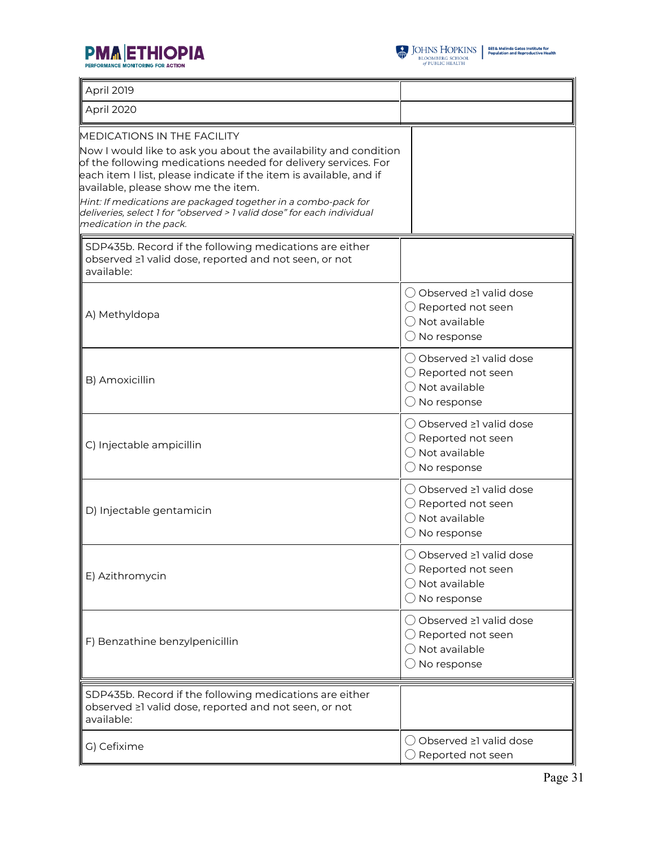



| April 2019                                                                                                                                                                                                                                                                                                                                                                                                                                                   |                                                                                                                |
|--------------------------------------------------------------------------------------------------------------------------------------------------------------------------------------------------------------------------------------------------------------------------------------------------------------------------------------------------------------------------------------------------------------------------------------------------------------|----------------------------------------------------------------------------------------------------------------|
| April 2020                                                                                                                                                                                                                                                                                                                                                                                                                                                   |                                                                                                                |
| <b>MEDICATIONS IN THE FACILITY</b><br>Now I would like to ask you about the availability and condition<br>of the following medications needed for delivery services. For<br>each item I list, please indicate if the item is available, and if<br>available, please show me the item.<br>Hint: If medications are packaged together in a combo-pack for<br>deliveries, select 1 for "observed > 1 valid dose" for each individual<br>medication in the pack. |                                                                                                                |
| SDP435b. Record if the following medications are either<br>observed ≥1 valid dose, reported and not seen, or not<br>available:                                                                                                                                                                                                                                                                                                                               |                                                                                                                |
| A) Methyldopa                                                                                                                                                                                                                                                                                                                                                                                                                                                | () Observed ≥1 valid dose<br>$\bigcirc$ Reported not seen<br>() Not available<br>$\bigcirc$ No response        |
| B) Amoxicillin                                                                                                                                                                                                                                                                                                                                                                                                                                               | ○ Observed ≥1 valid dose<br>$\bigcirc$ Reported not seen<br>$\bigcirc$ Not available<br>$\bigcirc$ No response |
| C) Injectable ampicillin                                                                                                                                                                                                                                                                                                                                                                                                                                     | ◯ Observed ≥1 valid dose<br>$\bigcirc$ Reported not seen<br>$\bigcirc$ Not available<br>$\bigcirc$ No response |
| D) Injectable gentamicin                                                                                                                                                                                                                                                                                                                                                                                                                                     | ◯ Observed ≥1 valid dose<br>$\bigcirc$ Reported not seen<br>$\bigcirc$ Not available<br>$\bigcirc$ No response |
| E) Azithromycin                                                                                                                                                                                                                                                                                                                                                                                                                                              | ○ Observed ≥1 valid dose<br>$\bigcirc$ Reported not seen<br>$\bigcirc$ Not available<br>$\bigcirc$ No response |
| F) Benzathine benzylpenicillin                                                                                                                                                                                                                                                                                                                                                                                                                               | ◯ Observed ≥1 valid dose<br>$\bigcirc$ Reported not seen<br>$\bigcap$ Not available<br>$\bigcirc$ No response  |
| SDP435b. Record if the following medications are either<br>observed ≥1 valid dose, reported and not seen, or not<br>available:                                                                                                                                                                                                                                                                                                                               |                                                                                                                |
| G) Cefixime                                                                                                                                                                                                                                                                                                                                                                                                                                                  | () Observed ≥1 valid dose<br>$\bigcirc$ Reported not seen                                                      |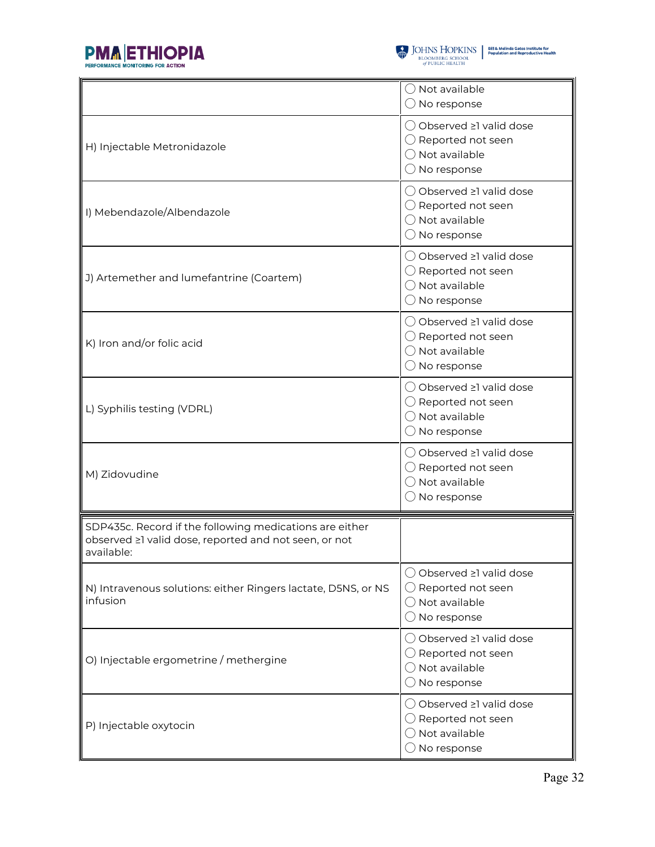



|                                                                                                                                | $\bigcirc$ Not available<br>$\bigcirc$ No response                                                              |
|--------------------------------------------------------------------------------------------------------------------------------|-----------------------------------------------------------------------------------------------------------------|
| H) Injectable Metronidazole                                                                                                    | ◯ Observed ≥1 valid dose<br>$\bigcirc$ Reported not seen<br>$\bigcap$ Not available<br>$\bigcirc$ No response   |
| I) Mebendazole/Albendazole                                                                                                     | ◯ Observed ≥1 valid dose<br>$\bigcirc$ Reported not seen<br>$\bigcirc$ Not available<br>$\bigcirc$ No response  |
| J) Artemether and lumefantrine (Coartem)                                                                                       | () Observed ≥1 valid dose<br>$\bigcirc$ Reported not seen<br>$\bigcirc$ Not available<br>$\bigcirc$ No response |
| K) Iron and/or folic acid                                                                                                      | ◯ Observed ≥1 valid dose<br>$\bigcirc$ Reported not seen<br>$\bigcirc$ Not available<br>$\bigcirc$ No response  |
| L) Syphilis testing (VDRL)                                                                                                     | ◯ Observed ≥1 valid dose<br>$\bigcirc$ Reported not seen<br>$\bigcirc$ Not available<br>$\bigcirc$ No response  |
| M) Zidovudine                                                                                                                  | ◯ Observed ≥1 valid dose<br>$\bigcirc$ Reported not seen<br>$\bigcirc$ Not available<br>$\bigcirc$ No response  |
| SDP435c. Record if the following medications are either<br>observed ≥1 valid dose, reported and not seen, or not<br>available: |                                                                                                                 |
| N) Intravenous solutions: either Ringers lactate, D5NS, or NS<br>infusion                                                      | () Observed ≥1 valid dose<br>$\bigcirc$ Reported not seen<br>$\bigcirc$ Not available<br>$\bigcirc$ No response |
| O) Injectable ergometrine / methergine                                                                                         | ◯ Observed ≥1 valid dose<br>$\bigcirc$ Reported not seen<br>$\bigcirc$ Not available<br>$\bigcirc$ No response  |
| P) Injectable oxytocin                                                                                                         | ◯ Observed ≥1 valid dose<br>$\bigcirc$ Reported not seen<br>$\bigcirc$ Not available<br>$\supset$ No response   |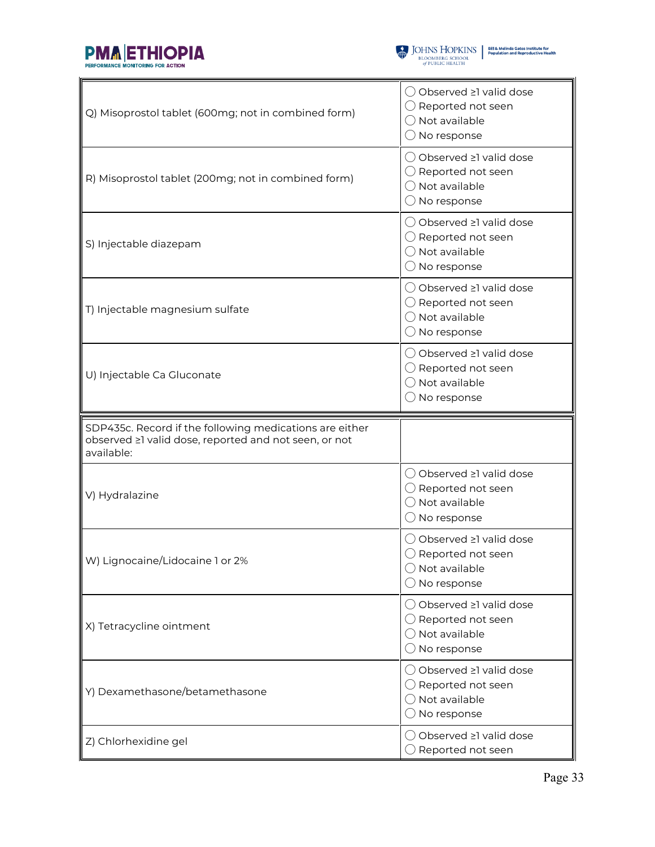



| Q) Misoprostol tablet (600mg; not in combined form)                                                                            | ◯ Observed ≥1 valid dose<br>$\bigcirc$ Reported not seen<br>$\bigcap$ Not available<br>$\bigcirc$ No response   |  |  |
|--------------------------------------------------------------------------------------------------------------------------------|-----------------------------------------------------------------------------------------------------------------|--|--|
| R) Misoprostol tablet (200mg; not in combined form)                                                                            | () Observed ≥1 valid dose<br>$\bigcirc$ Reported not seen<br>$\bigcirc$ Not available<br>$\bigcirc$ No response |  |  |
| S) Injectable diazepam                                                                                                         | () Observed ≥1 valid dose<br>$\bigcirc$ Reported not seen<br>$\bigcirc$ Not available<br>$\bigcirc$ No response |  |  |
| T) Injectable magnesium sulfate                                                                                                | ◯ Observed ≥1 valid dose<br>$\bigcirc$ Reported not seen<br>$\bigcirc$ Not available<br>$\bigcirc$ No response  |  |  |
| U) Injectable Ca Gluconate                                                                                                     | ◯ Observed ≥1 valid dose<br>$\bigcirc$ Reported not seen<br>◯ Not available<br>$\bigcirc$ No response           |  |  |
|                                                                                                                                |                                                                                                                 |  |  |
| SDP435c. Record if the following medications are either<br>observed ≥1 valid dose, reported and not seen, or not<br>available: |                                                                                                                 |  |  |
| V) Hydralazine                                                                                                                 | ◯ Observed ≥1 valid dose<br>$\bigcirc$ Reported not seen<br>◯ Not available<br>$\bigcirc$ No response           |  |  |
| W) Lignocaine/Lidocaine 1 or 2%                                                                                                | ○ Observed ≥1 valid dose<br>$\bigcirc$ Reported not seen<br>$\bigcirc$ Not available<br>$\bigcirc$ No response  |  |  |
| X) Tetracycline ointment                                                                                                       | ◯ Observed ≥1 valid dose<br>$\bigcirc$ Reported not seen<br>$\bigcirc$ Not available<br>$\bigcirc$ No response  |  |  |
| Y) Dexamethasone/betamethasone                                                                                                 | ◯ Observed ≥1 valid dose<br>$\bigcirc$ Reported not seen<br>◯ Not available<br>$\bigcirc$ No response           |  |  |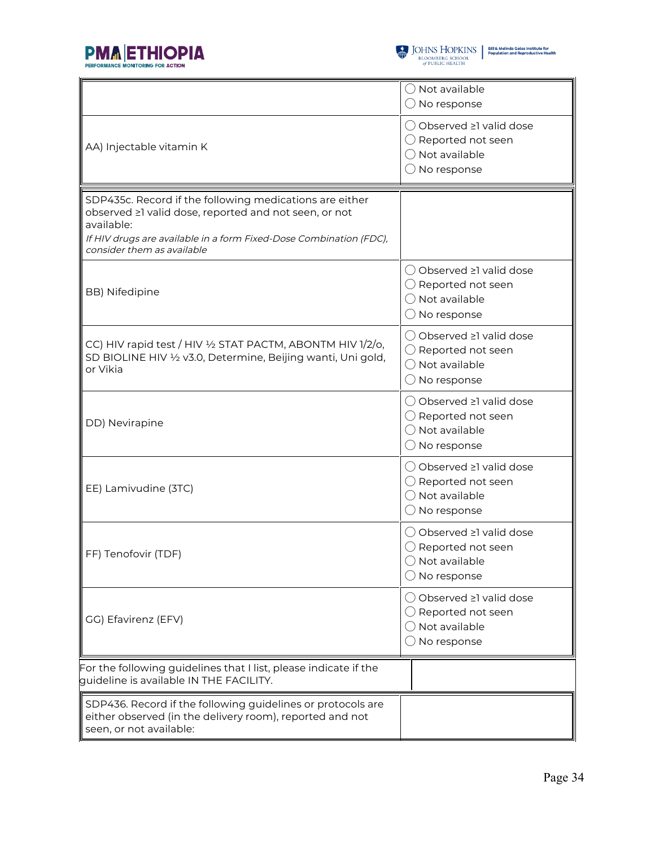



 $\begin{tabular}{l|c|c|c} \hline \textbf{J} & \textbf{JOHNS} & \textbf{HOPKINS} & \textbf{Bilä Melinda Gates instituta for}\\ \hline \textbf{BLOOMBERG SCHOOL} & \textbf{Population and Reproductive Health} \\ \hline \textit{of PUBLIC HEALTH} & \end{tabular}$ 

|                                                                                                                                                                                                                                    | ◯ Not available<br>$\bigcirc$ No response                                                                      |  |  |
|------------------------------------------------------------------------------------------------------------------------------------------------------------------------------------------------------------------------------------|----------------------------------------------------------------------------------------------------------------|--|--|
| AA) Injectable vitamin K                                                                                                                                                                                                           | ◯ Observed ≥1 valid dose<br>$\bigcirc$ Reported not seen<br>$\bigcirc$ Not available<br>$\bigcirc$ No response |  |  |
| SDP435c. Record if the following medications are either<br>observed ≥1 valid dose, reported and not seen, or not<br>available:<br>If HIV drugs are available in a form Fixed-Dose Combination (FDC),<br>consider them as available |                                                                                                                |  |  |
| <b>BB)</b> Nifedipine                                                                                                                                                                                                              | ◯ Observed ≥1 valid dose<br>$\bigcirc$ Reported not seen<br>$\bigcirc$ Not available<br>$\bigcirc$ No response |  |  |
| CC) HIV rapid test / HIV 1/2 STAT PACTM, ABONTM HIV 1/2/0,<br>SD BIOLINE HIV 1/2 v3.0, Determine, Beijing wanti, Uni gold,<br>or Vikia                                                                                             | ○ Observed ≥1 valid dose<br>$\bigcirc$ Reported not seen<br>$\bigcirc$ Not available<br>$\bigcirc$ No response |  |  |
| DD) Nevirapine                                                                                                                                                                                                                     | ◯ Observed ≥1 valid dose<br>$\bigcirc$ Reported not seen<br>$\bigcirc$ Not available<br>$\bigcirc$ No response |  |  |
| EE) Lamivudine (3TC)                                                                                                                                                                                                               | ◯ Observed ≥1 valid dose<br>$\bigcirc$ Reported not seen<br>$\bigcirc$ Not available<br>$\bigcirc$ No response |  |  |
| FF) Tenofovir (TDF)                                                                                                                                                                                                                | ◯ Observed ≥1 valid dose<br>$\bigcirc$ Reported not seen<br>$\bigcirc$ Not available<br>$\bigcirc$ No response |  |  |
| GG) Efavirenz (EFV)                                                                                                                                                                                                                | ◯ Observed ≥1 valid dose<br>$\bigcirc$ Reported not seen<br>() Not available<br>$\bigcirc$ No response         |  |  |
| For the following guidelines that I list, please indicate if the<br>quideline is available IN THE FACILITY.                                                                                                                        |                                                                                                                |  |  |
| SDP436. Record if the following guidelines or protocols are<br>either observed (in the delivery room), reported and not<br>seen, or not available:                                                                                 |                                                                                                                |  |  |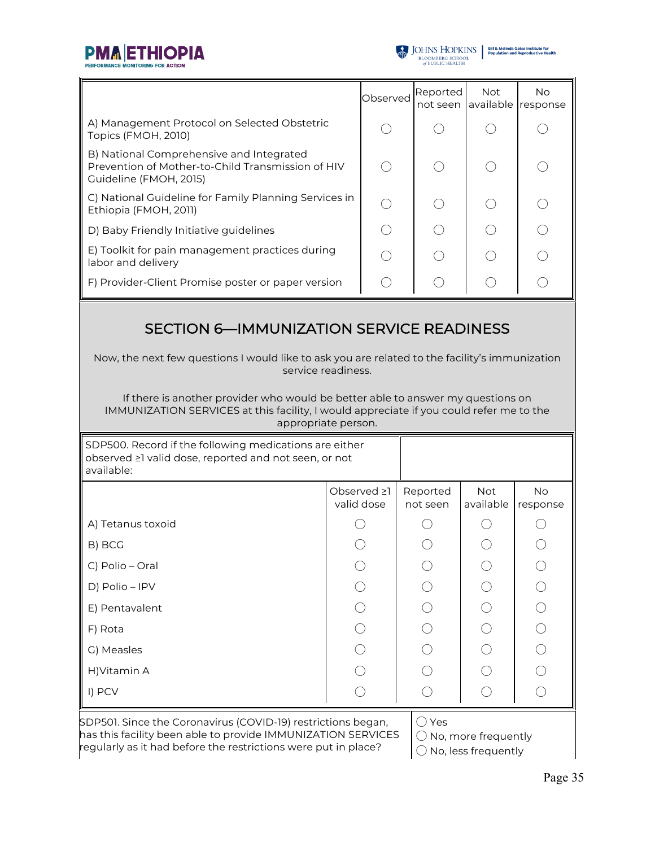



|                                                                                                                         | Observed | Reported<br>not seen | <b>Not</b> | No.<br>available response |
|-------------------------------------------------------------------------------------------------------------------------|----------|----------------------|------------|---------------------------|
| A) Management Protocol on Selected Obstetric<br>Topics (FMOH, 2010)                                                     |          |                      |            |                           |
| B) National Comprehensive and Integrated<br>Prevention of Mother-to-Child Transmission of HIV<br>Guideline (FMOH, 2015) |          |                      |            |                           |
| C) National Guideline for Family Planning Services in<br>Ethiopia (FMOH, 2011)                                          |          |                      |            |                           |
| D) Baby Friendly Initiative guidelines                                                                                  |          |                      |            |                           |
| E) Toolkit for pain management practices during<br>labor and delivery                                                   |          |                      |            |                           |
| F) Provider-Client Promise poster or paper version                                                                      |          |                      |            |                           |

### SECTION 6—IMMUNIZATION SERVICE READINESS

Now, the next few questions I would like to ask you are related to the facility's immunization service readiness.

If there is another provider who would be better able to answer my questions on IMMUNIZATION SERVICES at this facility, I would appreciate if you could refer me to the appropriate person.

| SDP500. Record if the following medications are either<br>observed ≥1 valid dose, reported and not seen, or not<br>available: |                           |                      |                  |                |
|-------------------------------------------------------------------------------------------------------------------------------|---------------------------|----------------------|------------------|----------------|
|                                                                                                                               | Observed ≥1<br>valid dose | Reported<br>not seen | Not<br>available | No<br>response |
| A) Tetanus toxoid                                                                                                             |                           |                      |                  |                |
| B) BCG                                                                                                                        |                           |                      |                  |                |
| C) Polio - Oral                                                                                                               |                           |                      |                  |                |
| D) Polio - IPV                                                                                                                |                           |                      |                  |                |
| E) Pentavalent                                                                                                                |                           |                      |                  |                |
| F) Rota                                                                                                                       |                           |                      |                  |                |
| G) Measles                                                                                                                    |                           |                      |                  |                |
| H) Vitamin A                                                                                                                  |                           |                      |                  |                |
| I) PCV                                                                                                                        |                           |                      |                  |                |

SDP501. Since the Coronavirus (COVID-19) restrictions began, has this facility been able to provide IMMUNIZATION SERVICES regularly as it had before the restrictions were put in place?

◯ Yes

◯ No, more frequently

◯ No, less frequently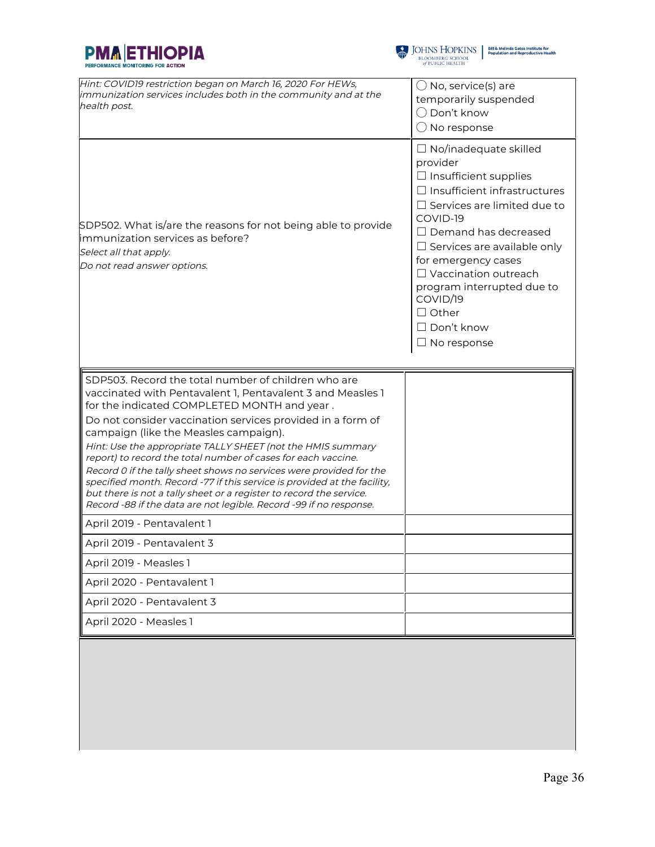



| Hint: COVID19 restriction began on March 16, 2020 For HEWs,<br>immunization services includes both in the community and at the<br>health post.                                                                                                                                               | $\bigcirc$ No, service(s) are<br>temporarily suspended<br>$\bigcirc$ Don't know<br>$\bigcirc$ No response                                                                                                                                                                                                                                                                                         |
|----------------------------------------------------------------------------------------------------------------------------------------------------------------------------------------------------------------------------------------------------------------------------------------------|---------------------------------------------------------------------------------------------------------------------------------------------------------------------------------------------------------------------------------------------------------------------------------------------------------------------------------------------------------------------------------------------------|
| SDP502. What is/are the reasons for not being able to provide<br>limmunization services as before?<br>Select all that apply.<br>Do not read answer options.                                                                                                                                  | $\Box$ No/inadequate skilled<br>provider<br>$\Box$ Insufficient supplies<br>$\Box$ Insufficient infrastructures<br>$\Box$ Services are limited due to<br>COVID-19<br>$\Box$ Demand has decreased<br>$\Box$ Services are available only<br>for emergency cases<br>$\Box$ Vaccination outreach<br>program interrupted due to<br>COVID/19<br>$\Box$ Other<br>$\Box$ Don't know<br>$\Box$ No response |
| SDP503. Record the total number of children who are<br>vaccinated with Pentavalent 1, Pentavalent 3 and Measles 1<br>for the indicated COMPLETED MONTH and year.                                                                                                                             |                                                                                                                                                                                                                                                                                                                                                                                                   |
| Do not consider vaccination services provided in a form of<br>campaign (like the Measles campaign).                                                                                                                                                                                          |                                                                                                                                                                                                                                                                                                                                                                                                   |
| Hint: Use the appropriate TALLY SHEET (not the HMIS summary<br>report) to record the total number of cases for each vaccine.                                                                                                                                                                 |                                                                                                                                                                                                                                                                                                                                                                                                   |
| Record 0 if the tally sheet shows no services were provided for the<br>specified month. Record -77 if this service is provided at the facility,<br>but there is not a tally sheet or a register to record the service.<br>Record -88 if the data are not legible. Record -99 if no response. |                                                                                                                                                                                                                                                                                                                                                                                                   |
| April 2019 - Pentavalent 1                                                                                                                                                                                                                                                                   |                                                                                                                                                                                                                                                                                                                                                                                                   |
| April 2019 - Pentavalent 3                                                                                                                                                                                                                                                                   |                                                                                                                                                                                                                                                                                                                                                                                                   |
| April 2019 - Measles 1                                                                                                                                                                                                                                                                       |                                                                                                                                                                                                                                                                                                                                                                                                   |
| April 2020 - Pentavalent 1                                                                                                                                                                                                                                                                   |                                                                                                                                                                                                                                                                                                                                                                                                   |
| April 2020 - Pentavalent 3                                                                                                                                                                                                                                                                   |                                                                                                                                                                                                                                                                                                                                                                                                   |
|                                                                                                                                                                                                                                                                                              |                                                                                                                                                                                                                                                                                                                                                                                                   |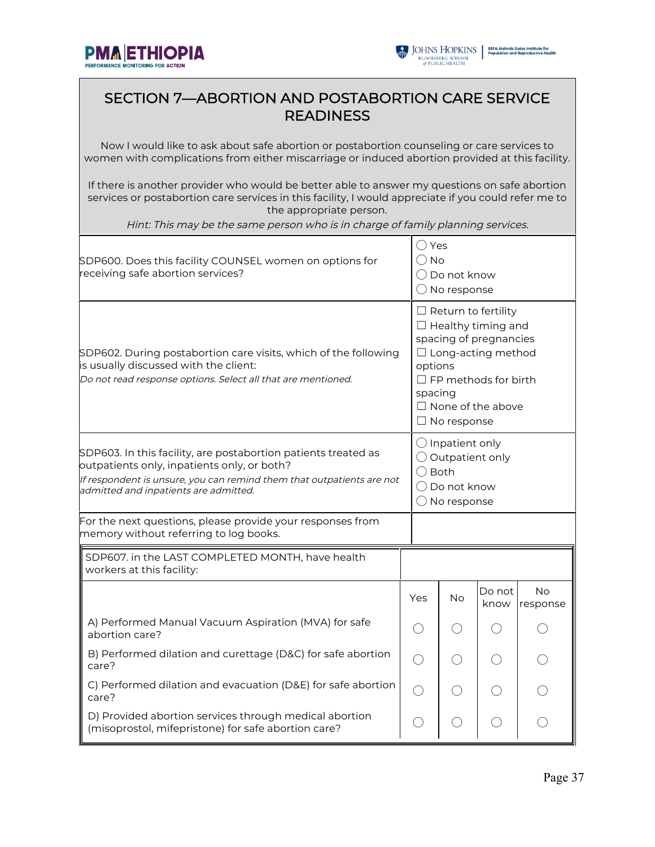



#### SECTION 7—ABORTION AND POSTABORTION CARE SERVICE **READINESS**

Now I would like to ask about safe abortion or postabortion counseling or care services to women with complications from either miscarriage or induced abortion provided at this facility.

If there is another provider who would be better able to answer my questions on safe abortion services or postabortion care services in this facility, I would appreciate if you could refer me to the appropriate person.

Hint: This may be the same person who is in charge of family planning services.

| SDP600. Does this facility COUNSEL women on options for<br>receiving safe abortion services?                                                                                                                                    | $\bigcirc$ Yes<br>() No | $\bigcirc$ Do not know<br>$\bigcirc$ No response                                                                                                                                                                      |                |                 |
|---------------------------------------------------------------------------------------------------------------------------------------------------------------------------------------------------------------------------------|-------------------------|-----------------------------------------------------------------------------------------------------------------------------------------------------------------------------------------------------------------------|----------------|-----------------|
| SDP602. During postabortion care visits, which of the following<br>is usually discussed with the client:<br>Do not read response options. Select all that are mentioned.                                                        |                         | $\Box$ Return to fertility<br>$\Box$ Healthy timing and<br>spacing of pregnancies<br>$\Box$ Long-acting method<br>options<br>$\Box$ FP methods for birth<br>spacing<br>$\Box$ None of the above<br>$\Box$ No response |                |                 |
| SDP603. In this facility, are postabortion patients treated as<br>outpatients only, inpatients only, or both?<br>If respondent is unsure, you can remind them that outpatients are not<br>admitted and inpatients are admitted. |                         | $\bigcirc$ Inpatient only<br>$\bigcirc$ Outpatient only<br>$\bigcirc$ Both<br>$\bigcap$ Do not know<br>$\bigcirc$ No response                                                                                         |                |                 |
| For the next questions, please provide your responses from<br>memory without referring to log books.                                                                                                                            |                         |                                                                                                                                                                                                                       |                |                 |
| SDP607. in the LAST COMPLETED MONTH, have health<br>workers at this facility:                                                                                                                                                   |                         |                                                                                                                                                                                                                       |                |                 |
|                                                                                                                                                                                                                                 | Yes                     | No                                                                                                                                                                                                                    | Do not<br>know | No.<br>response |
| A) Performed Manual Vacuum Aspiration (MVA) for safe<br>abortion care?                                                                                                                                                          | $($ )                   |                                                                                                                                                                                                                       | $($ )          |                 |
| B) Performed dilation and curettage (D&C) for safe abortion<br>care?                                                                                                                                                            |                         |                                                                                                                                                                                                                       |                |                 |
| C) Performed dilation and evacuation (D&E) for safe abortion<br>care?                                                                                                                                                           | $\bigcirc$              |                                                                                                                                                                                                                       |                |                 |
| D) Provided abortion services through medical abortion<br>(misoprostol, mifepristone) for safe abortion care?                                                                                                                   | $($ )                   |                                                                                                                                                                                                                       |                |                 |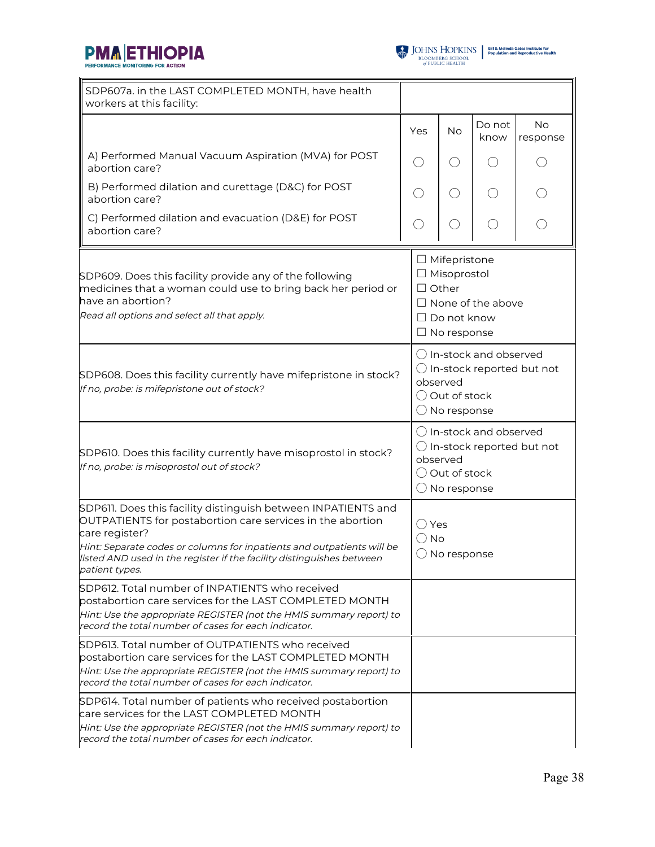



| SDP607a. in the LAST COMPLETED MONTH, have health<br>workers at this facility:                                                                                                                                                                                                                                            |     |                                                                                                                     |                                  |                                      |
|---------------------------------------------------------------------------------------------------------------------------------------------------------------------------------------------------------------------------------------------------------------------------------------------------------------------------|-----|---------------------------------------------------------------------------------------------------------------------|----------------------------------|--------------------------------------|
|                                                                                                                                                                                                                                                                                                                           | Yes | No                                                                                                                  | Do not<br>know                   | <b>No</b><br>response                |
| A) Performed Manual Vacuum Aspiration (MVA) for POST<br>abortion care?                                                                                                                                                                                                                                                    |     |                                                                                                                     |                                  |                                      |
| B) Performed dilation and curettage (D&C) for POST<br>abortion care?                                                                                                                                                                                                                                                      |     | $( \ )$                                                                                                             |                                  |                                      |
| C) Performed dilation and evacuation (D&E) for POST<br>abortion care?                                                                                                                                                                                                                                                     |     |                                                                                                                     |                                  |                                      |
| SDP609. Does this facility provide any of the following<br>medicines that a woman could use to bring back her period or<br>have an abortion?<br>Read all options and select all that apply.                                                                                                                               |     | $\Box$ Mifepristone<br>$\Box$ Misoprostol<br>$\Box$ Other<br>$\Box$ Do not know<br>$\Box$ No response               | $\Box$ None of the above         |                                      |
| SDP608. Does this facility currently have mifepristone in stock?<br>If no, probe: is mifepristone out of stock?                                                                                                                                                                                                           |     | $\bigcirc$ In-stock and observed<br>$\bigcirc$ In-stock reported but not<br>observed<br>Out of stock<br>No response |                                  |                                      |
| SDP610. Does this facility currently have misoprostol in stock?<br>If no, probe: is misoprostol out of stock?                                                                                                                                                                                                             |     | observed<br>Out of stock<br>No response                                                                             | $\bigcirc$ In-stock and observed | $\bigcirc$ In-stock reported but not |
| SDP611. Does this facility distinguish between INPATIENTS and<br>OUTPATIENTS for postabortion care services in the abortion<br>care register?<br>Hint: Separate codes or columns for inpatients and outpatients will be<br>listed AND used in the register if the facility distinguishes between<br><i>patient types.</i> | No  | Yes<br>$\bigcirc$ No response                                                                                       |                                  |                                      |
| SDP612. Total number of INPATIENTS who received<br>postabortion care services for the LAST COMPLETED MONTH<br>Hint: Use the appropriate REGISTER (not the HMIS summary report) to<br>record the total number of cases for each indicator.                                                                                 |     |                                                                                                                     |                                  |                                      |
| SDP613. Total number of OUTPATIENTS who received<br>postabortion care services for the LAST COMPLETED MONTH<br>Hint: Use the appropriate REGISTER (not the HMIS summary report) to<br>record the total number of cases for each indicator.                                                                                |     |                                                                                                                     |                                  |                                      |
| SDP614. Total number of patients who received postabortion<br>care services for the LAST COMPLETED MONTH<br>Hint: Use the appropriate REGISTER (not the HMIS summary report) to<br>record the total number of cases for each indicator.                                                                                   |     |                                                                                                                     |                                  |                                      |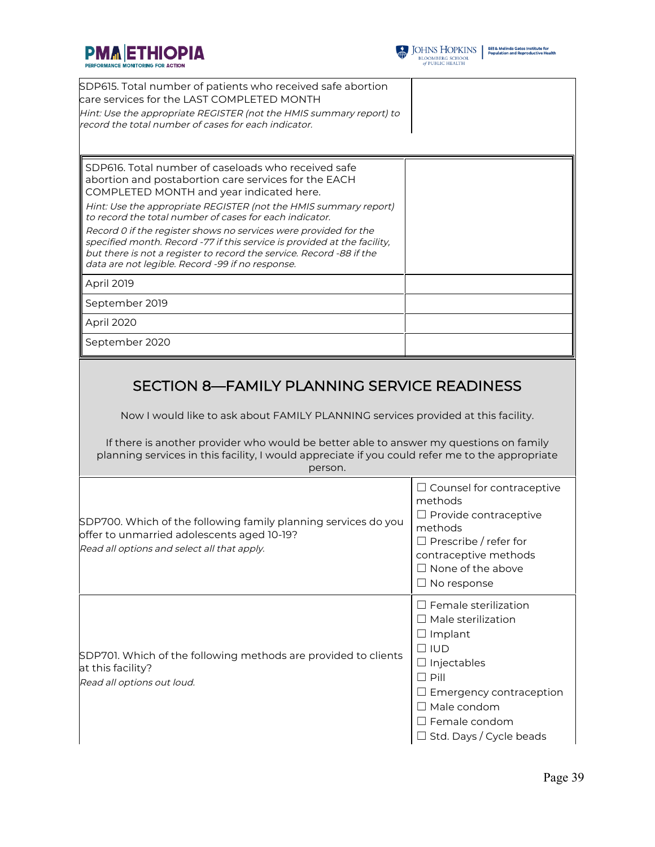



| SDP615. Total number of patients who received safe abortion<br>care services for the LAST COMPLETED MONTH<br>Hint: Use the appropriate REGISTER (not the HMIS summary report) to<br>record the total number of cases for each indicator.                                                                                                                                                                                                                                                                                                                           |  |
|--------------------------------------------------------------------------------------------------------------------------------------------------------------------------------------------------------------------------------------------------------------------------------------------------------------------------------------------------------------------------------------------------------------------------------------------------------------------------------------------------------------------------------------------------------------------|--|
| SDP616. Total number of caseloads who received safe<br>abortion and postabortion care services for the EACH<br>COMPLETED MONTH and year indicated here.<br>Hint: Use the appropriate REGISTER (not the HMIS summary report)<br>to record the total number of cases for each indicator.<br>Record 0 if the register shows no services were provided for the<br>specified month. Record -77 if this service is provided at the facility,<br>but there is not a register to record the service. Record -88 if the<br>data are not legible. Record -99 if no response. |  |
| April 2019                                                                                                                                                                                                                                                                                                                                                                                                                                                                                                                                                         |  |
| September 2019                                                                                                                                                                                                                                                                                                                                                                                                                                                                                                                                                     |  |
| April 2020                                                                                                                                                                                                                                                                                                                                                                                                                                                                                                                                                         |  |
| September 2020                                                                                                                                                                                                                                                                                                                                                                                                                                                                                                                                                     |  |
|                                                                                                                                                                                                                                                                                                                                                                                                                                                                                                                                                                    |  |

### SECTION 8—FAMILY PLANNING SERVICE READINESS

Now I would like to ask about FAMILY PLANNING services provided at this facility.

If there is another provider who would be better able to answer my questions on family planning services in this facility, I would appreciate if you could refer me to the appropriate person.

| SDP700. Which of the following family planning services do you<br>offer to unmarried adolescents aged 10-19?<br>Read all options and select all that apply. | $\Box$ Counsel for contraceptive<br>methods<br>$\Box$ Provide contraceptive<br>methods<br>$\Box$ Prescribe / refer for<br>contraceptive methods<br>None of the above<br>$\Box$ No response                             |
|-------------------------------------------------------------------------------------------------------------------------------------------------------------|------------------------------------------------------------------------------------------------------------------------------------------------------------------------------------------------------------------------|
| SDP701. Which of the following methods are provided to clients<br>at this facility?<br>Read all options out loud.                                           | Female sterilization<br>$\Box$ Male sterilization<br>$\Box$ Implant<br>$\square$ IUD<br>Injectables<br>$\Box$ Pill<br>$\Box$ Emergency contraception<br>Male condom<br>Female condom<br>$\Box$ Std. Days / Cycle beads |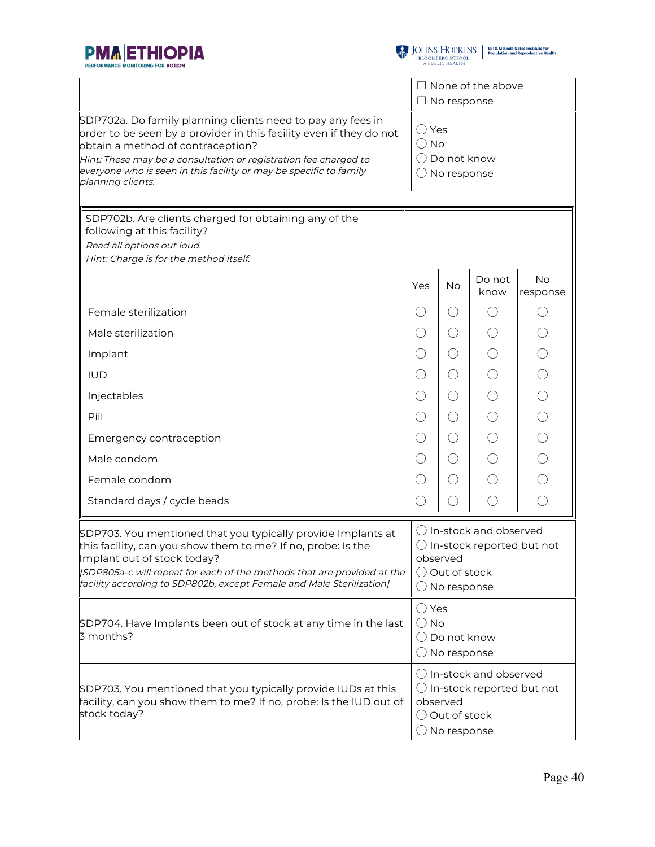



|                                                                                                                                                                                                                                                                                                                                        |                        | $\Box$ No response                                                                                                                | $\Box$ None of the above |                                                                      |
|----------------------------------------------------------------------------------------------------------------------------------------------------------------------------------------------------------------------------------------------------------------------------------------------------------------------------------------|------------------------|-----------------------------------------------------------------------------------------------------------------------------------|--------------------------|----------------------------------------------------------------------|
| SDP702a. Do family planning clients need to pay any fees in<br>order to be seen by a provider in this facility even if they do not<br>obtain a method of contraception?<br>Hint: These may be a consultation or registration fee charged to<br>everyone who is seen in this facility or may be specific to family<br>planning clients. | ◯ Yes<br>$\bigcirc$ No | ( ) Do not know<br>$\bigcirc$ No response                                                                                         |                          |                                                                      |
| SDP702b. Are clients charged for obtaining any of the<br>following at this facility?<br>Read all options out loud.<br>Hint: Charge is for the method itself.                                                                                                                                                                           |                        |                                                                                                                                   |                          |                                                                      |
|                                                                                                                                                                                                                                                                                                                                        | Yes                    | <b>No</b>                                                                                                                         | Do not<br>know           | <b>No</b><br>response                                                |
| Female sterilization                                                                                                                                                                                                                                                                                                                   | $( \ )$                | ()                                                                                                                                |                          | ()                                                                   |
| Male sterilization                                                                                                                                                                                                                                                                                                                     | $\left(\ \right)$      | O                                                                                                                                 |                          | $\bigcirc$                                                           |
| Implant                                                                                                                                                                                                                                                                                                                                | $(\ )$                 | $\left(\ \right)$                                                                                                                 |                          |                                                                      |
| <b>IUD</b>                                                                                                                                                                                                                                                                                                                             | $\left(\right)$        | ○                                                                                                                                 |                          | $\begin{array}{c}\n0 & 0 & 0 \\ 0 & 0 & 0 \\ 0 & 0 & 0\n\end{array}$ |
| Injectables                                                                                                                                                                                                                                                                                                                            | ()                     | $\left(\right)$                                                                                                                   |                          |                                                                      |
| Pill                                                                                                                                                                                                                                                                                                                                   | ◯                      | ○                                                                                                                                 |                          |                                                                      |
| Emergency contraception                                                                                                                                                                                                                                                                                                                | $( \ )$                | $\left(\right)$                                                                                                                   |                          |                                                                      |
| Male condom                                                                                                                                                                                                                                                                                                                            | $\left(\ \right)$      | ○                                                                                                                                 |                          |                                                                      |
| Female condom                                                                                                                                                                                                                                                                                                                          | $\left(\ \right)$      | ()                                                                                                                                |                          |                                                                      |
| Standard days / cycle beads                                                                                                                                                                                                                                                                                                            |                        |                                                                                                                                   |                          | $\bigcirc$                                                           |
| SDP703. You mentioned that you typically provide Implants at<br>this facility, can you show them to me? If no, probe: Is the<br>Implant out of stock today?<br>[SDP805a-c will repeat for each of the methods that are provided at the<br>facility according to SDP802b, except Female and Male Sterilization]                         |                        | O In-stock and observed<br>$\bigcirc$ In-stock reported but not<br>observed<br>$\bigcirc$ Out of stock<br>$\bigcirc$ No response  |                          |                                                                      |
| SDP704. Have Implants been out of stock at any time in the last<br>3 months?                                                                                                                                                                                                                                                           |                        | ○ Yes<br>$\bigcirc$ No<br>$\bigcirc$ Do not know<br>$\bigcirc$ No response                                                        |                          |                                                                      |
| SDP703. You mentioned that you typically provide IUDs at this<br>facility, can you show them to me? If no, probe: Is the IUD out of<br>stock today?                                                                                                                                                                                    |                        | () In-stock and observed<br>$\bigcirc$ In-stock reported but not<br>observed<br>$\bigcirc$ Out of stock<br>$\bigcirc$ No response |                          |                                                                      |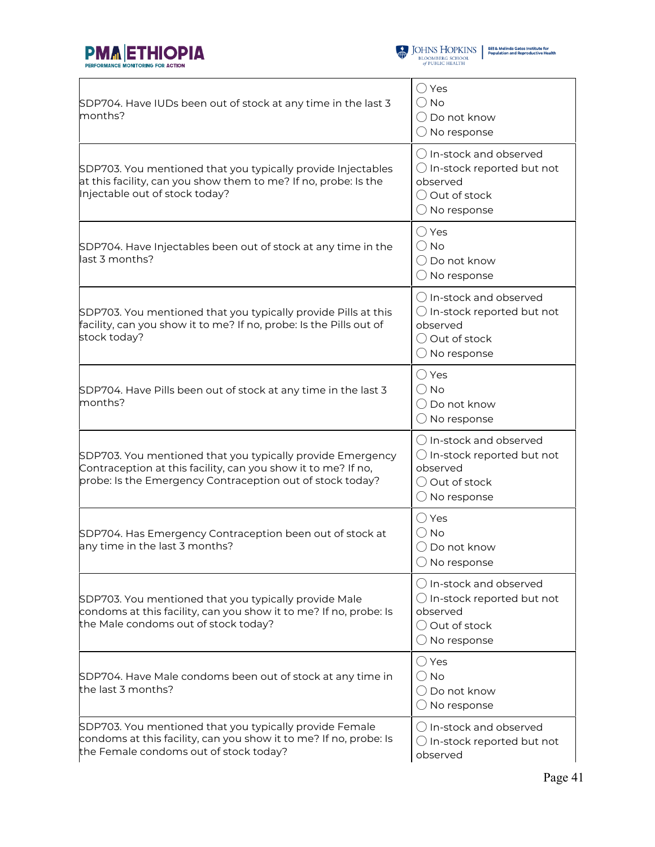



| SDP704. Have IUDs been out of stock at any time in the last 3<br>months?                                                                                                                 | $\bigcirc$ Yes<br>$\bigcirc$ No<br>$\bigcap$ Do not know<br>$\bigcirc$ No response                                                |
|------------------------------------------------------------------------------------------------------------------------------------------------------------------------------------------|-----------------------------------------------------------------------------------------------------------------------------------|
| SDP703. You mentioned that you typically provide Injectables<br>at this facility, can you show them to me? If no, probe: Is the<br>Injectable out of stock today?                        | $\bigcap$ In-stock and observed<br>$\bigcirc$ In-stock reported but not<br>observed<br>◯ Out of stock<br>$\bigcirc$ No response   |
| SDP704. Have Injectables been out of stock at any time in the<br>last 3 months?                                                                                                          | $\bigcirc$ Yes<br>$\bigcirc$ No<br>$\bigcirc$ Do not know<br>$\bigcirc$ No response                                               |
| SDP703. You mentioned that you typically provide Pills at this<br>facility, can you show it to me? If no, probe: Is the Pills out of<br>stock today?                                     | () In-stock and observed<br>$\bigcirc$ In-stock reported but not<br>observed<br>O Out of stock<br>$\bigcirc$ No response          |
| SDP704. Have Pills been out of stock at any time in the last 3<br>months?                                                                                                                | $\bigcirc$ Yes<br>$\bigcirc$ No<br>$\bigcirc$ Do not know<br>$\bigcirc$ No response                                               |
| SDP703. You mentioned that you typically provide Emergency<br>Contraception at this facility, can you show it to me? If no,<br>probe: Is the Emergency Contraception out of stock today? | $\bigcirc$ In-stock and observed<br>$\bigcirc$ In-stock reported but not<br>observed<br>◯ Out of stock<br>$\bigcirc$ No response  |
| SDP704. Has Emergency Contraception been out of stock at<br>any time in the last 3 months?                                                                                               | $\bigcirc$ Yes<br>$\bigcirc$ No<br>$\bigcirc$ Do not know<br>$\bigcirc$ No response                                               |
| SDP703. You mentioned that you typically provide Male<br>condoms at this facility, can you show it to me? If no, probe: Is<br>the Male condoms out of stock today?                       | $\bigcirc$ In-stock and observed<br>$\bigcirc$ In-stock reported but not<br>observed<br>() Out of stock<br>$\bigcirc$ No response |
| SDP704. Have Male condoms been out of stock at any time in<br>the last 3 months?                                                                                                         | $\bigcirc$ Yes<br>$\bigcirc$ No<br>() Do not know<br>$\bigcirc$ No response                                                       |
| SDP703. You mentioned that you typically provide Female<br>condoms at this facility, can you show it to me? If no, probe: Is<br>the Female condoms out of stock today?                   | () In-stock and observed<br>$\bigcirc$ In-stock reported but not<br>observed                                                      |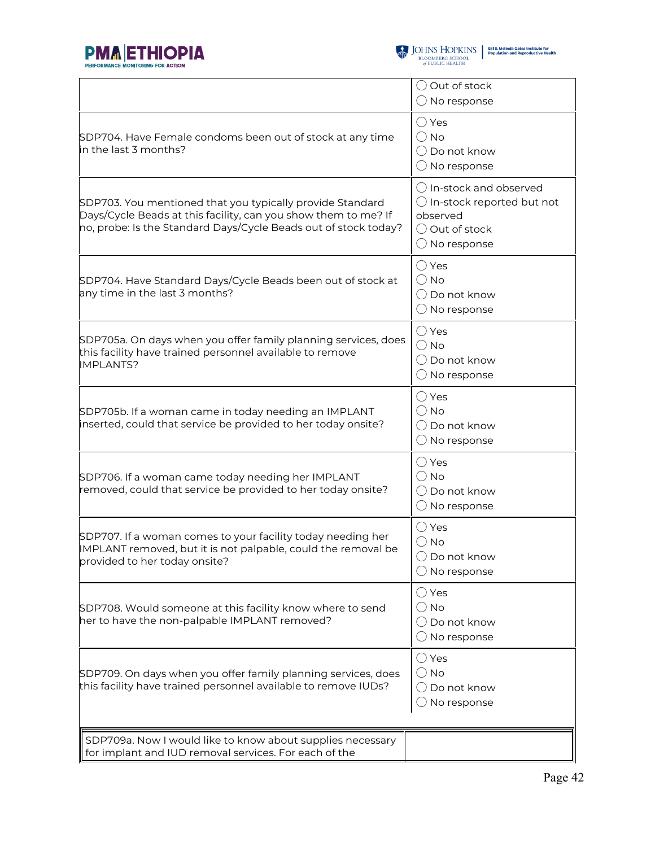



|                                                                                                                                                                                                | $\bigcirc$ Out of stock<br>$\bigcirc$ No response                                                                                         |
|------------------------------------------------------------------------------------------------------------------------------------------------------------------------------------------------|-------------------------------------------------------------------------------------------------------------------------------------------|
| SDP704. Have Female condoms been out of stock at any time<br>in the last 3 months?                                                                                                             | $\bigcirc$ Yes<br>$\bigcirc$ No<br>$\bigcirc$ Do not know<br>$\bigcirc$ No response                                                       |
| SDP703. You mentioned that you typically provide Standard<br>Days/Cycle Beads at this facility, can you show them to me? If<br>no, probe: Is the Standard Days/Cycle Beads out of stock today? | $\bigcirc$ In-stock and observed<br>$\bigcirc$ In-stock reported but not<br>observed<br>$\bigcirc$ Out of stock<br>$\bigcirc$ No response |
| SDP704. Have Standard Days/Cycle Beads been out of stock at<br>any time in the last 3 months?                                                                                                  | $\bigcirc$ Yes<br>$\bigcirc$ No<br>◯ Do not know<br>$\bigcirc$ No response                                                                |
| SDP705a. On days when you offer family planning services, does<br>this facility have trained personnel available to remove<br><b>IMPLANTS?</b>                                                 | $\bigcirc$ Yes<br>$\bigcirc$ No<br>$\bigcirc$ Do not know<br>$\bigcirc$ No response                                                       |
| SDP705b. If a woman came in today needing an IMPLANT<br>inserted, could that service be provided to her today onsite?                                                                          | $\bigcirc$ Yes<br>$\bigcirc$ No<br>$\bigcirc$ Do not know<br>$\bigcirc$ No response                                                       |
| SDP706. If a woman came today needing her IMPLANT<br>removed, could that service be provided to her today onsite?                                                                              | $\bigcirc$ Yes<br>$\bigcirc$ No<br>$\bigcirc$ Do not know<br>$\bigcirc$ No response                                                       |
| SDP707. If a woman comes to your facility today needing her<br>IMPLANT removed, but it is not palpable, could the removal be<br>provided to her today onsite?                                  | $\bigcirc$ Yes<br>$\bigcirc$ No<br>$\bigcirc$ Do not know<br>$\bigcirc$ No response                                                       |
| SDP708. Would someone at this facility know where to send<br>her to have the non-palpable IMPLANT removed?                                                                                     | $\bigcirc$ Yes<br>$\bigcirc$ No<br>$\bigcirc$ Do not know<br>$\bigcirc$ No response                                                       |
| SDP709. On days when you offer family planning services, does<br>this facility have trained personnel available to remove IUDs?                                                                | $\bigcirc$ Yes<br>$\bigcirc$ No<br>$\bigcirc$ Do not know<br>$\bigcirc$ No response                                                       |
| SDP709a. Now I would like to know about supplies necessary<br>for implant and IUD removal services. For each of the                                                                            |                                                                                                                                           |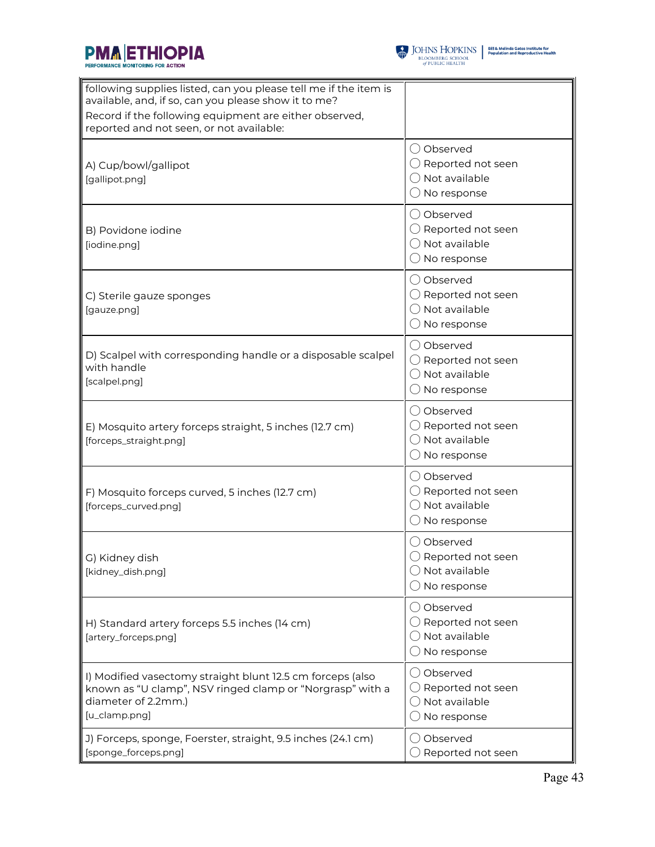



| following supplies listed, can you please tell me if the item is<br>available, and, if so, can you please show it to me?<br>Record if the following equipment are either observed,<br>reported and not seen, or not available: |                                                                                                   |
|--------------------------------------------------------------------------------------------------------------------------------------------------------------------------------------------------------------------------------|---------------------------------------------------------------------------------------------------|
| A) Cup/bowl/gallipot<br>[gallipot.png]                                                                                                                                                                                         | ◯ Observed<br>$\bigcirc$ Reported not seen<br>$\bigcirc$ Not available<br>$\bigcirc$ No response  |
| B) Povidone iodine<br>[iodine.png]                                                                                                                                                                                             | ◯ Observed<br>$\bigcirc$ Reported not seen<br>$\bigcirc$ Not available<br>$\bigcirc$ No response  |
| C) Sterile gauze sponges<br>[gauze.png]                                                                                                                                                                                        | ◯ Observed<br>$\bigcirc$ Reported not seen<br>$\bigcirc$ Not available<br>$\bigcirc$ No response  |
| D) Scalpel with corresponding handle or a disposable scalpel<br>with handle<br>[scalpel.png]                                                                                                                                   | ○ Observed<br>$\bigcirc$ Reported not seen<br>◯ Not available<br>$\bigcirc$ No response           |
| E) Mosquito artery forceps straight, 5 inches (12.7 cm)<br>[forceps_straight.png]                                                                                                                                              | ◯ Observed<br>$\bigcirc$ Reported not seen<br>$\bigcirc$ Not available<br>$\bigcirc$ No response  |
| F) Mosquito forceps curved, 5 inches (12.7 cm)<br>[forceps_curved.png]                                                                                                                                                         | ◯ Observed<br>$\bigcirc$ Reported not seen<br>$\bigcirc$ Not available<br>$\bigcirc$ No response  |
| G) Kidney dish<br>[kidney_dish.png]                                                                                                                                                                                            | () Observed<br>$\bigcirc$ Reported not seen<br>$\bigcirc$ Not available<br>$\bigcirc$ No response |
| H) Standard artery forceps 5.5 inches (14 cm)<br>[artery_forceps.png]                                                                                                                                                          | ◯ Observed<br>$\bigcirc$ Reported not seen<br>$\bigcirc$ Not available<br>$\bigcirc$ No response  |
| I) Modified vasectomy straight blunt 12.5 cm forceps (also<br>known as "U clamp", NSV ringed clamp or "Norgrasp" with a<br>diameter of 2.2mm.)<br>[u_clamp.png]                                                                | ◯ Observed<br>$\bigcirc$ Reported not seen<br>$\bigcirc$ Not available<br>$\bigcirc$ No response  |
| J) Forceps, sponge, Foerster, straight, 9.5 inches (24.1 cm)<br>[sponge_forceps.png]                                                                                                                                           | ◯ Observed<br>$\bigcirc$ Reported not seen                                                        |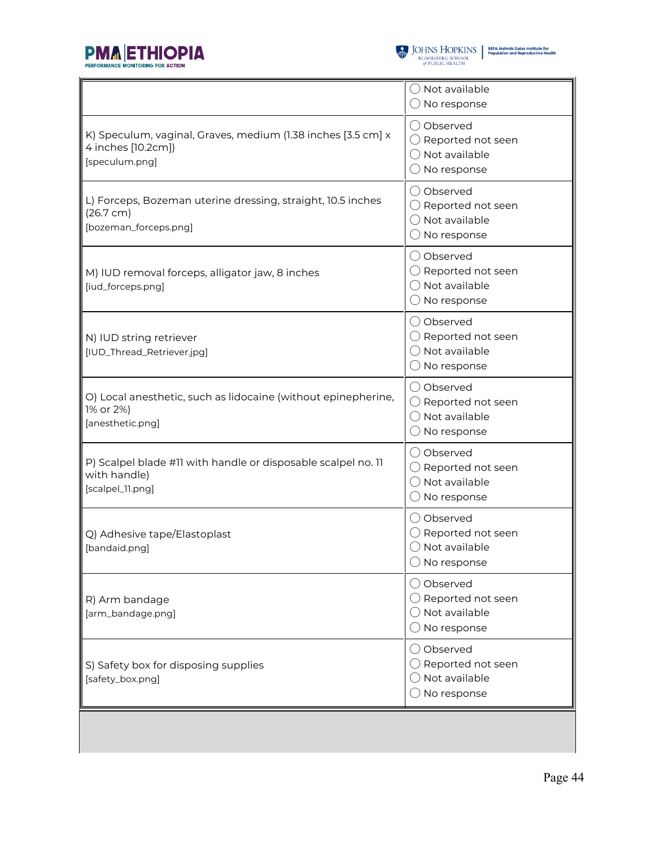

|                                                                                                      | ◯ Not available<br>$\bigcirc$ No response                                                         |
|------------------------------------------------------------------------------------------------------|---------------------------------------------------------------------------------------------------|
| K) Speculum, vaginal, Graves, medium (1.38 inches [3.5 cm] x<br>4 inches [10.2cm])<br>[speculum.png] | () Observed<br>$\bigcirc$ Reported not seen<br>$\bigcap$ Not available<br>$\bigcirc$ No response  |
| L) Forceps, Bozeman uterine dressing, straight, 10.5 inches<br>(26.7 cm)<br>[bozeman_forceps.png]    | () Observed<br>$\bigcirc$ Reported not seen<br>$\bigcirc$ Not available<br>$\bigcirc$ No response |
| M) IUD removal forceps, alligator jaw, 8 inches<br>[iud_forceps.png]                                 | () Observed<br>$\bigcirc$ Reported not seen<br>$\bigcirc$ Not available<br>$\bigcirc$ No response |
| N) IUD string retriever<br>[IUD_Thread_Retriever.jpg]                                                | O Observed<br>$\bigcirc$ Reported not seen<br>$\bigcirc$ Not available<br>$\bigcirc$ No response  |
| O) Local anesthetic, such as lidocaine (without epinepherine,<br>1% or 2%)<br>[anesthetic.png]       | () Observed<br>$\bigcirc$ Reported not seen<br>◯ Not available<br>$\bigcirc$ No response          |
| P) Scalpel blade #11 with handle or disposable scalpel no. 11<br>with handle)<br>[scalpel_11.png]    | () Observed<br>$\bigcirc$ Reported not seen<br>◯ Not available<br>$\bigcirc$ No response          |
| Q) Adhesive tape/Elastoplast<br>[bandaid.png]                                                        | ○ Observed<br>$\bigcirc$ Reported not seen<br>$\bigcirc$ Not available<br>$\bigcirc$ No response  |
| R) Arm bandage<br>[arm_bandage.png]                                                                  | ◯ Observed<br>$\bigcirc$ Reported not seen<br>◯ Not available<br>$\bigcirc$ No response           |
| S) Safety box for disposing supplies<br>[safety_box.png]                                             | ◯ Observed<br>$\bigcirc$ Reported not seen<br>◯ Not available<br>$\bigcirc$ No response           |
|                                                                                                      |                                                                                                   |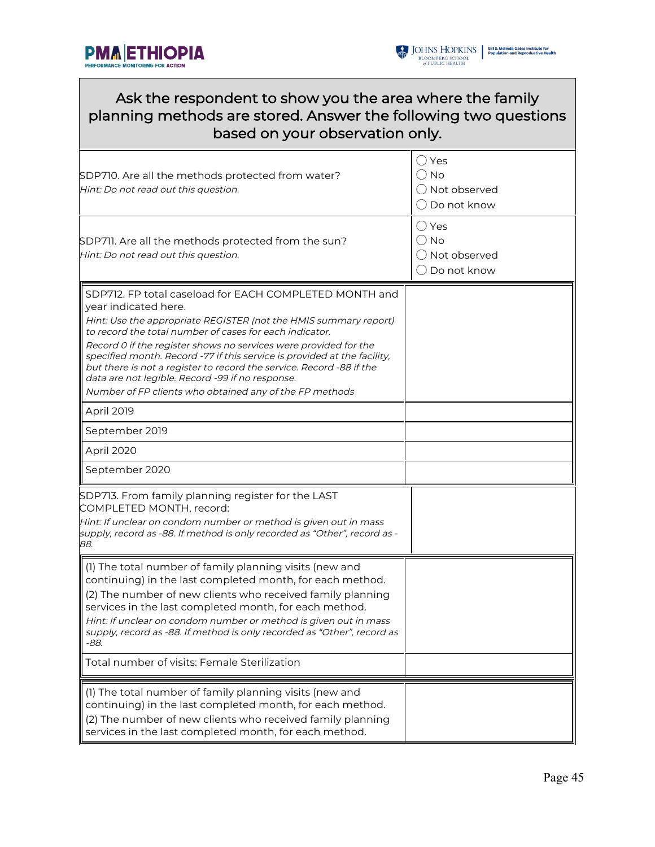



| Ask the respondent to show you the area where the family<br>planning methods are stored. Answer the following two questions<br>based on your observation only.                                                                                                                                                                                                                                                                                                                                                                                                                       |                                                               |  |  |
|--------------------------------------------------------------------------------------------------------------------------------------------------------------------------------------------------------------------------------------------------------------------------------------------------------------------------------------------------------------------------------------------------------------------------------------------------------------------------------------------------------------------------------------------------------------------------------------|---------------------------------------------------------------|--|--|
| SDP710. Are all the methods protected from water?<br>Hint: Do not read out this question.                                                                                                                                                                                                                                                                                                                                                                                                                                                                                            | () Yes<br>() No<br>( ) Not observed<br>$\bigcirc$ Do not know |  |  |
| SDP711. Are all the methods protected from the sun?<br>Hint: Do not read out this question.                                                                                                                                                                                                                                                                                                                                                                                                                                                                                          | ( ) Yes<br>() No<br>() Not observed<br>$\bigcirc$ Do not know |  |  |
| SDP712. FP total caseload for EACH COMPLETED MONTH and<br>year indicated here.<br>Hint: Use the appropriate REGISTER (not the HMIS summary report)<br>to record the total number of cases for each indicator.<br>Record 0 if the register shows no services were provided for the<br>specified month. Record -77 if this service is provided at the facility,<br>but there is not a register to record the service. Record -88 if the<br>data are not legible. Record -99 if no response.<br>Number of FP clients who obtained any of the FP methods<br>April 2019<br>September 2019 |                                                               |  |  |
| April 2020<br>September 2020                                                                                                                                                                                                                                                                                                                                                                                                                                                                                                                                                         |                                                               |  |  |
| SDP713. From family planning register for the LAST<br>COMPLETED MONTH, record:<br>Hint: If unclear on condom number or method is given out in mass<br>supply, record as -88. If method is only recorded as "Other", record as -<br>88.                                                                                                                                                                                                                                                                                                                                               |                                                               |  |  |
| $\parallel$ (1) The total number of family planning visits (new and<br>continuing) in the last completed month, for each method.<br>(2) The number of new clients who received family planning<br>services in the last completed month, for each method.<br>Hint: If unclear on condom number or method is given out in mass<br>supply, record as -88. If method is only recorded as "Other", record as<br>-88.<br>Total number of visits: Female Sterilization                                                                                                                      |                                                               |  |  |
| (1) The total number of family planning visits (new and<br>continuing) in the last completed month, for each method.<br>(2) The number of new clients who received family planning<br>services in the last completed month, for each method.                                                                                                                                                                                                                                                                                                                                         |                                                               |  |  |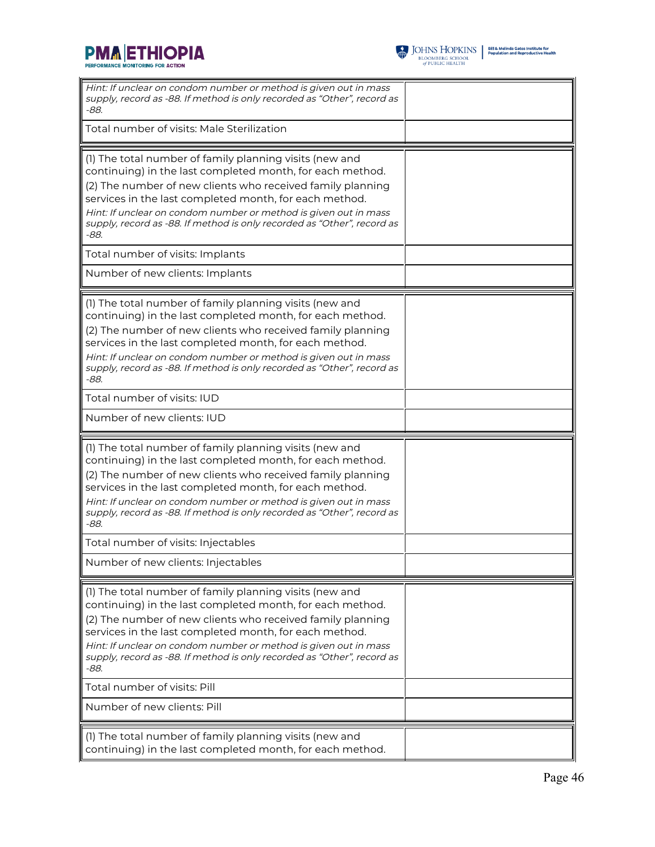



| Hint: If unclear on condom number or method is given out in mass<br>supply, record as -88. If method is only recorded as "Other", record as<br>-88.                                                                                                                                                                                                                                                                                                                        |  |
|----------------------------------------------------------------------------------------------------------------------------------------------------------------------------------------------------------------------------------------------------------------------------------------------------------------------------------------------------------------------------------------------------------------------------------------------------------------------------|--|
| Total number of visits: Male Sterilization                                                                                                                                                                                                                                                                                                                                                                                                                                 |  |
| (1) The total number of family planning visits (new and<br>continuing) in the last completed month, for each method.<br>(2) The number of new clients who received family planning<br>services in the last completed month, for each method.<br>Hint: If unclear on condom number or method is given out in mass<br>supply, record as -88. If method is only recorded as "Other", record as<br>-88.<br>Total number of visits: Implants<br>Number of new clients: Implants |  |
| (1) The total number of family planning visits (new and<br>continuing) in the last completed month, for each method.                                                                                                                                                                                                                                                                                                                                                       |  |
| (2) The number of new clients who received family planning<br>services in the last completed month, for each method.<br>Hint: If unclear on condom number or method is given out in mass<br>supply, record as -88. If method is only recorded as "Other", record as<br>$-88.$                                                                                                                                                                                              |  |
| Total number of visits: IUD                                                                                                                                                                                                                                                                                                                                                                                                                                                |  |
| Number of new clients: IUD                                                                                                                                                                                                                                                                                                                                                                                                                                                 |  |
| (1) The total number of family planning visits (new and<br>continuing) in the last completed month, for each method.<br>(2) The number of new clients who received family planning<br>services in the last completed month, for each method.<br>Hint: If unclear on condom number or method is given out in mass<br>supply, record as -88. If method is only recorded as "Other", record as<br>-88.                                                                        |  |
| Total number of visits: Injectables                                                                                                                                                                                                                                                                                                                                                                                                                                        |  |
|                                                                                                                                                                                                                                                                                                                                                                                                                                                                            |  |
| Number of new clients: Injectables                                                                                                                                                                                                                                                                                                                                                                                                                                         |  |
| (1) The total number of family planning visits (new and<br>continuing) in the last completed month, for each method.<br>(2) The number of new clients who received family planning<br>services in the last completed month, for each method.<br>Hint: If unclear on condom number or method is given out in mass<br>supply, record as -88. If method is only recorded as "Other", record as<br>-88.                                                                        |  |
| Total number of visits: Pill                                                                                                                                                                                                                                                                                                                                                                                                                                               |  |
| Number of new clients: Pill                                                                                                                                                                                                                                                                                                                                                                                                                                                |  |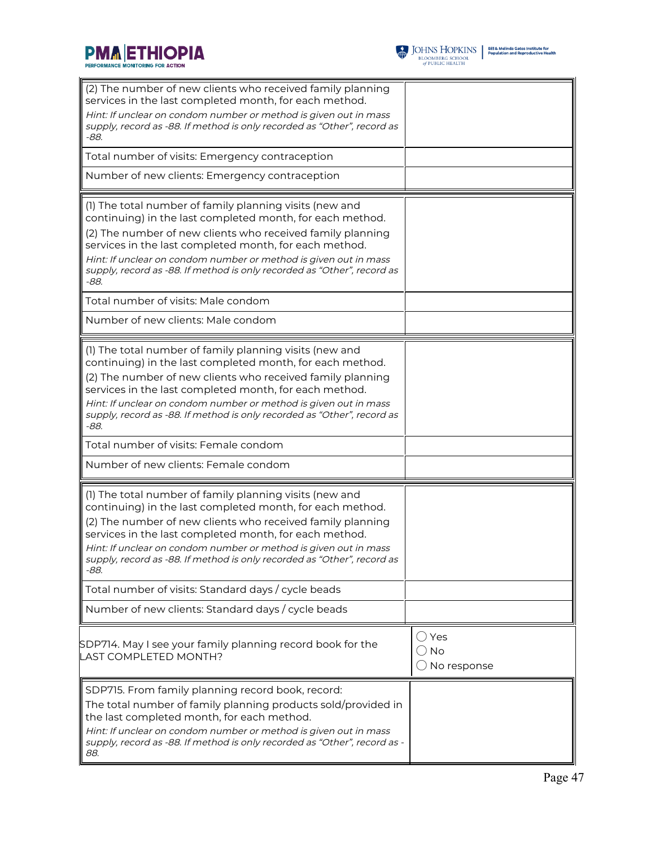



| (2) The number of new clients who received family planning<br>services in the last completed month, for each method.<br>Hint: If unclear on condom number or method is given out in mass<br>supply, record as -88. If method is only recorded as "Other", record as<br>$-88.$<br>Total number of visits: Emergency contraception                                                                      |                                                           |
|-------------------------------------------------------------------------------------------------------------------------------------------------------------------------------------------------------------------------------------------------------------------------------------------------------------------------------------------------------------------------------------------------------|-----------------------------------------------------------|
| Number of new clients: Emergency contraception                                                                                                                                                                                                                                                                                                                                                        |                                                           |
| (1) The total number of family planning visits (new and<br>continuing) in the last completed month, for each method.<br>(2) The number of new clients who received family planning<br>services in the last completed month, for each method.<br>Hint: If unclear on condom number or method is given out in mass<br>supply, record as -88. If method is only recorded as "Other", record as<br>-88.   |                                                           |
| Total number of visits: Male condom                                                                                                                                                                                                                                                                                                                                                                   |                                                           |
| Number of new clients: Male condom                                                                                                                                                                                                                                                                                                                                                                    |                                                           |
| (1) The total number of family planning visits (new and<br>continuing) in the last completed month, for each method.<br>(2) The number of new clients who received family planning<br>services in the last completed month, for each method.<br>Hint: If unclear on condom number or method is given out in mass<br>supply, record as -88. If method is only recorded as "Other", record as<br>$-88.$ |                                                           |
| Total number of visits: Female condom                                                                                                                                                                                                                                                                                                                                                                 |                                                           |
| Number of new clients: Female condom                                                                                                                                                                                                                                                                                                                                                                  |                                                           |
| (1) The total number of family planning visits (new and<br>continuing) in the last completed month, for each method.<br>(2) The number of new clients who received family planning<br>services in the last completed month, for each method.<br>Hint: If unclear on condom number or method is given out in mass<br>supply, record as -88. If method is only recorded as "Other", record as<br>-88.   |                                                           |
| Total number of visits: Standard days / cycle beads                                                                                                                                                                                                                                                                                                                                                   |                                                           |
| Number of new clients: Standard days / cycle beads                                                                                                                                                                                                                                                                                                                                                    |                                                           |
| SDP714. May I see your family planning record book for the<br>LAST COMPLETED MONTH?                                                                                                                                                                                                                                                                                                                   | $\bigcirc$ Yes<br>$\bigcirc$ No<br>$\bigcirc$ No response |
| SDP715. From family planning record book, record:<br>The total number of family planning products sold/provided in<br>the last completed month, for each method.<br>Hint: If unclear on condom number or method is given out in mass<br>supply, record as -88. If method is only recorded as "Other", record as -<br>88.                                                                              |                                                           |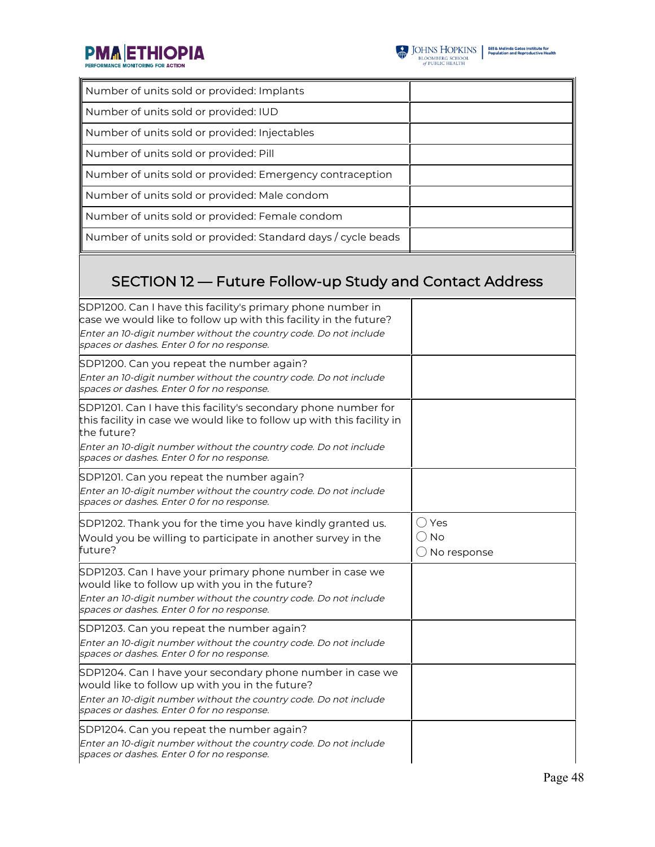

| Number of units sold or provided: Implants                                                                                                                                                                                                          |  |  |
|-----------------------------------------------------------------------------------------------------------------------------------------------------------------------------------------------------------------------------------------------------|--|--|
| Number of units sold or provided: IUD                                                                                                                                                                                                               |  |  |
| Number of units sold or provided: Injectables                                                                                                                                                                                                       |  |  |
| Number of units sold or provided: Pill                                                                                                                                                                                                              |  |  |
| Number of units sold or provided: Emergency contraception                                                                                                                                                                                           |  |  |
| Number of units sold or provided: Male condom                                                                                                                                                                                                       |  |  |
| Number of units sold or provided: Female condom                                                                                                                                                                                                     |  |  |
| Number of units sold or provided: Standard days / cycle beads                                                                                                                                                                                       |  |  |
| SECTION 12 – Future Follow-up Study and Contact Address                                                                                                                                                                                             |  |  |
| SDP1200. Can I have this facility's primary phone number in<br>case we would like to follow up with this facility in the future?<br>Enter an 10-digit number without the country code. Do not include<br>spaces or dashes. Enter 0 for no response. |  |  |
| SDP1200. Can you repeat the number again?<br>Enter an 10-digit number without the country code. Do not include<br>spaces or dashes. Enter 0 for no response.                                                                                        |  |  |

| SDP1200. Can I have this facility's primary phone number in<br>case we would like to follow up with this facility in the future?<br>Enter an 10-digit number without the country code. Do not include<br>spaces or dashes. Enter 0 for no response. |                                     |
|-----------------------------------------------------------------------------------------------------------------------------------------------------------------------------------------------------------------------------------------------------|-------------------------------------|
| SDP1200. Can you repeat the number again?<br>Enter an 10-digit number without the country code. Do not include<br>spaces or dashes. Enter 0 for no response.                                                                                        |                                     |
| SDP1201. Can I have this facility's secondary phone number for<br>this facility in case we would like to follow up with this facility in<br>the future?<br>Enter an 10-digit number without the country code. Do not include                        |                                     |
| spaces or dashes. Enter 0 for no response.                                                                                                                                                                                                          |                                     |
| SDP1201. Can you repeat the number again?<br>Enter an 10-digit number without the country code. Do not include<br>spaces or dashes. Enter 0 for no response.                                                                                        |                                     |
| SDP1202. Thank you for the time you have kindly granted us.<br>Would you be willing to participate in another survey in the<br>future?                                                                                                              | ( ) Yes<br><b>No</b><br>No response |
| SDP1203. Can I have your primary phone number in case we<br>would like to follow up with you in the future?<br>Enter an 10-digit number without the country code. Do not include<br>spaces or dashes. Enter 0 for no response.                      |                                     |
| SDP1203. Can you repeat the number again?<br>Enter an 10-digit number without the country code. Do not include<br>spaces or dashes. Enter 0 for no response.                                                                                        |                                     |
| SDP1204. Can I have your secondary phone number in case we<br>would like to follow up with you in the future?<br>Enter an 10-digit number without the country code. Do not include<br>spaces or dashes. Enter 0 for no response.                    |                                     |
| SDP1204. Can you repeat the number again?<br>Enter an 10-digit number without the country code. Do not include<br>spaces or dashes. Enter 0 for no response.                                                                                        |                                     |